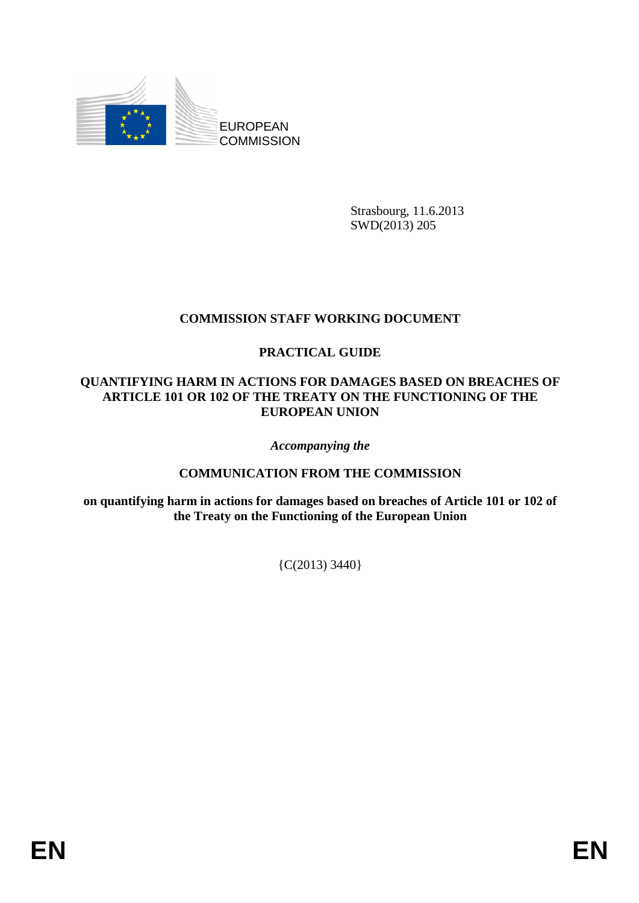

Strasbourg, 11.6.2013 SWD(2013) 205

### **COMMISSION STAFF WORKING DOCUMENT**

### **PRACTICAL GUIDE**

#### **QUANTIFYING HARM IN ACTIONS FOR DAMAGES BASED ON BREACHES OF ARTICLE 101 OR 102 OF THE TREATY ON THE FUNCTIONING OF THE EUROPEAN UNION**

*Accompanying the* 

#### **COMMUNICATION FROM THE COMMISSION**

**on quantifying harm in actions for damages based on breaches of Article 101 or 102 of the Treaty on the Functioning of the European Union** 

{C(2013) 3440}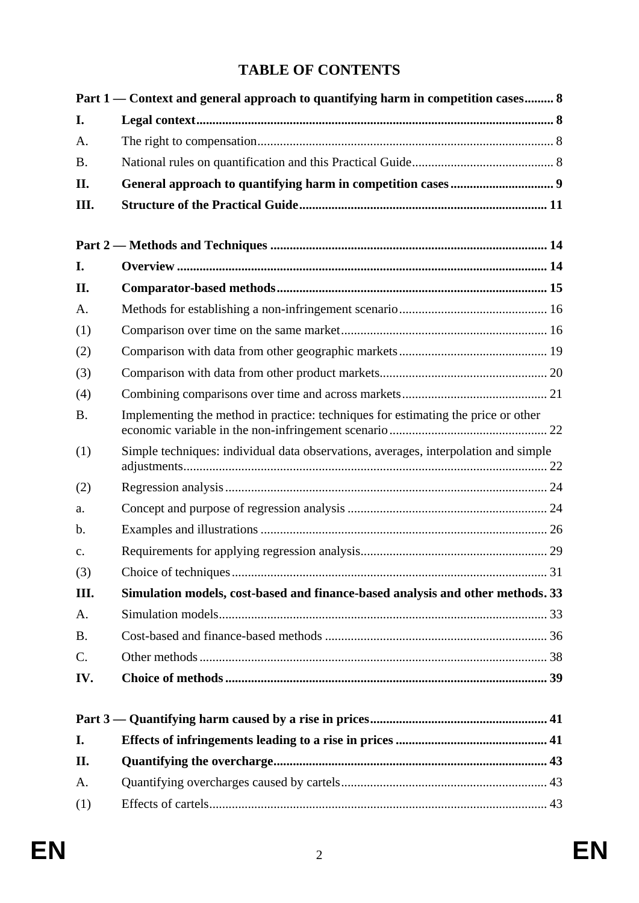# **TABLE OF CONTENTS**

|                 | Part 1 — Context and general approach to quantifying harm in competition cases 8    |  |
|-----------------|-------------------------------------------------------------------------------------|--|
| I.              |                                                                                     |  |
| A.              |                                                                                     |  |
| <b>B.</b>       |                                                                                     |  |
| II.             |                                                                                     |  |
| Ш.              |                                                                                     |  |
|                 |                                                                                     |  |
| I.              |                                                                                     |  |
| II.             |                                                                                     |  |
| A.              |                                                                                     |  |
| (1)             |                                                                                     |  |
| (2)             |                                                                                     |  |
| (3)             |                                                                                     |  |
| (4)             |                                                                                     |  |
| <b>B.</b>       | Implementing the method in practice: techniques for estimating the price or other   |  |
| (1)             | Simple techniques: individual data observations, averages, interpolation and simple |  |
| (2)             |                                                                                     |  |
| a.              |                                                                                     |  |
| $\mathbf b$ .   |                                                                                     |  |
| $\mathbf{C}$ .  |                                                                                     |  |
| (3)             |                                                                                     |  |
| Ш.              | Simulation models, cost-based and finance-based analysis and other methods. 33      |  |
| A.              |                                                                                     |  |
| <b>B.</b>       |                                                                                     |  |
| $\mathcal{C}$ . |                                                                                     |  |
| IV.             |                                                                                     |  |
|                 |                                                                                     |  |
|                 |                                                                                     |  |
| I.<br>II.       |                                                                                     |  |
|                 |                                                                                     |  |
| A.              |                                                                                     |  |
| (1)             |                                                                                     |  |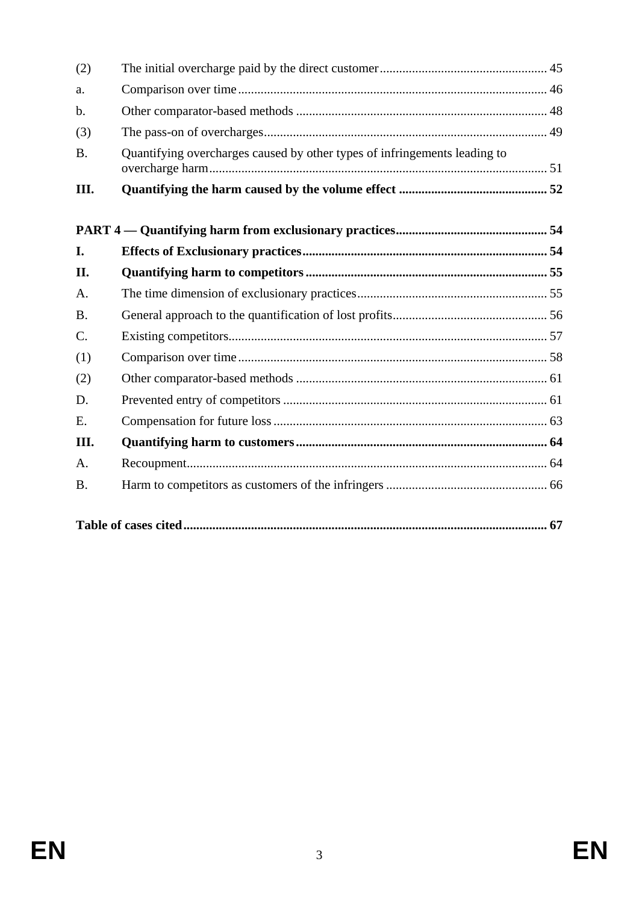| (2)            |                                                                           |  |  |  |
|----------------|---------------------------------------------------------------------------|--|--|--|
| a.             |                                                                           |  |  |  |
| $\mathbf{b}$ . |                                                                           |  |  |  |
| (3)            |                                                                           |  |  |  |
| <b>B.</b>      | Quantifying overcharges caused by other types of infringements leading to |  |  |  |
| Ш.             |                                                                           |  |  |  |
|                |                                                                           |  |  |  |
| I.             |                                                                           |  |  |  |
| II.            |                                                                           |  |  |  |
| A.             |                                                                           |  |  |  |
| <b>B.</b>      |                                                                           |  |  |  |
| $C$ .          |                                                                           |  |  |  |
| (1)            |                                                                           |  |  |  |
| (2)            |                                                                           |  |  |  |
| D.             |                                                                           |  |  |  |
| E.             |                                                                           |  |  |  |
| Ш.             |                                                                           |  |  |  |
| $A_{\cdot}$    |                                                                           |  |  |  |
| <b>B.</b>      |                                                                           |  |  |  |
|                |                                                                           |  |  |  |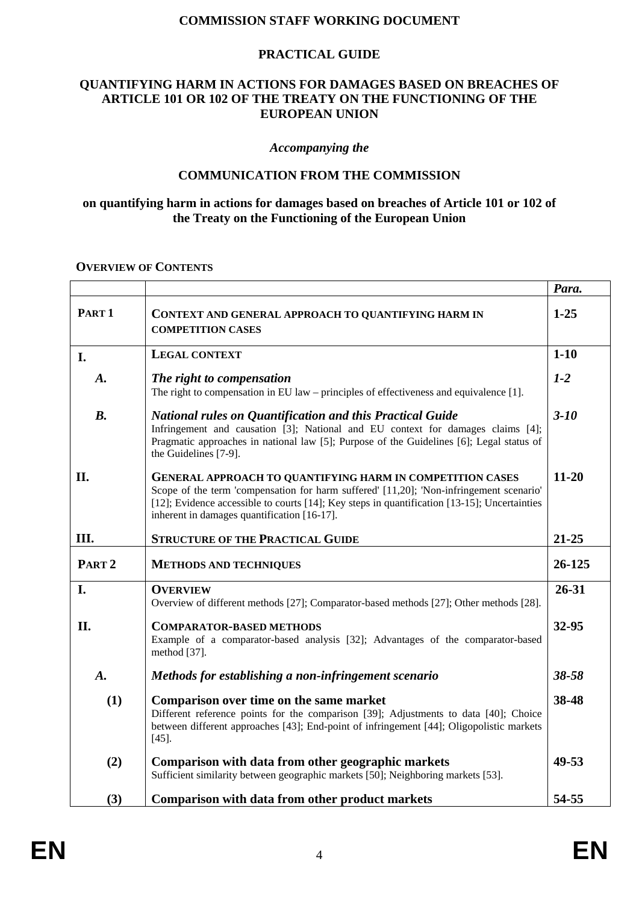#### **COMMISSION STAFF WORKING DOCUMENT**

#### **PRACTICAL GUIDE**

#### **QUANTIFYING HARM IN ACTIONS FOR DAMAGES BASED ON BREACHES OF ARTICLE 101 OR 102 OF THE TREATY ON THE FUNCTIONING OF THE EUROPEAN UNION**

#### *Accompanying the*

#### **COMMUNICATION FROM THE COMMISSION**

#### **on quantifying harm in actions for damages based on breaches of Article 101 or 102 of the Treaty on the Functioning of the European Union**

#### **OVERVIEW OF CONTENTS**

|                   |                                                                                                                                                                                                                                                                                                            | Para.     |
|-------------------|------------------------------------------------------------------------------------------------------------------------------------------------------------------------------------------------------------------------------------------------------------------------------------------------------------|-----------|
| PART <sub>1</sub> | CONTEXT AND GENERAL APPROACH TO QUANTIFYING HARM IN<br><b>COMPETITION CASES</b>                                                                                                                                                                                                                            | $1 - 25$  |
| I.                | <b>LEGAL CONTEXT</b>                                                                                                                                                                                                                                                                                       | $1-10$    |
| A.                | The right to compensation<br>The right to compensation in EU law – principles of effectiveness and equivalence [1].                                                                                                                                                                                        | $1-2$     |
| <b>B.</b>         | <b>National rules on Quantification and this Practical Guide</b><br>Infringement and causation [3]; National and EU context for damages claims [4];<br>Pragmatic approaches in national law [5]; Purpose of the Guidelines [6]; Legal status of<br>the Guidelines [7-9].                                   | $3-10$    |
| II.               | <b>GENERAL APPROACH TO QUANTIFYING HARM IN COMPETITION CASES</b><br>Scope of the term 'compensation for harm suffered' [11,20]; 'Non-infringement scenario'<br>[12]; Evidence accessible to courts [14]; Key steps in quantification [13-15]; Uncertainties<br>inherent in damages quantification [16-17]. | $11 - 20$ |
| Ш.                | <b>STRUCTURE OF THE PRACTICAL GUIDE</b>                                                                                                                                                                                                                                                                    | $21 - 25$ |
|                   |                                                                                                                                                                                                                                                                                                            |           |
| PART <sub>2</sub> | <b>METHODS AND TECHNIQUES</b>                                                                                                                                                                                                                                                                              | 26-125    |
| I.                | <b>OVERVIEW</b><br>Overview of different methods [27]; Comparator-based methods [27]; Other methods [28].                                                                                                                                                                                                  | 26-31     |
| II.               | <b>COMPARATOR-BASED METHODS</b><br>Example of a comparator-based analysis [32]; Advantages of the comparator-based<br>method [37].                                                                                                                                                                         | 32-95     |
| A.                | Methods for establishing a non-infringement scenario                                                                                                                                                                                                                                                       | $38 - 58$ |
| (1)               | Comparison over time on the same market<br>Different reference points for the comparison [39]; Adjustments to data [40]; Choice<br>between different approaches [43]; End-point of infringement [44]; Oligopolistic markets<br>$[45]$ .                                                                    | 38-48     |
| (2)               | Comparison with data from other geographic markets<br>Sufficient similarity between geographic markets [50]; Neighboring markets [53].                                                                                                                                                                     | 49-53     |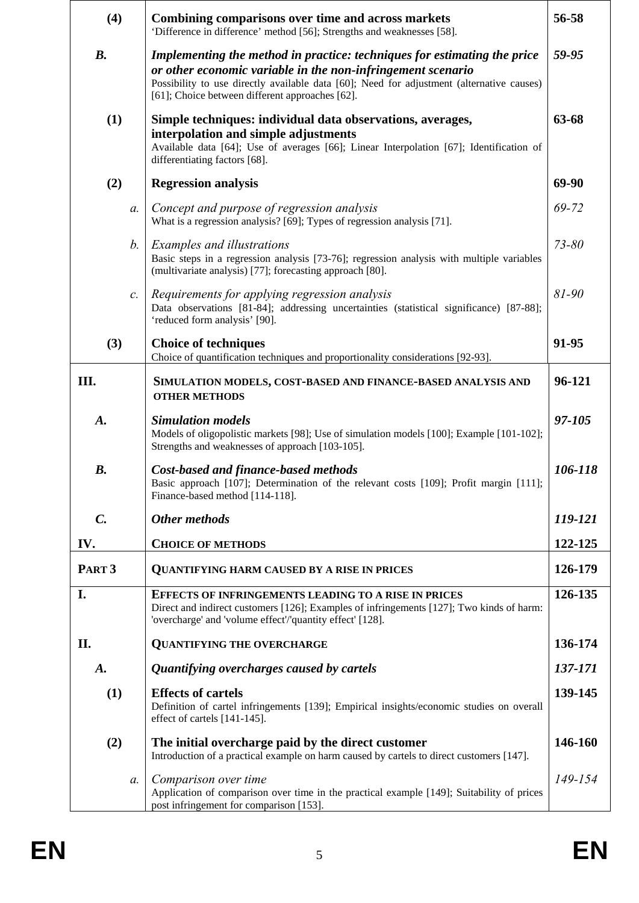| (4)                | Combining comparisons over time and across markets<br>'Difference in difference' method [56]; Strengths and weaknesses [58].                                                                                                                                                            | 56-58     |
|--------------------|-----------------------------------------------------------------------------------------------------------------------------------------------------------------------------------------------------------------------------------------------------------------------------------------|-----------|
| <b>B.</b>          | Implementing the method in practice: techniques for estimating the price<br>or other economic variable in the non-infringement scenario<br>Possibility to use directly available data [60]; Need for adjustment (alternative causes)<br>[61]; Choice between different approaches [62]. | 59-95     |
| (1)                | Simple techniques: individual data observations, averages,<br>interpolation and simple adjustments<br>Available data [64]; Use of averages [66]; Linear Interpolation [67]; Identification of<br>differentiating factors [68].                                                          | 63-68     |
| (2)                | <b>Regression analysis</b>                                                                                                                                                                                                                                                              | 69-90     |
| a.                 | Concept and purpose of regression analysis<br>What is a regression analysis? [69]; Types of regression analysis [71].                                                                                                                                                                   | $69 - 72$ |
| b.                 | Examples and illustrations<br>Basic steps in a regression analysis [73-76]; regression analysis with multiple variables<br>(multivariate analysis) [77]; forecasting approach [80].                                                                                                     | $73 - 80$ |
| $\mathcal{C}.$     | Requirements for applying regression analysis<br>Data observations [81-84]; addressing uncertainties (statistical significance) [87-88];<br>'reduced form analysis' [90].                                                                                                               | $81 - 90$ |
| (3)                | <b>Choice of techniques</b><br>Choice of quantification techniques and proportionality considerations [92-93].                                                                                                                                                                          | 91-95     |
| Ш.                 | SIMULATION MODELS, COST-BASED AND FINANCE-BASED ANALYSIS AND<br><b>OTHER METHODS</b>                                                                                                                                                                                                    | 96-121    |
| A.                 | <b>Simulation models</b><br>Models of oligopolistic markets [98]; Use of simulation models [100]; Example [101-102];<br>Strengths and weaknesses of approach [103-105].                                                                                                                 | 97-105    |
| $\boldsymbol{B}$ . | Cost-based and finance-based methods<br>Basic approach [107]; Determination of the relevant costs [109]; Profit margin [111];<br>Finance-based method [114-118].                                                                                                                        | 106-118   |
| $\mathcal{C}$ .    | <b>Other methods</b>                                                                                                                                                                                                                                                                    | 119-121   |
| IV.                | <b>CHOICE OF METHODS</b>                                                                                                                                                                                                                                                                | 122-125   |
| PART <sub>3</sub>  | <b>QUANTIFYING HARM CAUSED BY A RISE IN PRICES</b>                                                                                                                                                                                                                                      | 126-179   |
| I.                 | <b>EFFECTS OF INFRINGEMENTS LEADING TO A RISE IN PRICES</b><br>Direct and indirect customers [126]; Examples of infringements [127]; Two kinds of harm:<br>'overcharge' and 'volume effect'/'quantity effect' [128].                                                                    | 126-135   |
| II.                | <b>QUANTIFYING THE OVERCHARGE</b>                                                                                                                                                                                                                                                       | 136-174   |
| A.                 | Quantifying overcharges caused by cartels                                                                                                                                                                                                                                               | 137-171   |
| (1)                | <b>Effects of cartels</b><br>Definition of cartel infringements [139]; Empirical insights/economic studies on overall<br>effect of cartels [141-145].                                                                                                                                   | 139-145   |
| (2)                | The initial overcharge paid by the direct customer<br>Introduction of a practical example on harm caused by cartels to direct customers [147].                                                                                                                                          | 146-160   |
| a.                 | Comparison over time<br>Application of comparison over time in the practical example [149]; Suitability of prices<br>post infringement for comparison [153].                                                                                                                            | 149-154   |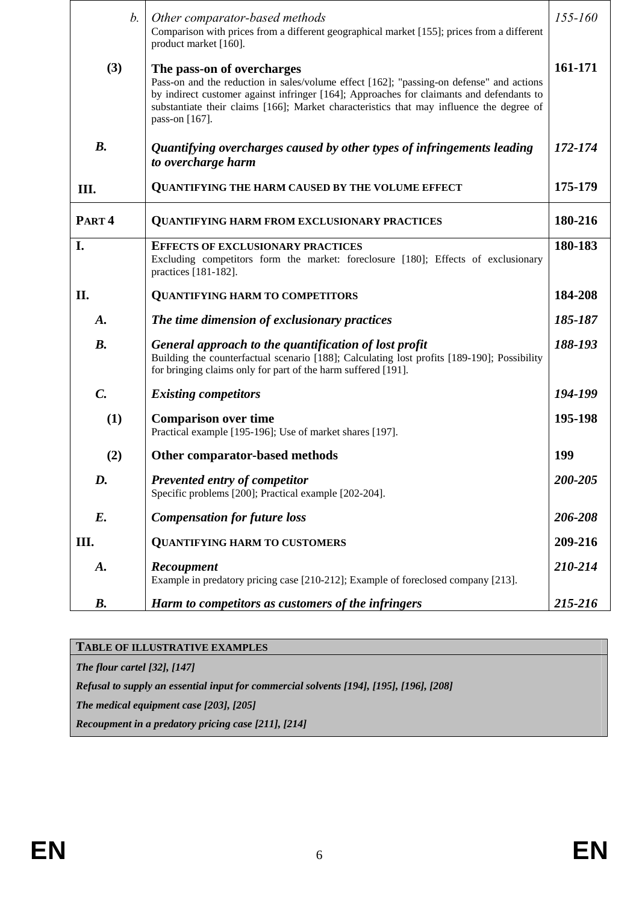| b.                 | Other comparator-based methods<br>Comparison with prices from a different geographical market [155]; prices from a different<br>product market [160].                                                                                                                                                                            | $155 - 160$ |
|--------------------|----------------------------------------------------------------------------------------------------------------------------------------------------------------------------------------------------------------------------------------------------------------------------------------------------------------------------------|-------------|
| (3)                | The pass-on of overcharges<br>Pass-on and the reduction in sales/volume effect [162]; "passing-on defense" and actions<br>by indirect customer against infringer [164]; Approaches for claimants and defendants to<br>substantiate their claims [166]; Market characteristics that may influence the degree of<br>pass-on [167]. | 161-171     |
| <b>B.</b>          | Quantifying overcharges caused by other types of infringements leading<br>to overcharge harm                                                                                                                                                                                                                                     | 172-174     |
| III.               | QUANTIFYING THE HARM CAUSED BY THE VOLUME EFFECT                                                                                                                                                                                                                                                                                 | 175-179     |
| PART <sub>4</sub>  | <b>QUANTIFYING HARM FROM EXCLUSIONARY PRACTICES</b>                                                                                                                                                                                                                                                                              | 180-216     |
| I.                 | <b>EFFECTS OF EXCLUSIONARY PRACTICES</b><br>Excluding competitors form the market: foreclosure [180]; Effects of exclusionary<br>practices [181-182].                                                                                                                                                                            | 180-183     |
| II.                | <b>QUANTIFYING HARM TO COMPETITORS</b>                                                                                                                                                                                                                                                                                           | 184-208     |
| A.                 | The time dimension of exclusionary practices                                                                                                                                                                                                                                                                                     | 185-187     |
| $\boldsymbol{B}$ . | General approach to the quantification of lost profit<br>Building the counterfactual scenario [188]; Calculating lost profits [189-190]; Possibility<br>for bringing claims only for part of the harm suffered [191].                                                                                                            | 188-193     |
| $\mathcal{C}$ .    | <b>Existing competitors</b>                                                                                                                                                                                                                                                                                                      | 194-199     |
| (1)                | <b>Comparison over time</b><br>Practical example [195-196]; Use of market shares [197].                                                                                                                                                                                                                                          | 195-198     |
| (2)                | Other comparator-based methods                                                                                                                                                                                                                                                                                                   | 199         |
| D.                 | Prevented entry of competitor<br>Specific problems [200]; Practical example [202-204].                                                                                                                                                                                                                                           | 200-205     |
| $E$ .              | <b>Compensation for future loss</b>                                                                                                                                                                                                                                                                                              | 206-208     |
| Ш.                 | <b>QUANTIFYING HARM TO CUSTOMERS</b>                                                                                                                                                                                                                                                                                             | 209-216     |
| A.                 | <b>Recoupment</b><br>Example in predatory pricing case [210-212]; Example of foreclosed company [213].                                                                                                                                                                                                                           | 210-214     |
| <b>B.</b>          | Harm to competitors as customers of the infringers                                                                                                                                                                                                                                                                               | 215-216     |

### **TABLE OF ILLUSTRATIVE EXAMPLES**

*The flour cartel [\[32\],](#page-14-1) [\[147\]](#page-44-2)* 

*Refusal to supply an essential input for commercial solvents [\[194\],](#page-57-2) [\[195\],](#page-57-1) [\[196\],](#page-58-0) [\[208\]](#page-62-1)* 

*The medical equipment case [\[203\],](#page-61-2) [\[205\]](#page-62-2)* 

*Recoupment in a predatory pricing case [\[211\],](#page-64-3) [\[214\]](#page-64-2)*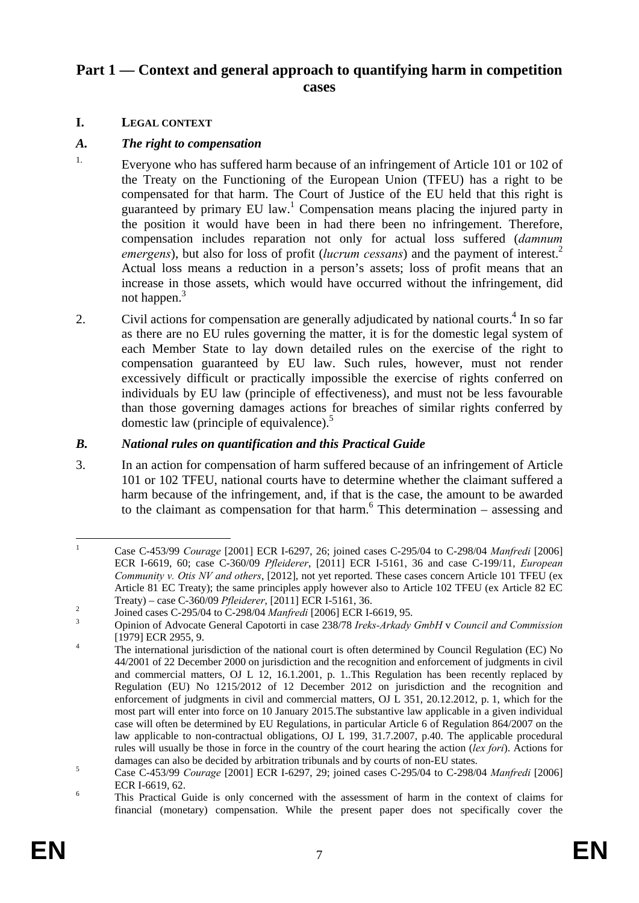## <span id="page-6-0"></span>**Part 1 — Context and general approach to quantifying harm in competition cases**

#### <span id="page-6-1"></span>**I. LEGAL CONTEXT**

#### <span id="page-6-2"></span>*A. The right to compensation*

- <span id="page-6-4"></span><sup>1.</sup> Everyone who has suffered harm because of an infringement of Article 101 or 102 of the Treaty on the Functioning of the European Union (TFEU) has a right to be compensated for that harm. The Court of Justice of the EU held that this right is guaranteed by primary EU law.<sup>1</sup> Compensation means placing the injured party in the position it would have been in had there been no infringement. Therefore, compensation includes reparation not only for actual loss suffered (*damnum emergens*), but also for loss of profit (*lucrum cessans*) and the payment of interest.<sup>2</sup> Actual loss means a reduction in a person's assets; loss of profit means that an increase in those assets, which would have occurred without the infringement, did not happen.<sup>3</sup>
- <span id="page-6-5"></span>2. Civil actions for compensation are generally adjudicated by national courts.<sup>4</sup> In so far as there are no EU rules governing the matter, it is for the domestic legal system of each Member State to lay down detailed rules on the exercise of the right to compensation guaranteed by EU law. Such rules, however, must not render excessively difficult or practically impossible the exercise of rights conferred on individuals by EU law (principle of effectiveness), and must not be less favourable than those governing damages actions for breaches of similar rights conferred by domestic law (principle of equivalence).5

#### <span id="page-6-3"></span>*B. National rules on quantification and this Practical Guide*

3. In an action for compensation of harm suffered because of an infringement of Article 101 or 102 TFEU, national courts have to determine whether the claimant suffered a harm because of the infringement, and, if that is the case, the amount to be awarded to the claimant as compensation for that harm. $6$  This determination – assessing and

 $\frac{1}{1}$  Case C-453/99 *Courage* [2001] ECR I-6297, 26; joined cases C-295/04 to C-298/04 *Manfredi* [2006] ECR I-6619, 60; case C-360/09 *Pfleiderer*, [2011] ECR I-5161, 36 and case C-199/11, *European Community v. Otis NV and others*, [2012], not yet reported. These cases concern Article 101 TFEU (ex Article 81 EC Treaty); the same principles apply however also to Article 102 TFEU (ex Article 82 EC Treaty) – case C-360/09 *Pfleiderer*, [2011] ECR I-5161, 36.

<sup>&</sup>lt;sup>2</sup> Joined cases C-295/04 to C-298/04 *Manfredi* [2006] ECR I-6619, 95.

Opinion of Advocate General Capotorti in case 238/78 *Ireks-Arkady GmbH* v *Council and Commission*  $[1979]$  ECR 2955, 9.

The international jurisdiction of the national court is often determined by Council Regulation (EC) No 44/2001 of 22 December 2000 on jurisdiction and the recognition and enforcement of judgments in civil and commercial matters, OJ L 12, 16.1.2001, p. 1..This Regulation has been recently replaced by Regulation (EU) No 1215/2012 of 12 December 2012 on jurisdiction and the recognition and enforcement of judgments in civil and commercial matters, OJ L 351, 20.12.2012, p. 1, which for the most part will enter into force on 10 January 2015.The substantive law applicable in a given individual case will often be determined by EU Regulations, in particular Article 6 of Regulation 864/2007 on the law applicable to non-contractual obligations, OJ L 199, 31.7.2007, p.40. The applicable procedural rules will usually be those in force in the country of the court hearing the action (*lex fori*). Actions for damages can also be decided by arbitration tribunals and by courts of non-EU states.

Case C-453/99 *Courage* [2001] ECR I-6297, 29; joined cases C-295/04 to C-298/04 *Manfredi* [2006] ECR I-6619, 62.

This Practical Guide is only concerned with the assessment of harm in the context of claims for financial (monetary) compensation. While the present paper does not specifically cover the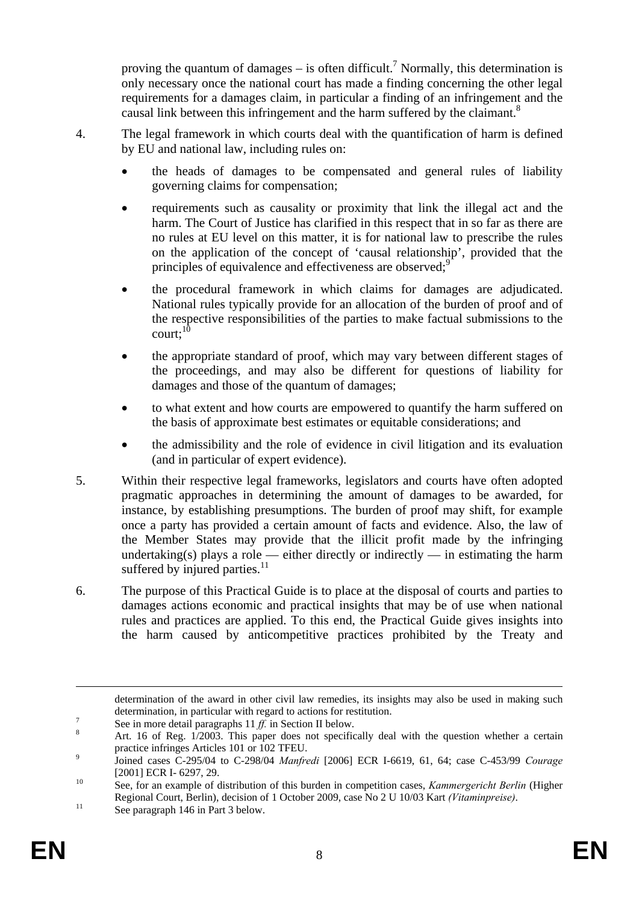proving the quantum of damages  $-$  is often difficult.<sup>7</sup> Normally, this determination is only necessary once the national court has made a finding concerning the other legal requirements for a damages claim, in particular a finding of an infringement and the causal link between this infringement and the harm suffered by the claimant.<sup>8</sup>

- <span id="page-7-1"></span>4. The legal framework in which courts deal with the quantification of harm is defined by EU and national law, including rules on:
	- the heads of damages to be compensated and general rules of liability governing claims for compensation;
	- requirements such as causality or proximity that link the illegal act and the harm. The Court of Justice has clarified in this respect that in so far as there are no rules at EU level on this matter, it is for national law to prescribe the rules on the application of the concept of 'causal relationship', provided that the principles of equivalence and effectiveness are observed;<sup>9</sup>
	- the procedural framework in which claims for damages are adjudicated. National rules typically provide for an allocation of the burden of proof and of the respective responsibilities of the parties to make factual submissions to the court: $10$
	- the appropriate standard of proof, which may vary between different stages of the proceedings, and may also be different for questions of liability for damages and those of the quantum of damages;
	- to what extent and how courts are empowered to quantify the harm suffered on the basis of approximate best estimates or equitable considerations; and
	- the admissibility and the role of evidence in civil litigation and its evaluation (and in particular of expert evidence).
- <span id="page-7-2"></span><span id="page-7-0"></span>5. Within their respective legal frameworks, legislators and courts have often adopted pragmatic approaches in determining the amount of damages to be awarded, for instance, by establishing presumptions. The burden of proof may shift, for example once a party has provided a certain amount of facts and evidence. Also, the law of the Member States may provide that the illicit profit made by the infringing undertaking(s) plays a role — either directly or indirectly — in estimating the harm suffered by injured parties. $11$
- 6. The purpose of this Practical Guide is to place at the disposal of courts and parties to damages actions economic and practical insights that may be of use when national rules and practices are applied. To this end, the Practical Guide gives insights into the harm caused by anticompetitive practices prohibited by the Treaty and

determination of the award in other civil law remedies, its insights may also be used in making such determination, in particular with regard to actions for restitution.

See in more detail paragraphs  $11 \text{ ff}$ . in Section II below.

Art. 16 of Reg. 1/2003. This paper does not specifically deal with the question whether a certain practice infringes Articles 101 or 102 TFEU.

Joined cases C-295/04 to C-298/04 *Manfredi* [2006] ECR I-6619, 61, 64; case C-453/99 *Courage* [2001] ECR I- 6297, 29. 10 See, for an example of distribution of this burden in competition cases, *Kammergericht Berlin* (Higher

Regional Court, Berlin), decision of 1 October 2009, case No 2 U 10/03 Kart *(Vitaminpreise)*. [11 See paragraph 146 in Part 3 below.](#page-44-3)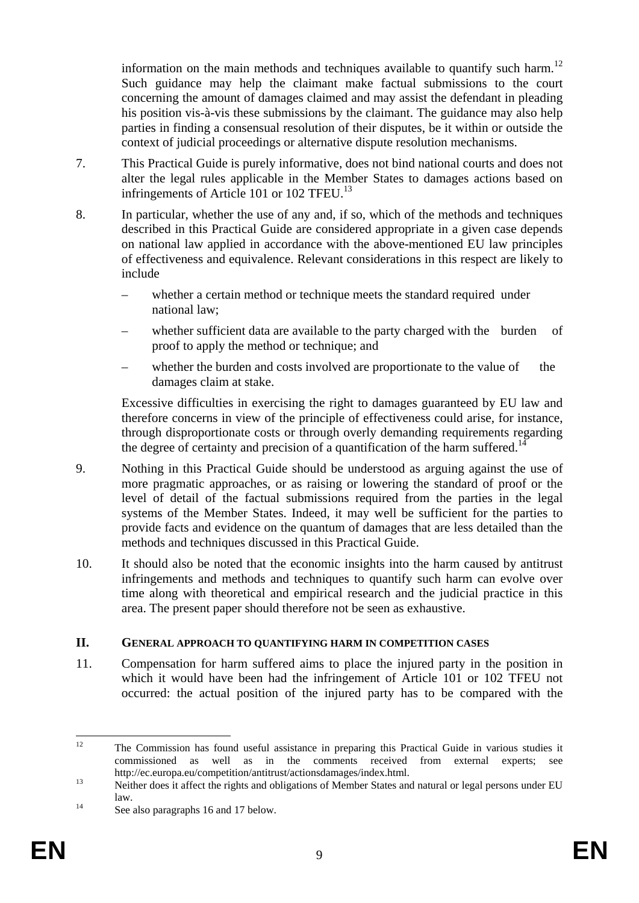information on the main methods and techniques available to quantify such harm.<sup>12</sup> Such guidance may help the claimant make factual submissions to the court concerning the amount of damages claimed and may assist the defendant in pleading his position vis-à-vis these submissions by the claimant. The guidance may also help parties in finding a consensual resolution of their disputes, be it within or outside the context of judicial proceedings or alternative dispute resolution mechanisms.

- <span id="page-8-2"></span>7. This Practical Guide is purely informative, does not bind national courts and does not alter the legal rules applicable in the Member States to damages actions based on infringements of Article 101 or 102 TFEU.<sup>13</sup>
- 8. In particular, whether the use of any and, if so, which of the methods and techniques described in this Practical Guide are considered appropriate in a given case depends on national law applied in accordance with the above-mentioned EU law principles of effectiveness and equivalence. Relevant considerations in this respect are likely to include
	- whether a certain method or technique meets the standard required under national law;
	- whether sufficient data are available to the party charged with the burden of proof to apply the method or technique; and
	- whether the burden and costs involved are proportionate to the value of the damages claim at stake.

Excessive difficulties in exercising the right to damages guaranteed by EU law and therefore concerns in view of the principle of effectiveness could arise, for instance, through disproportionate costs or through overly demanding requirements regarding the degree of certainty and precision of a quantification of the harm suffered.<sup>14</sup>

- <span id="page-8-3"></span>9. Nothing in this Practical Guide should be understood as arguing against the use of more pragmatic approaches, or as raising or lowering the standard of proof or the level of detail of the factual submissions required from the parties in the legal systems of the Member States. Indeed, it may well be sufficient for the parties to provide facts and evidence on the quantum of damages that are less detailed than the methods and techniques discussed in this Practical Guide.
- <span id="page-8-4"></span><span id="page-8-1"></span>10. It should also be noted that the economic insights into the harm caused by antitrust infringements and methods and techniques to quantify such harm can evolve over time along with theoretical and empirical research and the judicial practice in this area. The present paper should therefore not be seen as exhaustive.

### <span id="page-8-0"></span>**II. GENERAL APPROACH TO QUANTIFYING HARM IN COMPETITION CASES**

11. Compensation for harm suffered aims to place the injured party in the position in which it would have been had the infringement of Article 101 or 102 TFEU not occurred: the actual position of the injured party has to be compared with the

 $12$ 12 The Commission has found useful assistance in preparing this Practical Guide in various studies it commissioned as well as in the comments received from external experts; see http://ec.europa.eu/competition/antitrust/actionsdamages/index.html.<br><sup>13</sup> Neither does it affect the rights and obligations of Member States and natural or legal persons under EU

law.<br>
See also paragraphs 16 and 17 below.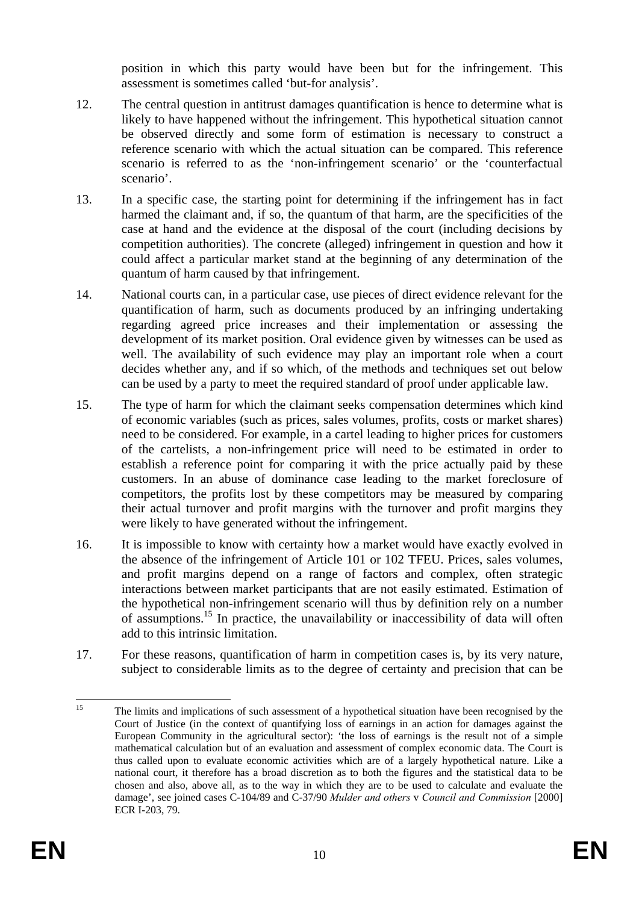position in which this party would have been but for the infringement. This assessment is sometimes called 'but-for analysis'.

- <span id="page-9-1"></span>12. The central question in antitrust damages quantification is hence to determine what is likely to have happened without the infringement. This hypothetical situation cannot be observed directly and some form of estimation is necessary to construct a reference scenario with which the actual situation can be compared. This reference scenario is referred to as the 'non-infringement scenario' or the 'counterfactual scenario'.
- <span id="page-9-3"></span>13. In a specific case, the starting point for determining if the infringement has in fact harmed the claimant and, if so, the quantum of that harm, are the specificities of the case at hand and the evidence at the disposal of the court (including decisions by competition authorities). The concrete (alleged) infringement in question and how it could affect a particular market stand at the beginning of any determination of the quantum of harm caused by that infringement.
- <span id="page-9-2"></span>14. National courts can, in a particular case, use pieces of direct evidence relevant for the quantification of harm, such as documents produced by an infringing undertaking regarding agreed price increases and their implementation or assessing the development of its market position. Oral evidence given by witnesses can be used as well. The availability of such evidence may play an important role when a court decides whether any, and if so which, of the methods and techniques set out below can be used by a party to meet the required standard of proof under applicable law.
- <span id="page-9-4"></span>15. The type of harm for which the claimant seeks compensation determines which kind of economic variables (such as prices, sales volumes, profits, costs or market shares) need to be considered. For example, in a cartel leading to higher prices for customers of the cartelists, a non-infringement price will need to be estimated in order to establish a reference point for comparing it with the price actually paid by these customers. In an abuse of dominance case leading to the market foreclosure of competitors, the profits lost by these competitors may be measured by comparing their actual turnover and profit margins with the turnover and profit margins they were likely to have generated without the infringement.
- <span id="page-9-5"></span>16. It is impossible to know with certainty how a market would have exactly evolved in the absence of the infringement of Article 101 or 102 TFEU. Prices, sales volumes, and profit margins depend on a range of factors and complex, often strategic interactions between market participants that are not easily estimated. Estimation of the hypothetical non-infringement scenario will thus by definition rely on a number of assumptions.15 In practice, the unavailability or inaccessibility of data will often add to this intrinsic limitation.
- <span id="page-9-0"></span>17. For these reasons, quantification of harm in competition cases is, by its very nature, subject to considerable limits as to the degree of certainty and precision that can be

 $15\,$ 15 The limits and implications of such assessment of a hypothetical situation have been recognised by the Court of Justice (in the context of quantifying loss of earnings in an action for damages against the European Community in the agricultural sector): 'the loss of earnings is the result not of a simple mathematical calculation but of an evaluation and assessment of complex economic data. The Court is thus called upon to evaluate economic activities which are of a largely hypothetical nature. Like a national court, it therefore has a broad discretion as to both the figures and the statistical data to be chosen and also, above all, as to the way in which they are to be used to calculate and evaluate the damage', see joined cases C-104/89 and C-37/90 *Mulder and others* v *Council and Commission* [2000] ECR I-203, 79.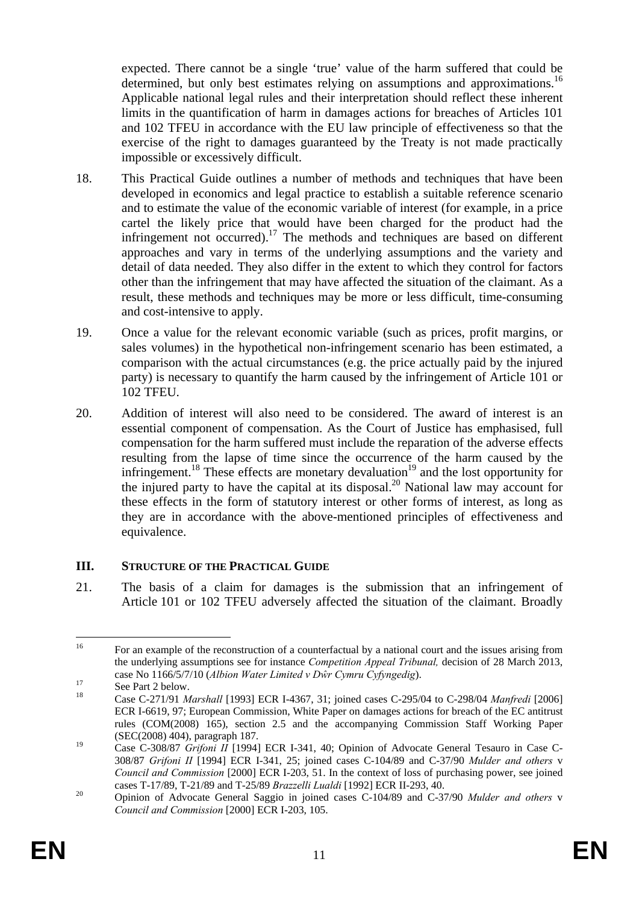expected. There cannot be a single 'true' value of the harm suffered that could be determined, but only best estimates relying on assumptions and approximations.<sup>16</sup> Applicable national legal rules and their interpretation should reflect these inherent limits in the quantification of harm in damages actions for breaches of Articles 101 and 102 TFEU in accordance with the EU law principle of effectiveness so that the exercise of the right to damages guaranteed by the Treaty is not made practically impossible or excessively difficult.

- 18. This Practical Guide outlines a number of methods and techniques that have been developed in economics and legal practice to establish a suitable reference scenario and to estimate the value of the economic variable of interest (for example, in a price cartel the likely price that would have been charged for the product had the infringement not occurred).<sup>17</sup> The methods and techniques are based on different approaches and vary in terms of the underlying assumptions and the variety and detail of data needed. They also differ in the extent to which they control for factors other than the infringement that may have affected the situation of the claimant. As a result, these methods and techniques may be more or less difficult, time-consuming and cost-intensive to apply.
- 19. Once a value for the relevant economic variable (such as prices, profit margins, or sales volumes) in the hypothetical non-infringement scenario has been estimated, a comparison with the actual circumstances (e.g. the price actually paid by the injured party) is necessary to quantify the harm caused by the infringement of Article 101 or 102 TFEU.
- <span id="page-10-1"></span>20. Addition of interest will also need to be considered. The award of interest is an essential component of compensation. As the Court of Justice has emphasised, full compensation for the harm suffered must include the reparation of the adverse effects resulting from the lapse of time since the occurrence of the harm caused by the infringement.<sup>18</sup> These effects are monetary devaluation<sup>19</sup> and the lost opportunity for the injured party to have the capital at its disposal.20 National law may account for these effects in the form of statutory interest or other forms of interest, as long as they are in accordance with the above-mentioned principles of effectiveness and equivalence.

### <span id="page-10-0"></span>**III. STRUCTURE OF THE PRACTICAL GUIDE**

21. The basis of a claim for damages is the submission that an infringement of Article 101 or 102 TFEU adversely affected the situation of the claimant. Broadly

<span id="page-10-2"></span> $16^{1}$ 16 For an example of the reconstruction of a counterfactual by a national court and the issues arising from the underlying assumptions see for instance *Competition Appeal Tribunal,* decision of 28 March 2013, case No 1166/5/7/10 (*Albion Water Limited v Dŵr Cymru Cyfyngedig*).<br>
See Part 2 below.<br>
<sup>18</sup> See C 271/01 M<sub>arch</sub> 1/110021 FGP J 4267, 21, is in a see G 205/

<sup>18</sup> Case C-271/91 *Marshall* [1993] ECR I-4367, 31; joined cases C-295/04 to C-298/04 *Manfredi* [2006] ECR I-6619, 97; European Commission, White Paper on damages actions for breach of the EC antitrust rules (COM(2008) 165), section 2.5 and the accompanying Commission Staff Working Paper (SEC(2008) 404), paragraph 187.

<sup>19</sup> Case C-308/87 *Grifoni II* [1994] ECR I-341, 40; Opinion of Advocate General Tesauro in Case C-308/87 *Grifoni II* [1994] ECR I-341, 25; joined cases C-104/89 and C-37/90 *Mulder and others* v *Council and Commission* [2000] ECR I-203, 51. In the context of loss of purchasing power, see joined cases T-17/89, T-21/89 and T-25/89 *Brazzelli Lualdi* [1992] ECR II-293, 40. 20 Opinion of Advocate General Saggio in joined cases C-104/89 and C-37/90 *Mulder and others* <sup>v</sup>

*Council and Commission* [2000] ECR I-203, 105.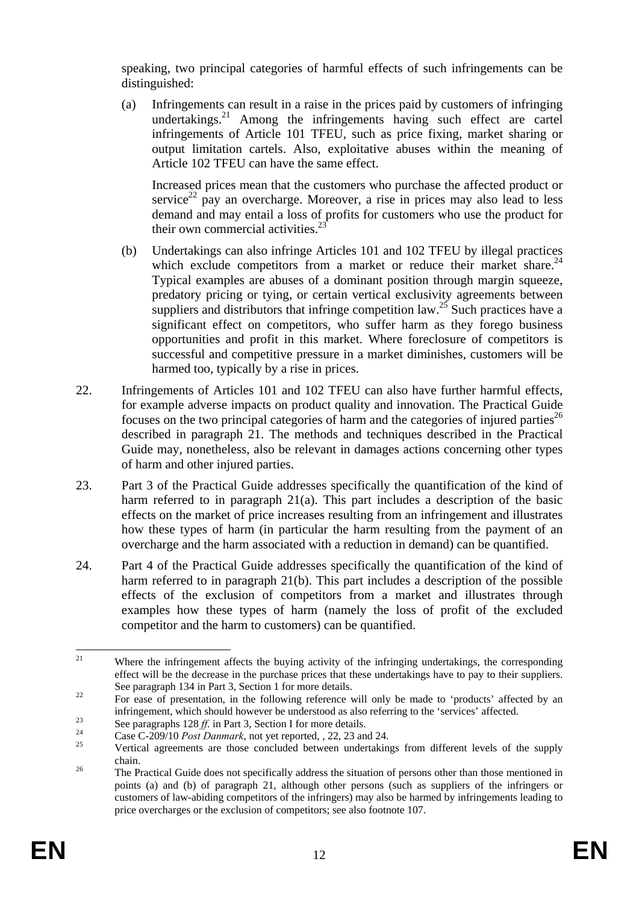speaking, two principal categories of harmful effects of such infringements can be distinguished:

(a) Infringements can result in a raise in the prices paid by customers of infringing undertakings. $21$  Among the infringements having such effect are cartel infringements of Article 101 TFEU, such as price fixing, market sharing or output limitation cartels. Also, exploitative abuses within the meaning of Article 102 TFEU can have the same effect.

Increased prices mean that the customers who purchase the affected product or service<sup>22</sup> pay an overcharge. Moreover, a rise in prices may also lead to less demand and may entail a loss of profits for customers who use the product for their own commercial activities.<sup>23</sup>

- (b) Undertakings can also infringe Articles 101 and 102 TFEU by illegal practices which exclude competitors from a market or reduce their market share.<sup>24</sup> Typical examples are abuses of a dominant position through margin squeeze, predatory pricing or tying, or certain vertical exclusivity agreements between suppliers and distributors that infringe competition law.<sup>25</sup> Such practices have a significant effect on competitors, who suffer harm as they forego business opportunities and profit in this market. Where foreclosure of competitors is successful and competitive pressure in a market diminishes, customers will be harmed too, typically by a rise in prices.
- <span id="page-11-1"></span>22. Infringements of Articles 101 and 102 TFEU can also have further harmful effects, for example adverse impacts on product quality and innovation. The Practical Guide focuses on the two principal categories of harm and the categories of injured parties<sup>26</sup> described in paragraph [21.](#page-11-0) The methods and techniques described in the Practical Guide may, nonetheless, also be relevant in damages actions concerning other types of harm and other injured parties.
- 23. Part 3 of the Practical Guide addresses specifically the quantification of the kind of harm referred to in paragraph [21\(a](#page-11-0)). This part includes a description of the basic effects on the market of price increases resulting from an infringement and illustrates how these types of harm (in particular the harm resulting from the payment of an overcharge and the harm associated with a reduction in demand) can be quantified.
- <span id="page-11-0"></span>24. Part 4 of the Practical Guide addresses specifically the quantification of the kind of harm referred to in paragraph [21\(b](#page-11-0)). This part includes a description of the possible effects of the exclusion of competitors from a market and illustrates through examples how these types of harm (namely the loss of profit of the excluded competitor and the harm to customers) can be quantified.

 $21$ Where the infringement affects the buying activity of the infringing undertakings, the corresponding effect will be the decrease in the purchase prices that these undertakings have to pay to their suppliers. See paragraph [134 i](#page-42-7)n Part 3, Section 1 for more details.<br>
<sup>22</sup> For ease of presentation, in the following reference will only be made to 'products' affected by an

infringement, [which](#page-40-4) should however be understood as also referring to the 'services' affected.<br>
See paragraphs [128](#page-40-4) ff. in Part 3, Section I for more details.<br>
Case C-209/10 *Post Danmark*, not yet reported, , 22, 23 and 24

chain. 26 The Practical Guide does not specifically address the situation of persons other than those mentioned in

points (a) and (b) of paragraph [21,](#page-11-0) although other persons (such as suppliers of the infringers or customers of law-abiding competitors of the infringers) may also be harmed by infringements leading to price overcharges or the exclusion of competitors; see also footnote 107.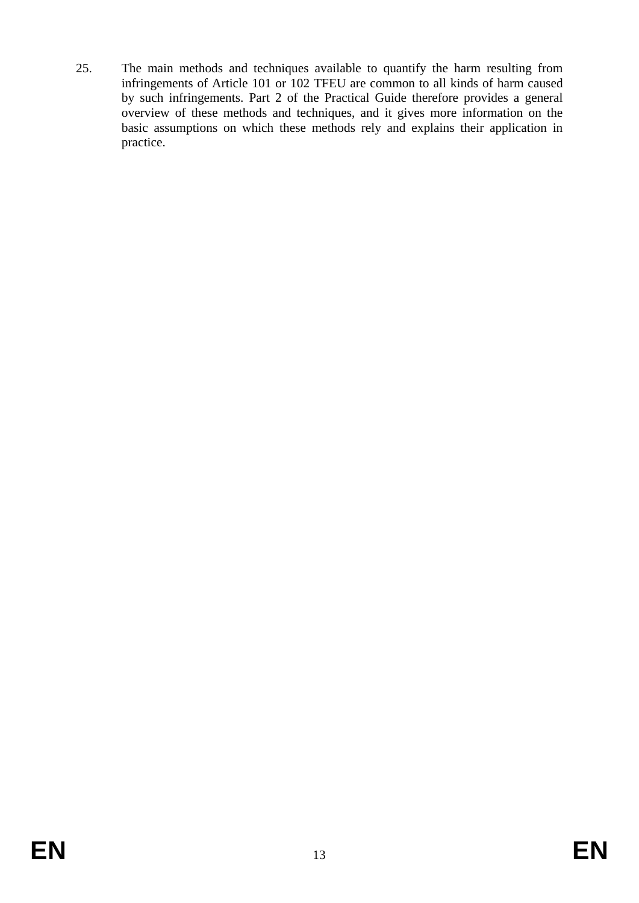<span id="page-12-0"></span>25. The main methods and techniques available to quantify the harm resulting from infringements of Article 101 or 102 TFEU are common to all kinds of harm caused by such infringements. Part 2 of the Practical Guide therefore provides a general overview of these methods and techniques, and it gives more information on the basic assumptions on which these methods rely and explains their application in practice.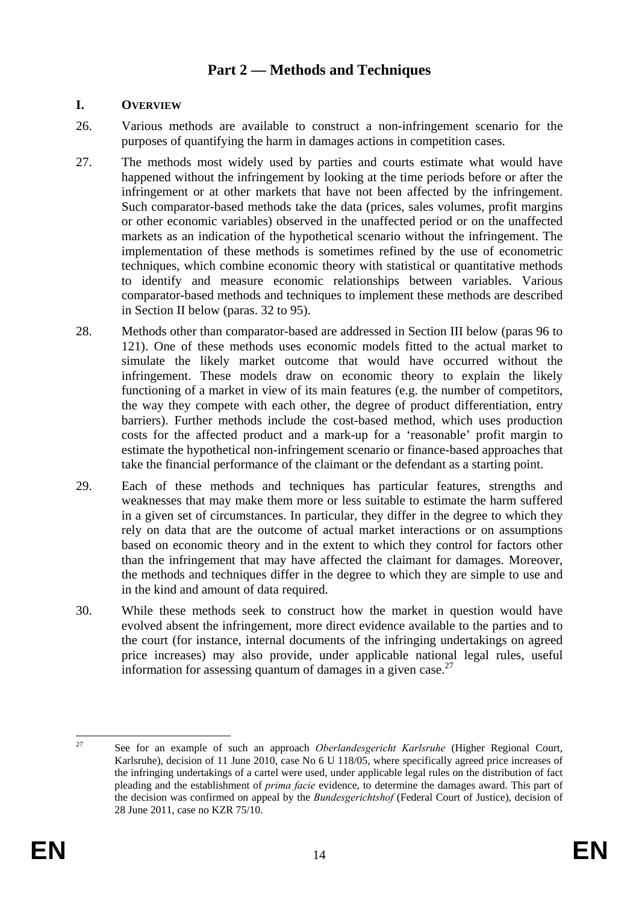## **Part 2 — Methods and Techniques**

### <span id="page-13-1"></span><span id="page-13-0"></span>**I. OVERVIEW**

- <span id="page-13-2"></span>26. Various methods are available to construct a non-infringement scenario for the purposes of quantifying the harm in damages actions in competition cases.
- <span id="page-13-3"></span>27. The methods most widely used by parties and courts estimate what would have happened without the infringement by looking at the time periods before or after the infringement or at other markets that have not been affected by the infringement. Such comparator-based methods take the data (prices, sales volumes, profit margins or other economic variables) observed in the unaffected period or on the unaffected markets as an indication of the hypothetical scenario without the infringement. The implementation of these methods is sometimes refined by the use of econometric techniques, which combine economic theory with statistical or quantitative methods to identify and measure economic relationships between variables. Various comparator-based methods and techniques to implement these methods are described in Section II below (paras. [32 t](#page-14-1)o [95\).](#page-32-2)
- <span id="page-13-4"></span>28. Methods other than comparator-based are addressed in Section III below (paras [96 t](#page-32-4)o [121\)](#page-38-1). One of these methods uses economic models fitted to the actual market to simulate the likely market outcome that would have occurred without the infringement. These models draw on economic theory to explain the likely functioning of a market in view of its main features (e.g. the number of competitors, the way they compete with each other, the degree of product differentiation, entry barriers). Further methods include the cost-based method, which uses production costs for the affected product and a mark-up for a 'reasonable' profit margin to estimate the hypothetical non-infringement scenario or finance-based approaches that take the financial performance of the claimant or the defendant as a starting point.
- 29. Each of these methods and techniques has particular features, strengths and weaknesses that may make them more or less suitable to estimate the harm suffered in a given set of circumstances. In particular, they differ in the degree to which they rely on data that are the outcome of actual market interactions or on assumptions based on economic theory and in the extent to which they control for factors other than the infringement that may have affected the claimant for damages. Moreover, the methods and techniques differ in the degree to which they are simple to use and in the kind and amount of data required.
- 30. While these methods seek to construct how the market in question would have evolved absent the infringement, more direct evidence available to the parties and to the court (for instance, internal documents of the infringing undertakings on agreed price increases) may also provide, under applicable national legal rules, useful information for assessing quantum of damages in a given case.<sup>27</sup>

 $27$ 27 See for an example of such an approach *Oberlandesgericht Karlsruhe* (Higher Regional Court, Karlsruhe), decision of 11 June 2010, case No 6 U 118/05, where specifically agreed price increases of the infringing undertakings of a cartel were used, under applicable legal rules on the distribution of fact pleading and the establishment of *prima facie* evidence, to determine the damages award. This part of the decision was confirmed on appeal by the *Bundesgerichtshof* (Federal Court of Justice), decision of 28 June 2011, case no KZR 75/10.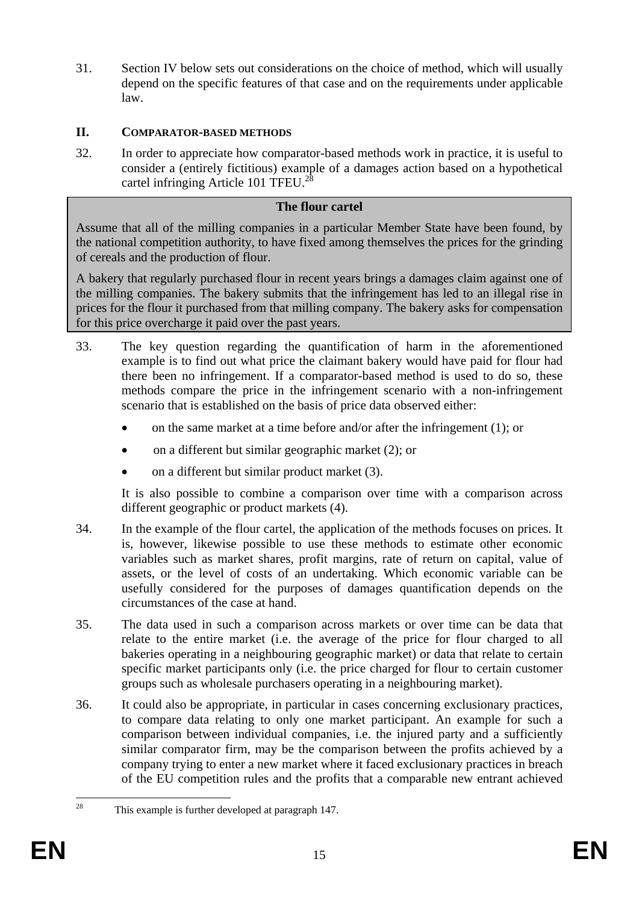<span id="page-14-2"></span>31. Section IV below sets out considerations on the choice of method, which will usually depend on the specific features of that case and on the requirements under applicable law.

### <span id="page-14-1"></span><span id="page-14-0"></span>**II. COMPARATOR-BASED METHODS**

32. In order to appreciate how comparator-based methods work in practice, it is useful to consider a (entirely fictitious) example of a damages action based on a hypothetical cartel infringing Article 101 TFEU.<sup>2</sup>

### **The flour cartel**

Assume that all of the milling companies in a particular Member State have been found, by the national competition authority, to have fixed among themselves the prices for the grinding of cereals and the production of flour.

A bakery that regularly purchased flour in recent years brings a damages claim against one of the milling companies. The bakery submits that the infringement has led to an illegal rise in prices for the flour it purchased from that milling company. The bakery asks for compensation for this price overcharge it paid over the past years.

- 33. The key question regarding the quantification of harm in the aforementioned example is to find out what price the claimant bakery would have paid for flour had there been no infringement. If a comparator-based method is used to do so, these methods compare the price in the infringement scenario with a non-infringement scenario that is established on the basis of price data observed either:
	- on the same market at a time before and/or after the infringement (1); or
	- on a different but similar geographic market (2); or
	- on a different but similar product market (3).

It is also possible to combine a comparison over time with a comparison across different geographic or product markets (4).

- 34. In the example of the flour cartel, the application of the methods focuses on prices. It is, however, likewise possible to use these methods to estimate other economic variables such as market shares, profit margins, rate of return on capital, value of assets, or the level of costs of an undertaking. Which economic variable can be usefully considered for the purposes of damages quantification depends on the circumstances of the case at hand.
- 35. The data used in such a comparison across markets or over time can be data that relate to the entire market (i.e. the average of the price for flour charged to all bakeries operating in a neighbouring geographic market) or data that relate to certain specific market participants only (i.e. the price charged for flour to certain customer groups such as wholesale purchasers operating in a neighbouring market).
- 36. It could also be appropriate, in particular in cases concerning exclusionary practices, to compare data relating to only one market participant. An example for such a comparison between individual companies, i.e. the injured party and a sufficiently similar comparator firm, may be the comparison between the profits achieved by a company trying to enter a new market where it faced exclusionary practices in breach of the EU competition rules and the profits that a comparable new entrant achieved

<sup>28</sup> This example is further developed at paragraph 147.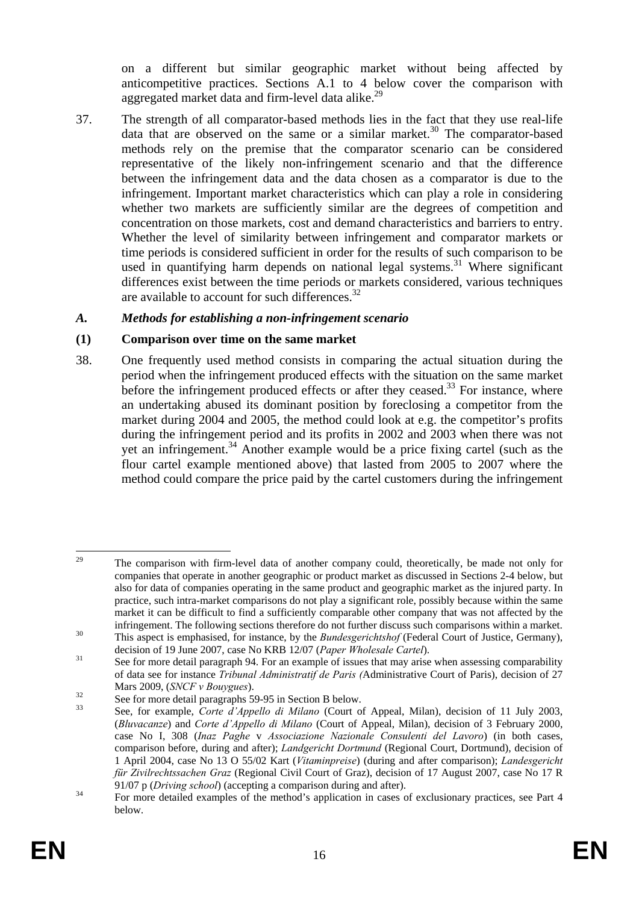on a different but similar geographic market without being affected by anticompetitive practices. Sections A.1 to 4 below cover the comparison with aggregated market data and firm-level data alike.<sup>29</sup>

<span id="page-15-2"></span>37. The strength of all comparator-based methods lies in the fact that they use real-life data that are observed on the same or a similar market.<sup>30</sup> The comparator-based methods rely on the premise that the comparator scenario can be considered representative of the likely non-infringement scenario and that the difference between the infringement data and the data chosen as a comparator is due to the infringement. Important market characteristics which can play a role in considering whether two markets are sufficiently similar are the degrees of competition and concentration on those markets, cost and demand characteristics and barriers to entry. Whether the level of similarity between infringement and comparator markets or time periods is considered sufficient in order for the results of such comparison to be used in quantifying harm depends on national legal systems.<sup>31</sup> Where significant differences exist between the time periods or markets considered, various techniques are available to account for such differences.<sup>32</sup>

### <span id="page-15-0"></span>*A. Methods for establishing a non-infringement scenario*

### <span id="page-15-1"></span>**(1) Comparison over time on the same market**

38. One frequently used method consists in comparing the actual situation during the period when the infringement produced effects with the situation on the same market before the infringement produced effects or after they ceased.<sup>33</sup> For instance, where an undertaking abused its dominant position by foreclosing a competitor from the market during 2004 and 2005, the method could look at e.g. the competitor's profits during the infringement period and its profits in 2002 and 2003 when there was not yet an infringement.34 Another example would be a price fixing cartel (such as the flour cartel example mentioned above) that lasted from 2005 to 2007 where the method could compare the price paid by the cartel customers during the infringement

<sup>29</sup> The comparison with firm-level data of another company could, theoretically, be made not only for companies that operate in another geographic or product market as discussed in Sections 2-4 below, but also for data of companies operating in the same product and geographic market as the injured party. In practice, such intra-market comparisons do not play a significant role, possibly because within the same market it can be difficult to find a sufficiently comparable other company that was not affected by the

<span id="page-15-3"></span>infringement. The following sections therefore do not further discuss such comparisons within a market.<br><sup>30</sup> This aspect is emphasised, for instance, by the *Bundesgerichtshof* (Federal Court of Justice, Germany), decision of 19 June 2007, case No KRB 12/07 (*Paper Wholesale Cartel*).<br><sup>31</sup> See for more detail paragraph [94.](#page-31-3) For an example of issues that may arise when assessing comparability

of data see for instance *Tribunal Administratif de Paris (*Administrative Court of Paris), decision of 27 Mars 2009, (*SNCF v Bouygues*).<br>
See for more detail paragraph[s 59-](#page-21-5)[95 i](#page-31-4)n Section B below.

<sup>33</sup> See, for example, *Corte d'Appello di Milano* (Court of Appeal, Milan), decision of 11 July 2003, (*Bluvacanze*) and *Corte d'Appello di Milano* (Court of Appeal, Milan), decision of 3 February 2000, case No I, 308 (*Inaz Paghe* v *Associazione Nazionale Consulenti del Lavoro*) (in both cases, comparison before, during and after); *Landgericht Dortmund* (Regional Court, Dortmund), decision of 1 April 2004, case No 13 O 55/02 Kart (*Vitaminpreise*) (during and after comparison); *Landesgericht für Zivilrechtssachen Graz* (Regional Civil Court of Graz), decision of 17 August 2007, case No 17 R

<sup>91/07</sup> p (*Driving school*) (accepting a comparison during and after).<br><sup>34</sup> For more detailed examples of the method's application in cases of exclusionary practices, see Part 4 below.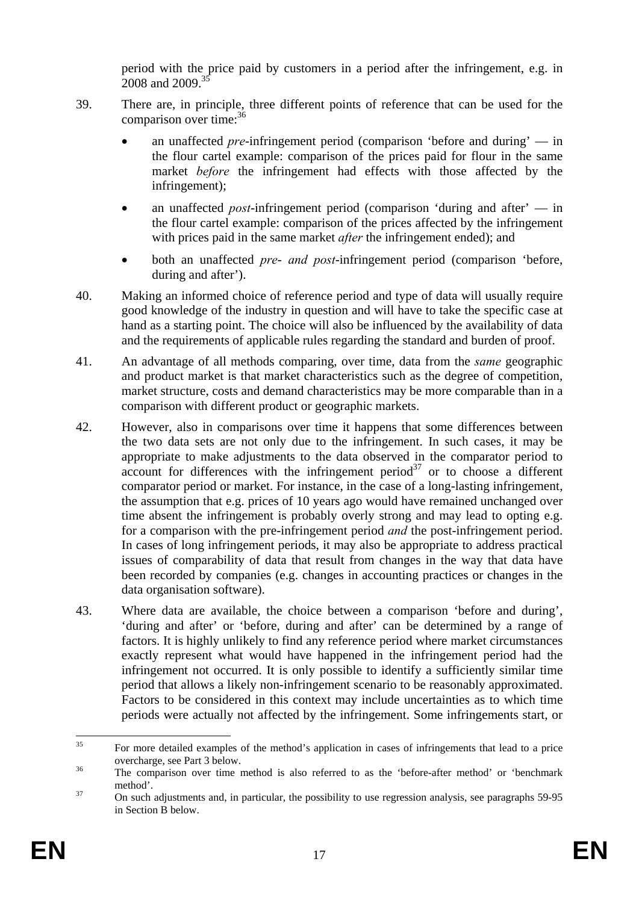period with the price paid by customers in a period after the infringement, e.g. in 2008 and 2009.<sup>35</sup>

- <span id="page-16-0"></span>39. There are, in principle, three different points of reference that can be used for the comparison over time:<sup>36</sup>
	- an unaffected *pre*-infringement period (comparison 'before and during' in the flour cartel example: comparison of the prices paid for flour in the same market *before* the infringement had effects with those affected by the infringement);
	- an unaffected *post*-infringement period (comparison 'during and after' in the flour cartel example: comparison of the prices affected by the infringement with prices paid in the same market *after* the infringement ended); and
	- both an unaffected *pre and post*-infringement period (comparison 'before, during and after').
- <span id="page-16-1"></span>40. Making an informed choice of reference period and type of data will usually require good knowledge of the industry in question and will have to take the specific case at hand as a starting point. The choice will also be influenced by the availability of data and the requirements of applicable rules regarding the standard and burden of proof.
- <span id="page-16-2"></span>41. An advantage of all methods comparing, over time, data from the *same* geographic and product market is that market characteristics such as the degree of competition, market structure, costs and demand characteristics may be more comparable than in a comparison with different product or geographic markets.
- 42. However, also in comparisons over time it happens that some differences between the two data sets are not only due to the infringement. In such cases, it may be appropriate to make adjustments to the data observed in the comparator period to  $\frac{1}{2}$  account for differences with the infringement period<sup>37</sup> or to choose a different comparator period or market. For instance, in the case of a long-lasting infringement, the assumption that e.g. prices of 10 years ago would have remained unchanged over time absent the infringement is probably overly strong and may lead to opting e.g. for a comparison with the pre-infringement period *and* the post-infringement period. In cases of long infringement periods, it may also be appropriate to address practical issues of comparability of data that result from changes in the way that data have been recorded by companies (e.g. changes in accounting practices or changes in the data organisation software).
- 43. Where data are available, the choice between a comparison 'before and during', 'during and after' or 'before, during and after' can be determined by a range of factors. It is highly unlikely to find any reference period where market circumstances exactly represent what would have happened in the infringement period had the infringement not occurred. It is only possible to identify a sufficiently similar time period that allows a likely non-infringement scenario to be reasonably approximated. Factors to be considered in this context may include uncertainties as to which time periods were actually not affected by the infringement. Some infringements start, or

<sup>35</sup> 35 For more detailed examples of the method's application in cases of infringements that lead to a price overcharge, see Part 3 below.<br><sup>36</sup> The comparison over time method is also referred to as the 'before-after method' or 'benchmark

method'.<br>37 On such adjustments and, in particular, the possibility to use regression analysis, see paragraphs [59-](#page-21-5)95

in Section B below.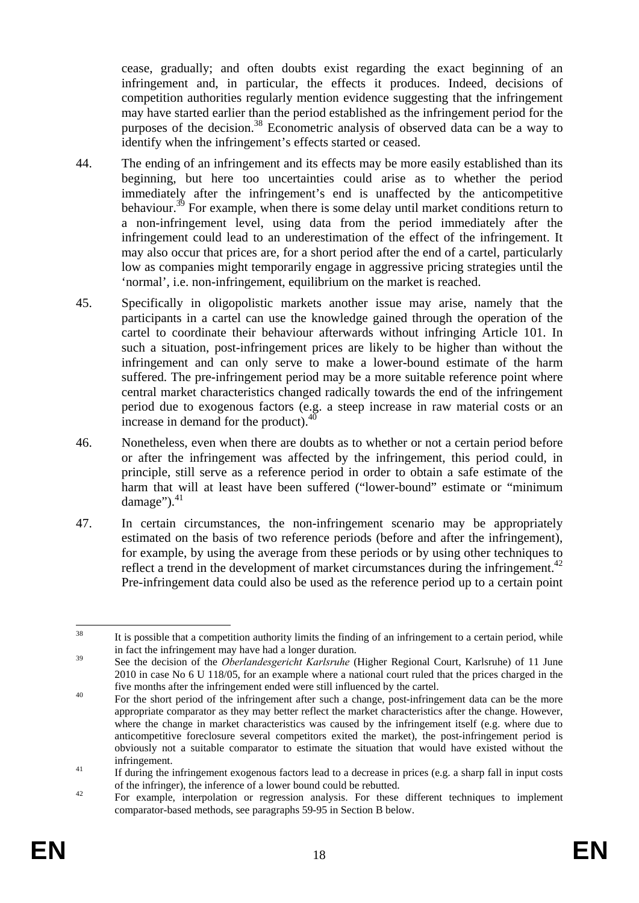cease, gradually; and often doubts exist regarding the exact beginning of an infringement and, in particular, the effects it produces. Indeed, decisions of competition authorities regularly mention evidence suggesting that the infringement may have started earlier than the period established as the infringement period for the purposes of the decision.<sup>38</sup> Econometric analysis of observed data can be a way to identify when the infringement's effects started or ceased.

- <span id="page-17-1"></span>44. The ending of an infringement and its effects may be more easily established than its beginning, but here too uncertainties could arise as to whether the period immediately after the infringement's end is unaffected by the anticompetitive behaviour.<sup>39</sup> For example, when there is some delay until market conditions return to a non-infringement level, using data from the period immediately after the infringement could lead to an underestimation of the effect of the infringement. It may also occur that prices are, for a short period after the end of a cartel, particularly low as companies might temporarily engage in aggressive pricing strategies until the 'normal', i.e. non-infringement, equilibrium on the market is reached.
- <span id="page-17-2"></span>45. Specifically in oligopolistic markets another issue may arise, namely that the participants in a cartel can use the knowledge gained through the operation of the cartel to coordinate their behaviour afterwards without infringing Article 101. In such a situation, post-infringement prices are likely to be higher than without the infringement and can only serve to make a lower-bound estimate of the harm suffered. The pre-infringement period may be a more suitable reference point where central market characteristics changed radically towards the end of the infringement period due to exogenous factors (e.g. a steep increase in raw material costs or an increase in demand for the product).<sup>4</sup>
- 46. Nonetheless, even when there are doubts as to whether or not a certain period before or after the infringement was affected by the infringement, this period could, in principle, still serve as a reference period in order to obtain a safe estimate of the harm that will at least have been suffered ("lower-bound" estimate or "minimum damage"). $41$
- 47. In certain circumstances, the non-infringement scenario may be appropriately estimated on the basis of two reference periods (before and after the infringement), for example, by using the average from these periods or by using other techniques to reflect a trend in the development of market circumstances during the infringement.<sup>42</sup> Pre-infringement data could also be used as the reference period up to a certain point

<span id="page-17-0"></span> $38$ It is possible that a competition authority limits the finding of an infringement to a certain period, while in fact the infringement may have had a longer duration.

<sup>&</sup>lt;sup>39</sup> See the decision of the *Oberlandesgericht Karlsruhe* (Higher Regional Court, Karlsruhe) of 11 June 2010 in case No 6 U 118/05, for an example where a national court ruled that the prices charged in the five months after the infringement ended were still influenced by the cartel.<br><sup>40</sup> For the short period of the infringement after such a change, post-infringement data can be the more

appropriate comparator as they may better reflect the market characteristics after the change. However, where the change in market characteristics was caused by the infringement itself (e.g. where due to anticompetitive foreclosure several competitors exited the market), the post-infringement period is obviously not a suitable comparator to estimate the situation that would have existed without the infringement.<br><sup>41</sup> If during the infringement exogenous factors lead to a decrease in prices (e.g. a sharp fall in input costs

of the infringer), the inference of a lower bound could be rebutted.<br><sup>42</sup> For example, interpolation or regression analysis. For these different techniques to implement

[comparator-based methods, see paragraphs 59-95 in Section B below.](#page-21-5)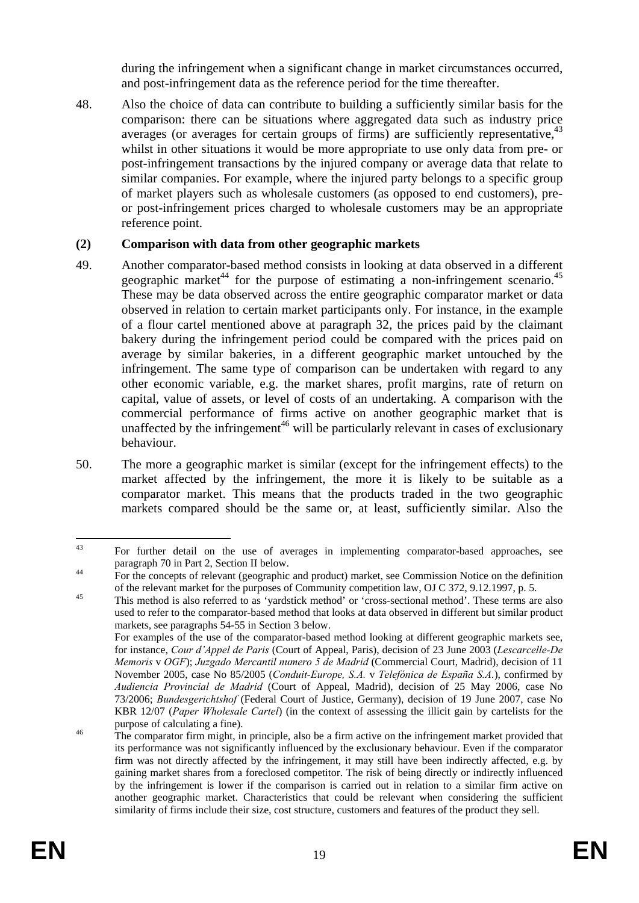during the infringement when a significant change in market circumstances occurred, and post-infringement data as the reference period for the time thereafter.

<span id="page-18-1"></span>48. Also the choice of data can contribute to building a sufficiently similar basis for the comparison: there can be situations where aggregated data such as industry price averages (or averages for certain groups of firms) are sufficiently representative,  $43$ whilst in other situations it would be more appropriate to use only data from pre- or post-infringement transactions by the injured company or average data that relate to similar companies. For example, where the injured party belongs to a specific group of market players such as wholesale customers (as opposed to end customers), preor post-infringement prices charged to wholesale customers may be an appropriate reference point.

### <span id="page-18-0"></span>**(2) Comparison with data from other geographic markets**

- <span id="page-18-2"></span>49. Another comparator-based method consists in looking at data observed in a different geographic market<sup>44</sup> for the purpose of estimating a non-infringement scenario.<sup>45</sup> These may be data observed across the entire geographic comparator market or data observed in relation to certain market participants only. For instance, in the example of a flour cartel mentioned above at paragraph [32,](#page-14-1) the prices paid by the claimant bakery during the infringement period could be compared with the prices paid on average by similar bakeries, in a different geographic market untouched by the infringement. The same type of comparison can be undertaken with regard to any other economic variable, e.g. the market shares, profit margins, rate of return on capital, value of assets, or level of costs of an undertaking. A comparison with the commercial performance of firms active on another geographic market that is unaffected by the infringement<sup>46</sup> will be particularly relevant in cases of exclusionary behaviour.
- 50. The more a geographic market is similar (except for the infringement effects) to the market affected by the infringement, the more it is likely to be suitable as a comparator market. This means that the products traded in the two geographic markets compared should be the same or, at least, sufficiently similar. Also the

<sup>43</sup> 43 For further detail on the use of averages in implementing comparator-based approaches, see paragrap[h 70 i](#page-24-1)n Part 2, Section II below.<br>
For the concepts of relevant (geographic and product) market, see Commission Notice on the definition

[of the relevant market for the purposes of Community competition law,](http://eur-lex.europa.eu/LexUriServ/LexUriServ.do?uri=CELEX:31997Y1209(01):EN:NOT) OJ C 372, 9.12.1997, p. 5.<br>This method is also referred to as 'yardstick method' or 'cross-sectional method'. These terms are also used to refer to the comparator-based method that looks at data observed in different but similar product markets, see paragraph[s 54-](#page-19-3)[55 i](#page-20-2)n Section 3 below.

For examples of the use of the comparator-based method looking at different geographic markets see, for instance, *Cour d'Appel de Paris* (Court of Appeal, Paris), decision of 23 June 2003 (*Lescarcelle-De Memoris* v *OGF*); *Juzgado Mercantil numero 5 de Madrid* (Commercial Court, Madrid), decision of 11 November 2005, case No 85/2005 (*Conduit-Europe, S.A.* v *Telefónica de España S.A.*), confirmed by *Audiencia Provincial de Madrid* (Court of Appeal, Madrid), decision of 25 May 2006, case No 73/2006; *Bundesgerichtshof* (Federal Court of Justice, Germany), decision of 19 June 2007, case No KBR 12/07 (*Paper Wholesale Cartel*) (in the context of assessing the illicit gain by cartelists for the

purpose of calculating a fine).<br>The comparator firm might, in principle, also be a firm active on the infringement market provided that its performance was not significantly influenced by the exclusionary behaviour. Even if the comparator firm was not directly affected by the infringement, it may still have been indirectly affected, e.g. by gaining market shares from a foreclosed competitor. The risk of being directly or indirectly influenced by the infringement is lower if the comparison is carried out in relation to a similar firm active on another geographic market. Characteristics that could be relevant when considering the sufficient similarity of firms include their size, cost structure, customers and features of the product they sell.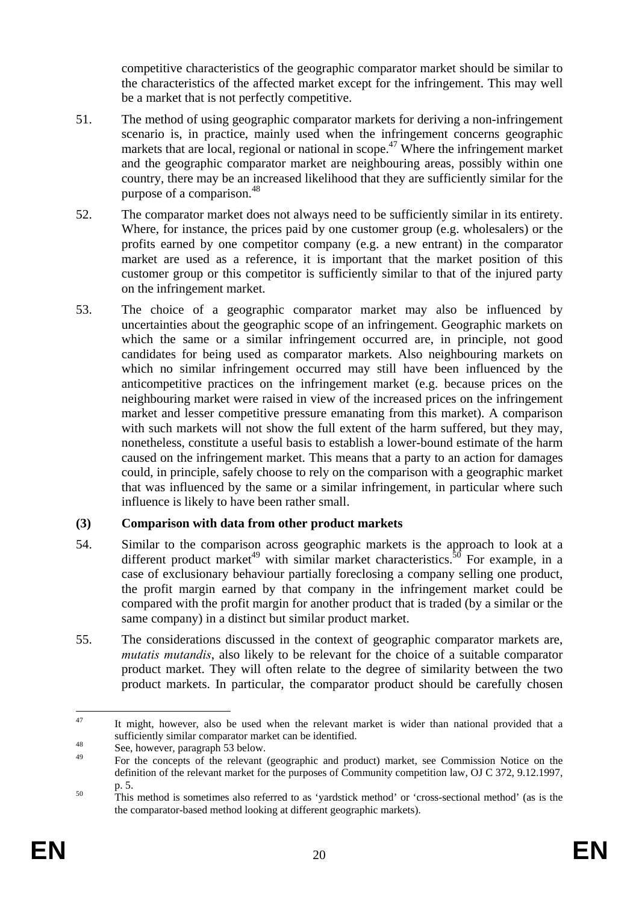competitive characteristics of the geographic comparator market should be similar to the characteristics of the affected market except for the infringement. This may well be a market that is not perfectly competitive.

- 51. The method of using geographic comparator markets for deriving a non-infringement scenario is, in practice, mainly used when the infringement concerns geographic markets that are local, regional or national in scope.<sup> $47$ </sup> Where the infringement market and the geographic comparator market are neighbouring areas, possibly within one country, there may be an increased likelihood that they are sufficiently similar for the purpose of a comparison.<sup>48</sup>
- 52. The comparator market does not always need to be sufficiently similar in its entirety. Where, for instance, the prices paid by one customer group (e.g. wholesalers) or the profits earned by one competitor company (e.g. a new entrant) in the comparator market are used as a reference, it is important that the market position of this customer group or this competitor is sufficiently similar to that of the injured party on the infringement market.
- <span id="page-19-2"></span>53. The choice of a geographic comparator market may also be influenced by uncertainties about the geographic scope of an infringement. Geographic markets on which the same or a similar infringement occurred are, in principle, not good candidates for being used as comparator markets. Also neighbouring markets on which no similar infringement occurred may still have been influenced by the anticompetitive practices on the infringement market (e.g. because prices on the neighbouring market were raised in view of the increased prices on the infringement market and lesser competitive pressure emanating from this market). A comparison with such markets will not show the full extent of the harm suffered, but they may, nonetheless, constitute a useful basis to establish a lower-bound estimate of the harm caused on the infringement market. This means that a party to an action for damages could, in principle, safely choose to rely on the comparison with a geographic market that was influenced by the same or a similar infringement, in particular where such influence is likely to have been rather small.

### <span id="page-19-1"></span><span id="page-19-0"></span>**(3) Comparison with data from other product markets**

- <span id="page-19-3"></span>54. Similar to the comparison across geographic markets is the approach to look at a different product market<sup>49</sup> with similar market characteristics.<sup>50</sup> For example, in a case of exclusionary behaviour partially foreclosing a company selling one product, the profit margin earned by that company in the infringement market could be compared with the profit margin for another product that is traded (by a similar or the same company) in a distinct but similar product market.
- 55. The considerations discussed in the context of geographic comparator markets are, *mutatis mutandis*, also likely to be relevant for the choice of a suitable comparator product market. They will often relate to the degree of similarity between the two product markets. In particular, the comparator product should be carefully chosen

 $47$ It might, however, also be used when the relevant market is wider than national provided that a sufficiently similar com[parat](#page-19-2)or market can be identified.<br>
See, however, paragrap[h 53 b](#page-19-2)elow.

<sup>49</sup> For the concepts of the relevant (geographic and product) market, see [Commission Notice on the](http://eur-lex.europa.eu/LexUriServ/LexUriServ.do?uri=CELEX:31997Y1209(01):EN:NOT)  [definition of the relevant market for the purposes of Community competition law,](http://eur-lex.europa.eu/LexUriServ/LexUriServ.do?uri=CELEX:31997Y1209(01):EN:NOT) OJ C 372, 9.12.1997, p. 5.<br>This method is sometimes also referred to as 'yardstick method' or 'cross-sectional method' (as is the

the comparator-based method looking at different geographic markets).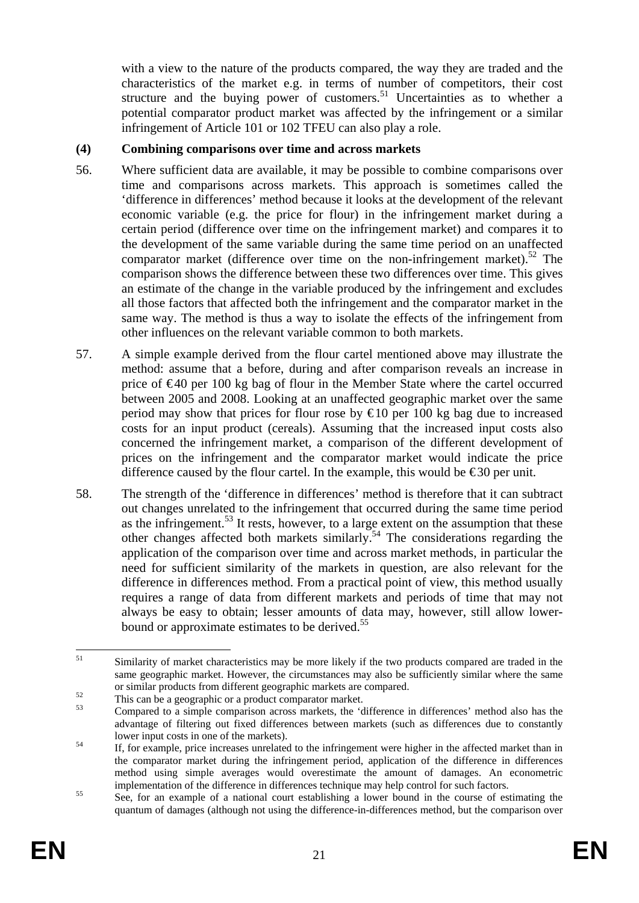with a view to the nature of the products compared, the way they are traded and the characteristics of the market e.g. in terms of number of competitors, their cost structure and the buying power of customers.<sup>51</sup> Uncertainties as to whether a potential comparator product market was affected by the infringement or a similar infringement of Article 101 or 102 TFEU can also play a role.

#### <span id="page-20-0"></span>**(4) Combining comparisons over time and across markets**

- <span id="page-20-3"></span>56. Where sufficient data are available, it may be possible to combine comparisons over time and comparisons across markets. This approach is sometimes called the 'difference in differences' method because it looks at the development of the relevant economic variable (e.g. the price for flour) in the infringement market during a certain period (difference over time on the infringement market) and compares it to the development of the same variable during the same time period on an unaffected comparator market (difference over time on the non-infringement market).<sup>52</sup> The comparison shows the difference between these two differences over time. This gives an estimate of the change in the variable produced by the infringement and excludes all those factors that affected both the infringement and the comparator market in the same way. The method is thus a way to isolate the effects of the infringement from other influences on the relevant variable common to both markets.
- 57. A simple example derived from the flour cartel mentioned above may illustrate the method: assume that a before, during and after comparison reveals an increase in price of €40 per 100 kg bag of flour in the Member State where the cartel occurred between 2005 and 2008. Looking at an unaffected geographic market over the same period may show that prices for flour rose by  $\epsilon$ 10 per 100 kg bag due to increased costs for an input product (cereals). Assuming that the increased input costs also concerned the infringement market, a comparison of the different development of prices on the infringement and the comparator market would indicate the price difference caused by the flour cartel. In the example, this would be  $\epsilon$ 30 per unit.
- <span id="page-20-1"></span>58. The strength of the 'difference in differences' method is therefore that it can subtract out changes unrelated to the infringement that occurred during the same time period as the infringement.<sup>53</sup> It rests, however, to a large extent on the assumption that these other changes affected both markets similarly.<sup>54</sup> The considerations regarding the application of the comparison over time and across market methods, in particular the need for sufficient similarity of the markets in question, are also relevant for the difference in differences method. From a practical point of view, this method usually requires a range of data from different markets and periods of time that may not always be easy to obtain; lesser amounts of data may, however, still allow lowerbound or approximate estimates to be derived.<sup>55</sup>

<span id="page-20-2"></span> $51$ Similarity of market characteristics may be more likely if the two products compared are traded in the same geographic market. However, the circumstances may also be sufficiently similar where the same or similar products from different geographic markets are compared.<br>This can be a geographic or a product comparator market.

<sup>53</sup> Compared to a simple comparison across markets, the 'difference in differences' method also has the advantage of filtering out fixed differences between markets (such as differences due to constantly <sup>54</sup> If, for example, price increases unrelated to the infringement were higher in the affected market than in

the comparator market during the infringement period, application of the difference in differences method using simple averages would overestimate the amount of damages. An econometric implementation of the difference in differences technique may help control for such factors.<br>See, for an example of a national court establishing a lower bound in the course of estimating the

quantum of damages (although not using the difference-in-differences method, but the comparison over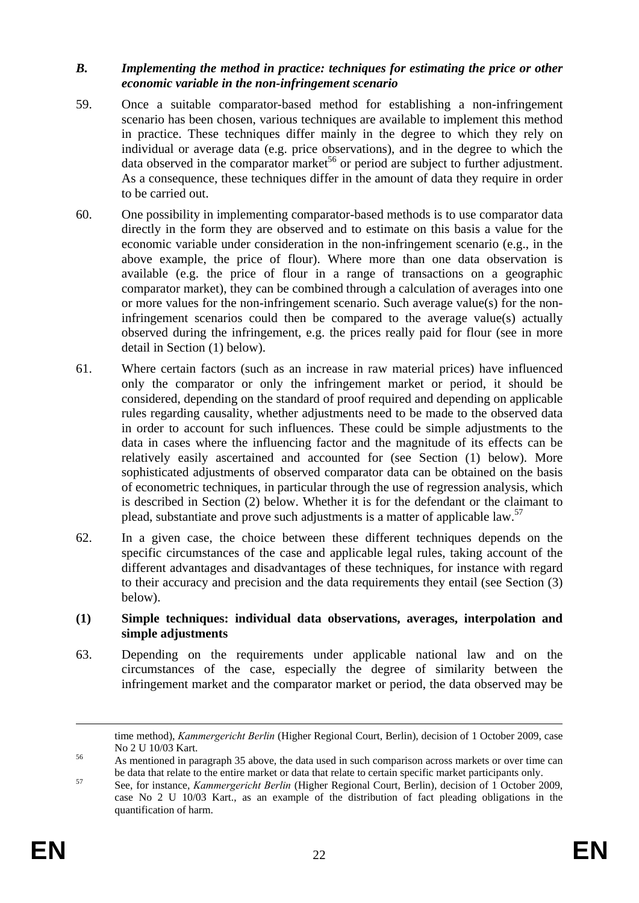#### <span id="page-21-0"></span>*B. Implementing the method in practice: techniques for estimating the price or other economic variable in the non-infringement scenario*

- <span id="page-21-5"></span>59. Once a suitable comparator-based method for establishing a non-infringement scenario has been chosen, various techniques are available to implement this method in practice. These techniques differ mainly in the degree to which they rely on individual or average data (e.g. price observations), and in the degree to which the data observed in the comparator market<sup>56</sup> or period are subject to further adjustment. As a consequence, these techniques differ in the amount of data they require in order to be carried out.
- <span id="page-21-2"></span>60. One possibility in implementing comparator-based methods is to use comparator data directly in the form they are observed and to estimate on this basis a value for the economic variable under consideration in the non-infringement scenario (e.g., in the above example, the price of flour). Where more than one data observation is available (e.g. the price of flour in a range of transactions on a geographic comparator market), they can be combined through a calculation of averages into one or more values for the non-infringement scenario. Such average value(s) for the noninfringement scenarios could then be compared to the average value(s) actually observed during the infringement, e.g. the prices really paid for flour (see in more detail in Section (1) below).
- <span id="page-21-3"></span>61. Where certain factors (such as an increase in raw material prices) have influenced only the comparator or only the infringement market or period, it should be considered, depending on the standard of proof required and depending on applicable rules regarding causality, whether adjustments need to be made to the observed data in order to account for such influences. These could be simple adjustments to the data in cases where the influencing factor and the magnitude of its effects can be relatively easily ascertained and accounted for (see Section (1) below). More sophisticated adjustments of observed comparator data can be obtained on the basis of econometric techniques, in particular through the use of regression analysis, which is described in Section (2) below. Whether it is for the defendant or the claimant to plead, substantiate and prove such adjustments is a matter of applicable law.<sup>57</sup>
- <span id="page-21-4"></span>62. In a given case, the choice between these different techniques depends on the specific circumstances of the case and applicable legal rules, taking account of the different advantages and disadvantages of these techniques, for instance with regard to their accuracy and precision and the data requirements they entail (see Section (3) below).

#### <span id="page-21-1"></span>**(1) Simple techniques: individual data observations, averages, interpolation and simple adjustments**

63. Depending on the requirements under applicable national law and on the circumstances of the case, especially the degree of similarity between the infringement market and the comparator market or period, the data observed may be

time method), *Kammergericht Berlin* (Higher Regional Court, Berlin), decision of 1 October 2009, case

No 2 U 10/03 Kart.<br>
As mentioned in paragraph [35 a](#page-15-3)bove, the data used in such comparison across markets or over time can be data that relate to the entire market or data that relate to certain specific market participants only.<br>See, for instance, *Kammergericht Berlin* (Higher Regional Court, Berlin), decision of 1 October 2009,

case No 2 U 10/03 Kart., as an example of the distribution of fact pleading obligations in the quantification of harm.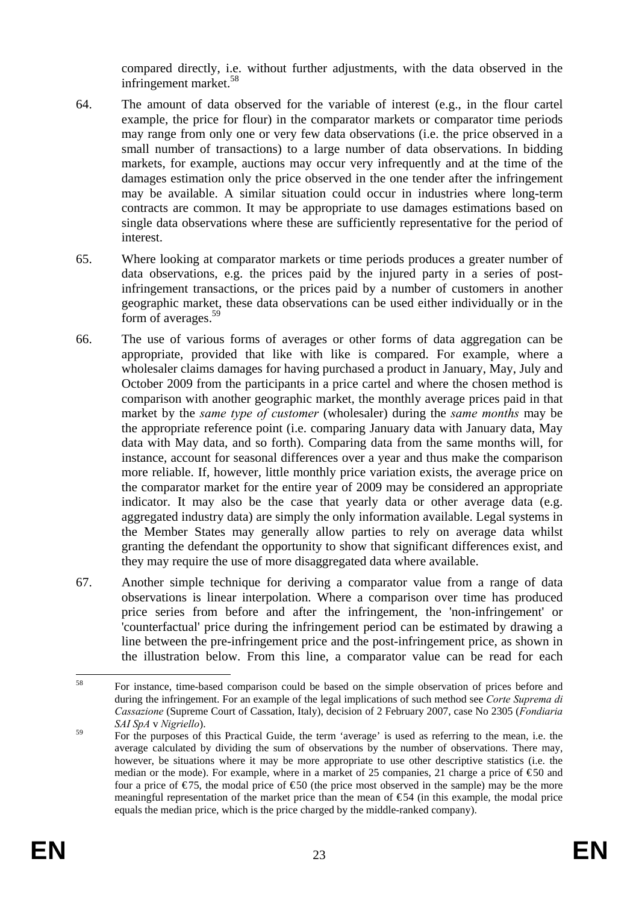compared directly, i.e. without further adjustments, with the data observed in the infringement market.58

- <span id="page-22-0"></span>64. The amount of data observed for the variable of interest (e.g., in the flour cartel example, the price for flour) in the comparator markets or comparator time periods may range from only one or very few data observations (i.e. the price observed in a small number of transactions) to a large number of data observations. In bidding markets, for example, auctions may occur very infrequently and at the time of the damages estimation only the price observed in the one tender after the infringement may be available. A similar situation could occur in industries where long-term contracts are common. It may be appropriate to use damages estimations based on single data observations where these are sufficiently representative for the period of interest.
- 65. Where looking at comparator markets or time periods produces a greater number of data observations, e.g. the prices paid by the injured party in a series of postinfringement transactions, or the prices paid by a number of customers in another geographic market, these data observations can be used either individually or in the form of averages.<sup>59</sup>
- <span id="page-22-1"></span>66. The use of various forms of averages or other forms of data aggregation can be appropriate, provided that like with like is compared. For example, where a wholesaler claims damages for having purchased a product in January, May, July and October 2009 from the participants in a price cartel and where the chosen method is comparison with another geographic market, the monthly average prices paid in that market by the *same type of customer* (wholesaler) during the *same months* may be the appropriate reference point (i.e. comparing January data with January data, May data with May data, and so forth). Comparing data from the same months will, for instance, account for seasonal differences over a year and thus make the comparison more reliable. If, however, little monthly price variation exists, the average price on the comparator market for the entire year of 2009 may be considered an appropriate indicator. It may also be the case that yearly data or other average data (e.g. aggregated industry data) are simply the only information available. Legal systems in the Member States may generally allow parties to rely on average data whilst granting the defendant the opportunity to show that significant differences exist, and they may require the use of more disaggregated data where available.
- 67. Another simple technique for deriving a comparator value from a range of data observations is linear interpolation. Where a comparison over time has produced price series from before and after the infringement, the 'non-infringement' or 'counterfactual' price during the infringement period can be estimated by drawing a line between the pre-infringement price and the post-infringement price, as shown in the illustration below. From this line, a comparator value can be read for each

<span id="page-22-2"></span> $58$ 58 For instance, time-based comparison could be based on the simple observation of prices before and during the infringement. For an example of the legal implications of such method see *Corte Suprema di Cassazione* (Supreme Court of Cassation, Italy), decision of 2 February 2007, case No 2305 (*Fondiaria SAI SpA* v *Nigriello*).

<sup>&</sup>lt;sup>59</sup> For the purposes of this Practical Guide, the term 'average' is used as referring to the mean, i.e. the average calculated by dividing the sum of observations by the number of observations. There may, however, be situations where it may be more appropriate to use other descriptive statistics (i.e. the median or the mode). For example, where in a market of 25 companies, 21 charge a price of  $\epsilon$ 50 and four a price of  $\epsilon$ 75, the modal price of  $\epsilon$ 50 (the price most observed in the sample) may be the more meaningful representation of the market price than the mean of  $\epsilon$ 54 (in this example, the modal price equals the median price, which is the price charged by the middle-ranked company).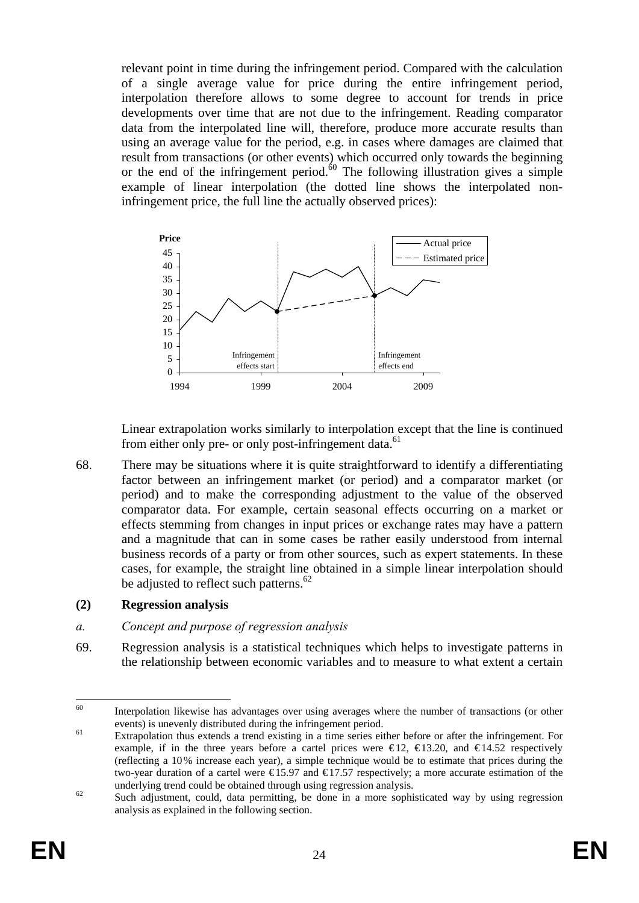relevant point in time during the infringement period. Compared with the calculation of a single average value for price during the entire infringement period, interpolation therefore allows to some degree to account for trends in price developments over time that are not due to the infringement. Reading comparator data from the interpolated line will, therefore, produce more accurate results than using an average value for the period, e.g. in cases where damages are claimed that result from transactions (or other events) which occurred only towards the beginning or the end of the infringement period.<sup>60</sup> The following illustration gives a simple example of linear interpolation (the dotted line shows the interpolated noninfringement price, the full line the actually observed prices):



Linear extrapolation works similarly to interpolation except that the line is continued from either only pre- or only post-infringement data. $^{61}$ 

<span id="page-23-3"></span>68. There may be situations where it is quite straightforward to identify a differentiating factor between an infringement market (or period) and a comparator market (or period) and to make the corresponding adjustment to the value of the observed comparator data. For example, certain seasonal effects occurring on a market or effects stemming from changes in input prices or exchange rates may have a pattern and a magnitude that can in some cases be rather easily understood from internal business records of a party or from other sources, such as expert statements. In these cases, for example, the straight line obtained in a simple linear interpolation should be adjusted to reflect such patterns. $62$ 

#### <span id="page-23-2"></span><span id="page-23-0"></span>**(2) Regression analysis**

- <span id="page-23-1"></span>*a. Concept and purpose of regression analysis*
- 69. Regression analysis is a statistical techniques which helps to investigate patterns in the relationship between economic variables and to measure to what extent a certain

<sup>60</sup> Interpolation likewise has advantages over using averages where the number of transactions (or other events) is unevenly distributed during the infringement period.<br>
Extrapolation thus extends a trend existing in a time series either before or after the infringement. For

example, if in the three years before a cartel prices were  $\epsilon$ 12,  $\epsilon$ 13.20, and  $\epsilon$ 14.52 respectively (reflecting a 10% increase each year), a simple technique would be to estimate that prices during the two-year duration of a cartel were €15.97 and €17.57 respectively; a more accurate estimation of the underlying trend could be obtained through using regression analysis.<br>Such adjustment, could, data permitting, be done in a more sophisticated way by using regression

analysis as explained in the following section.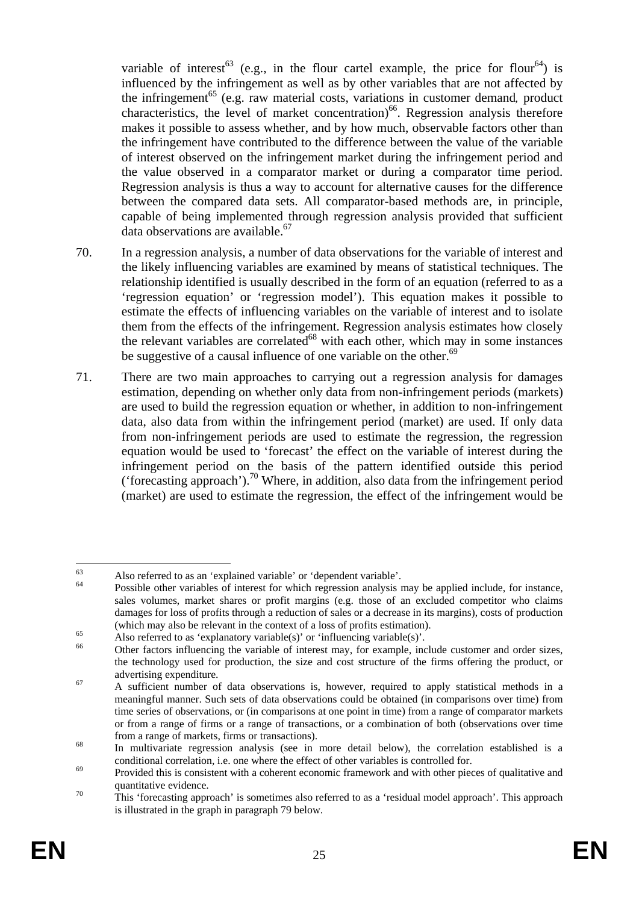variable of interest<sup>63</sup> (e.g., in the flour cartel example, the price for flour<sup>64</sup>) is influenced by the infringement as well as by other variables that are not affected by the infringement<sup>65</sup> (e.g. raw material costs, variations in customer demand, product characteristics, the level of market concentration)<sup>66</sup>. Regression analysis therefore makes it possible to assess whether, and by how much, observable factors other than the infringement have contributed to the difference between the value of the variable of interest observed on the infringement market during the infringement period and the value observed in a comparator market or during a comparator time period. Regression analysis is thus a way to account for alternative causes for the difference between the compared data sets. All comparator-based methods are, in principle, capable of being implemented through regression analysis provided that sufficient  $data$  observations are available.<sup>67</sup>

- <span id="page-24-1"></span>70. In a regression analysis, a number of data observations for the variable of interest and the likely influencing variables are examined by means of statistical techniques. The relationship identified is usually described in the form of an equation (referred to as a 'regression equation' or 'regression model'). This equation makes it possible to estimate the effects of influencing variables on the variable of interest and to isolate them from the effects of the infringement. Regression analysis estimates how closely the relevant variables are correlated $^{68}$  with each other, which may in some instances be suggestive of a causal influence of one variable on the other.<sup>69</sup>
- 71. There are two main approaches to carrying out a regression analysis for damages estimation, depending on whether only data from non-infringement periods (markets) are used to build the regression equation or whether, in addition to non-infringement data, also data from within the infringement period (market) are used. If only data from non-infringement periods are used to estimate the regression, the regression equation would be used to 'forecast' the effect on the variable of interest during the infringement period on the basis of the pattern identified outside this period ('forecasting approach').<sup>70</sup> Where, in addition, also data from the infringement period (market) are used to estimate the regression, the effect of the infringement would be

 $63$ 

<sup>&</sup>lt;sup>63</sup> Also referred to as an 'explained variable' or 'dependent variable'.<br><sup>64</sup> Possible other variables of interest for which regression analysis may be applied include, for instance, sales volumes, market shares or profit margins (e.g. those of an excluded competitor who claims damages for loss of profits through a reduction of sales or a decrease in its margins), costs of production

<span id="page-24-0"></span><sup>(</sup>which may also be relevant in the context of a loss of profits estimation).<br>
Also referred to as 'explanatory variable(s)' or 'influencing variable(s)'.<br>
Other factors influencing the variable of interest may, for exampl the technology used for production, the size and cost structure of the firms offering the product, or advertising expenditure.<br>
A sufficient number of data observations is, however, required to apply statistical methods in a

meaningful manner. Such sets of data observations could be obtained (in comparisons over time) from time series of observations, or (in comparisons at one point in time) from a range of comparator markets or from a range of firms or a range of transactions, or a combination of both (observations over time from a range of markets, firms or transactions).<br>In multivariate regression analysis (see in more detail below), the correlation established is a

conditional correlation, i.e. one where the effect of other variables is controlled for.<br><sup>69</sup> Provided this is consistent with a coherent economic framework and with other pieces of qualitative and

quantitative evidence.<br>This 'forecasting approach' is sometimes also referred to as a 'residual model approach'. This approach

[is illustrated in the graph in paragraph 79 below.](#page-28-2)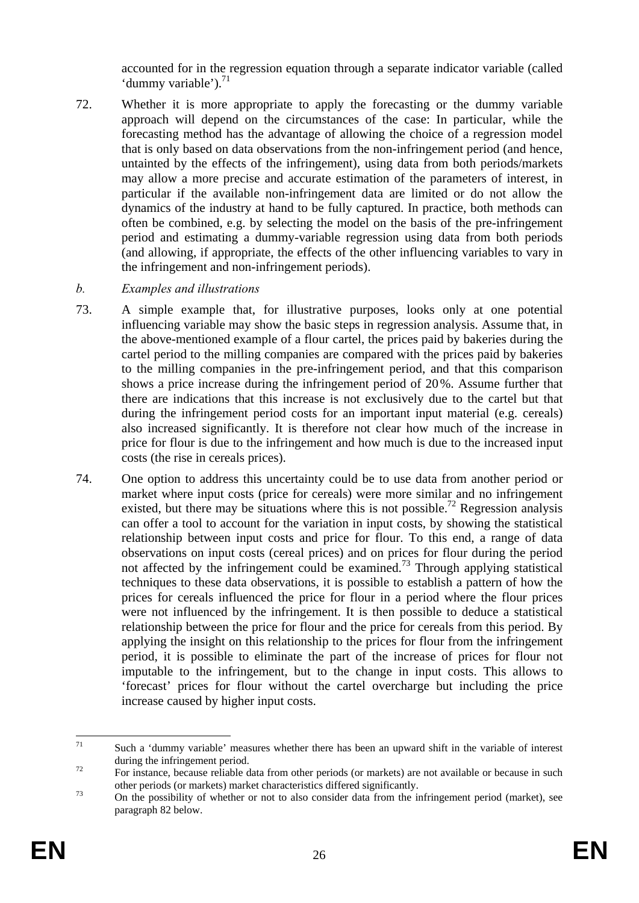accounted for in the regression equation through a separate indicator variable (called 'dummy variable'). $^{71}$ 

- <span id="page-25-3"></span>72. Whether it is more appropriate to apply the forecasting or the dummy variable approach will depend on the circumstances of the case: In particular, while the forecasting method has the advantage of allowing the choice of a regression model that is only based on data observations from the non-infringement period (and hence, untainted by the effects of the infringement), using data from both periods/markets may allow a more precise and accurate estimation of the parameters of interest, in particular if the available non-infringement data are limited or do not allow the dynamics of the industry at hand to be fully captured. In practice, both methods can often be combined, e.g. by selecting the model on the basis of the pre-infringement period and estimating a dummy-variable regression using data from both periods (and allowing, if appropriate, the effects of the other influencing variables to vary in the infringement and non-infringement periods).
- <span id="page-25-0"></span>*b. Examples and illustrations*
- <span id="page-25-2"></span><span id="page-25-1"></span>73. A simple example that, for illustrative purposes, looks only at one potential influencing variable may show the basic steps in regression analysis. Assume that, in the above-mentioned example of a flour cartel, the prices paid by bakeries during the cartel period to the milling companies are compared with the prices paid by bakeries to the milling companies in the pre-infringement period, and that this comparison shows a price increase during the infringement period of 20%. Assume further that there are indications that this increase is not exclusively due to the cartel but that during the infringement period costs for an important input material (e.g. cereals) also increased significantly. It is therefore not clear how much of the increase in price for flour is due to the infringement and how much is due to the increased input costs (the rise in cereals prices).
- 74. One option to address this uncertainty could be to use data from another period or market where input costs (price for cereals) were more similar and no infringement existed, but there may be situations where this is not possible.<sup>72</sup> Regression analysis can offer a tool to account for the variation in input costs, by showing the statistical relationship between input costs and price for flour. To this end, a range of data observations on input costs (cereal prices) and on prices for flour during the period not affected by the infringement could be examined.<sup>73</sup> Through applying statistical techniques to these data observations, it is possible to establish a pattern of how the prices for cereals influenced the price for flour in a period where the flour prices were not influenced by the infringement. It is then possible to deduce a statistical relationship between the price for flour and the price for cereals from this period. By applying the insight on this relationship to the prices for flour from the infringement period, it is possible to eliminate the part of the increase of prices for flour not imputable to the infringement, but to the change in input costs. This allows to 'forecast' prices for flour without the cartel overcharge but including the price increase caused by higher input costs.

 $71$ Such a 'dummy variable' measures whether there has been an upward shift in the variable of interest during the infringement period.<br>
For instance, because reliable data from other periods (or markets) are not available or because in such

other periods (or markets) market characteristics differed significantly.<br>The possibility of whether or not to also consider data from the infringement period (market), see

[paragraph 82 below.](#page-29-2)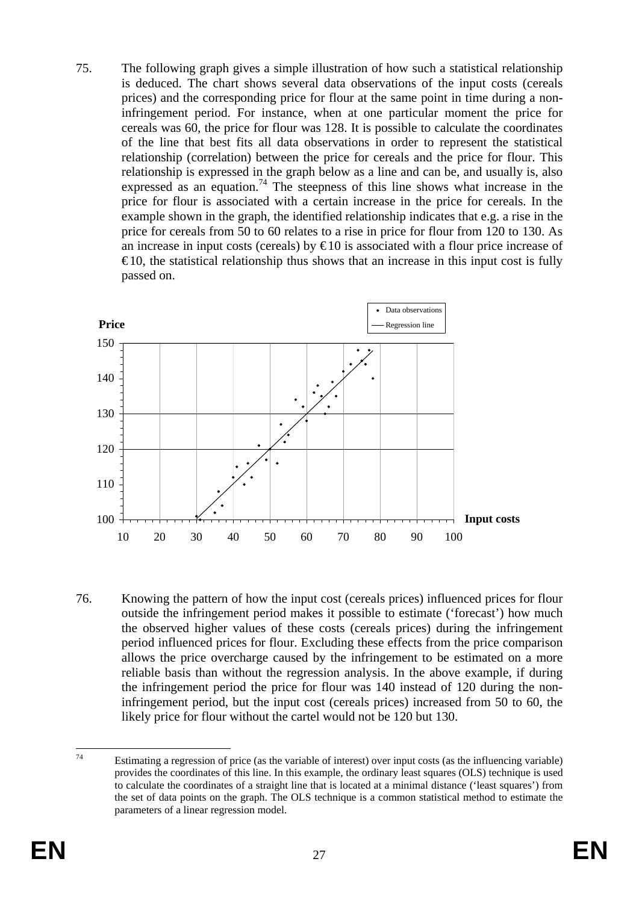75. The following graph gives a simple illustration of how such a statistical relationship is deduced. The chart shows several data observations of the input costs (cereals prices) and the corresponding price for flour at the same point in time during a noninfringement period. For instance, when at one particular moment the price for cereals was 60, the price for flour was 128. It is possible to calculate the coordinates of the line that best fits all data observations in order to represent the statistical relationship (correlation) between the price for cereals and the price for flour. This relationship is expressed in the graph below as a line and can be, and usually is, also expressed as an equation.<sup>74</sup> The steepness of this line shows what increase in the price for flour is associated with a certain increase in the price for cereals. In the example shown in the graph, the identified relationship indicates that e.g. a rise in the price for cereals from 50 to 60 relates to a rise in price for flour from 120 to 130. As an increase in input costs (cereals) by  $\epsilon$ 10 is associated with a flour price increase of  $\epsilon$  10, the statistical relationship thus shows that an increase in this input cost is fully passed on.



<span id="page-26-0"></span>76. Knowing the pattern of how the input cost (cereals prices) influenced prices for flour outside the infringement period makes it possible to estimate ('forecast') how much the observed higher values of these costs (cereals prices) during the infringement period influenced prices for flour. Excluding these effects from the price comparison allows the price overcharge caused by the infringement to be estimated on a more reliable basis than without the regression analysis. In the above example, if during the infringement period the price for flour was 140 instead of 120 during the noninfringement period, but the input cost (cereals prices) increased from 50 to 60, the likely price for flour without the cartel would not be 120 but 130.

 $74$ Estimating a regression of price (as the variable of interest) over input costs (as the influencing variable) provides the coordinates of this line. In this example, the ordinary least squares (OLS) technique is used to calculate the coordinates of a straight line that is located at a minimal distance ('least squares') from the set of data points on the graph. The OLS technique is a common statistical method to estimate the parameters of a linear regression model.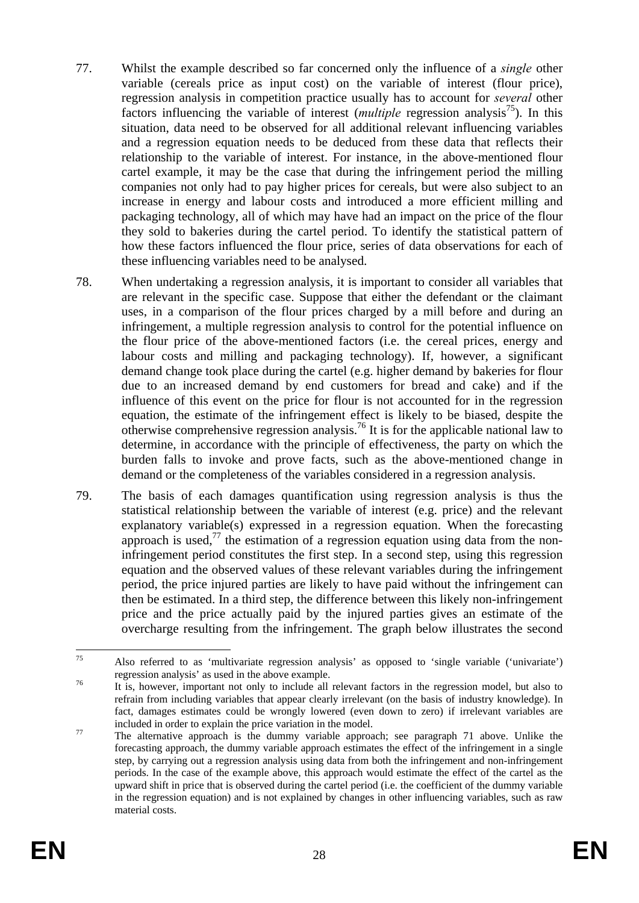- <span id="page-27-0"></span>77. Whilst the example described so far concerned only the influence of a *single* other variable (cereals price as input cost) on the variable of interest (flour price), regression analysis in competition practice usually has to account for *several* other factors influencing the variable of interest *(multiple* regression analysis<sup>75</sup>). In this situation, data need to be observed for all additional relevant influencing variables and a regression equation needs to be deduced from these data that reflects their relationship to the variable of interest. For instance, in the above-mentioned flour cartel example, it may be the case that during the infringement period the milling companies not only had to pay higher prices for cereals, but were also subject to an increase in energy and labour costs and introduced a more efficient milling and packaging technology, all of which may have had an impact on the price of the flour they sold to bakeries during the cartel period. To identify the statistical pattern of how these factors influenced the flour price, series of data observations for each of these influencing variables need to be analysed.
- 78. When undertaking a regression analysis, it is important to consider all variables that are relevant in the specific case. Suppose that either the defendant or the claimant uses, in a comparison of the flour prices charged by a mill before and during an infringement, a multiple regression analysis to control for the potential influence on the flour price of the above-mentioned factors (i.e. the cereal prices, energy and labour costs and milling and packaging technology). If, however, a significant demand change took place during the cartel (e.g. higher demand by bakeries for flour due to an increased demand by end customers for bread and cake) and if the influence of this event on the price for flour is not accounted for in the regression equation, the estimate of the infringement effect is likely to be biased, despite the otherwise comprehensive regression analysis.76 It is for the applicable national law to determine, in accordance with the principle of effectiveness, the party on which the burden falls to invoke and prove facts, such as the above-mentioned change in demand or the completeness of the variables considered in a regression analysis.
- 79. The basis of each damages quantification using regression analysis is thus the statistical relationship between the variable of interest (e.g. price) and the relevant explanatory variable(s) expressed in a regression equation. When the forecasting approach is used,<sup>77</sup> the estimation of a regression equation using data from the noninfringement period constitutes the first step. In a second step, using this regression equation and the observed values of these relevant variables during the infringement period, the price injured parties are likely to have paid without the infringement can then be estimated. In a third step, the difference between this likely non-infringement price and the price actually paid by the injured parties gives an estimate of the overcharge resulting from the infringement. The graph below illustrates the second

<sup>75</sup> Also referred to as 'multivariate regression analysis' as opposed to 'single variable ('univariate') regression analysis' as used in the above example.<br>It is, however, important not only to include all relevant factors in the regression model, but also to

refrain from including variables that appear clearly irrelevant (on the basis of industry knowledge). In fact, damages estimates could be wrongly lowered (even down to zero) if irrelevant variables are

included in order to explain the price variation in the model.<br>The alternative approach is the dummy variable approach; see paragraph [71](#page-25-1) above. Unlike the forecasting approach, the dummy variable approach estimates the effect of the infringement in a single step, by carrying out a regression analysis using data from both the infringement and non-infringement periods. In the case of the example above, this approach would estimate the effect of the cartel as the upward shift in price that is observed during the cartel period (i.e. the coefficient of the dummy variable in the regression equation) and is not explained by changes in other influencing variables, such as raw material costs.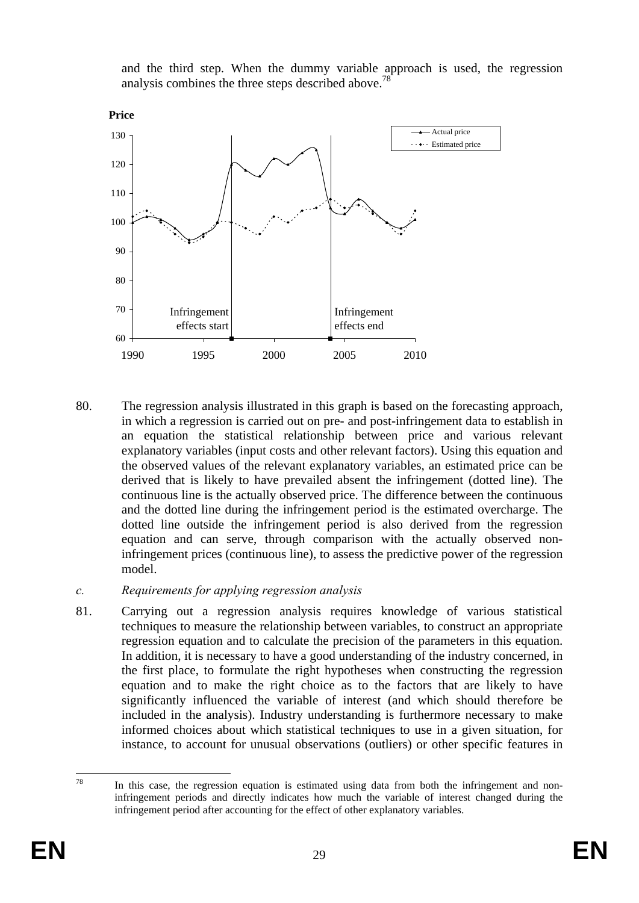and the third step. When the dummy variable approach is used, the regression analysis combines the three steps described above.<sup>78</sup>



- <span id="page-28-2"></span><span id="page-28-1"></span>80. The regression analysis illustrated in this graph is based on the forecasting approach, in which a regression is carried out on pre- and post-infringement data to establish in an equation the statistical relationship between price and various relevant explanatory variables (input costs and other relevant factors). Using this equation and the observed values of the relevant explanatory variables, an estimated price can be derived that is likely to have prevailed absent the infringement (dotted line). The continuous line is the actually observed price. The difference between the continuous and the dotted line during the infringement period is the estimated overcharge. The dotted line outside the infringement period is also derived from the regression equation and can serve, through comparison with the actually observed noninfringement prices (continuous line), to assess the predictive power of the regression model.
- <span id="page-28-0"></span>*c. Requirements for applying regression analysis*
- 81. Carrying out a regression analysis requires knowledge of various statistical techniques to measure the relationship between variables, to construct an appropriate regression equation and to calculate the precision of the parameters in this equation. In addition, it is necessary to have a good understanding of the industry concerned, in the first place, to formulate the right hypotheses when constructing the regression equation and to make the right choice as to the factors that are likely to have significantly influenced the variable of interest (and which should therefore be included in the analysis). Industry understanding is furthermore necessary to make informed choices about which statistical techniques to use in a given situation, for instance, to account for unusual observations (outliers) or other specific features in

 $78$ In this case, the regression equation is estimated using data from both the infringement and noninfringement periods and directly indicates how much the variable of interest changed during the infringement period after accounting for the effect of other explanatory variables.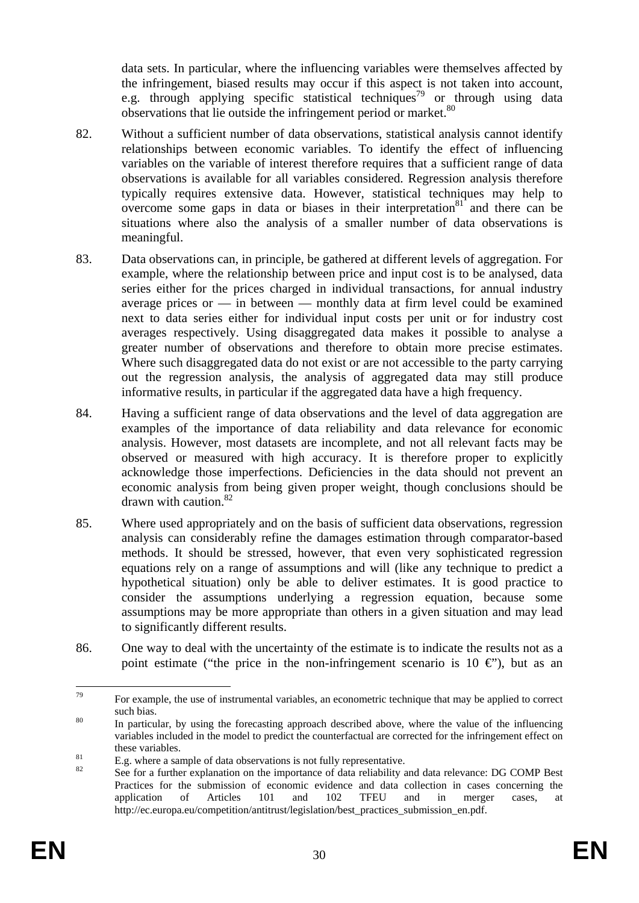data sets. In particular, where the influencing variables were themselves affected by the infringement, biased results may occur if this aspect is not taken into account, e.g. through applying specific statistical techniques<sup>79</sup> or through using data observations that lie outside the infringement period or market.<sup>80</sup>

- <span id="page-29-2"></span>82. Without a sufficient number of data observations, statistical analysis cannot identify relationships between economic variables. To identify the effect of influencing variables on the variable of interest therefore requires that a sufficient range of data observations is available for all variables considered. Regression analysis therefore typically requires extensive data. However, statistical techniques may help to overcome some gaps in data or biases in their interpretation $81$  and there can be situations where also the analysis of a smaller number of data observations is meaningful.
- 83. Data observations can, in principle, be gathered at different levels of aggregation. For example, where the relationship between price and input cost is to be analysed, data series either for the prices charged in individual transactions, for annual industry average prices or — in between — monthly data at firm level could be examined next to data series either for individual input costs per unit or for industry cost averages respectively. Using disaggregated data makes it possible to analyse a greater number of observations and therefore to obtain more precise estimates. Where such disaggregated data do not exist or are not accessible to the party carrying out the regression analysis, the analysis of aggregated data may still produce informative results, in particular if the aggregated data have a high frequency.
- <span id="page-29-1"></span>84. Having a sufficient range of data observations and the level of data aggregation are examples of the importance of data reliability and data relevance for economic analysis. However, most datasets are incomplete, and not all relevant facts may be observed or measured with high accuracy. It is therefore proper to explicitly acknowledge those imperfections. Deficiencies in the data should not prevent an economic analysis from being given proper weight, though conclusions should be drawn with caution.82
- 85. Where used appropriately and on the basis of sufficient data observations, regression analysis can considerably refine the damages estimation through comparator-based methods. It should be stressed, however, that even very sophisticated regression equations rely on a range of assumptions and will (like any technique to predict a hypothetical situation) only be able to deliver estimates. It is good practice to consider the assumptions underlying a regression equation, because some assumptions may be more appropriate than others in a given situation and may lead to significantly different results.
- <span id="page-29-0"></span>86. One way to deal with the uncertainty of the estimate is to indicate the results not as a point estimate ("the price in the non-infringement scenario is 10  $\epsilon$ "), but as an

<sup>79</sup> For example, the use of instrumental variables, an econometric technique that may be applied to correct such bias.<br><sup>80</sup> In particular, by using the forecasting approach described above, where the value of the influencing

variables included in the model to predict the counterfactual are corrected for the infringement effect on these variables.<br>
81 E.g. where a sample of data observations is not fully representative.<br>
82 See for a further explanation on the importance of data reliability and data relevance: DG COMP Best

Practices for the submission of economic evidence and data collection in cases concerning the application of Articles 101 and 102 TFEU and in merger cases, at http://ec.europa.eu/competition/antitrust/legislation/best\_practices\_submission\_en.pdf.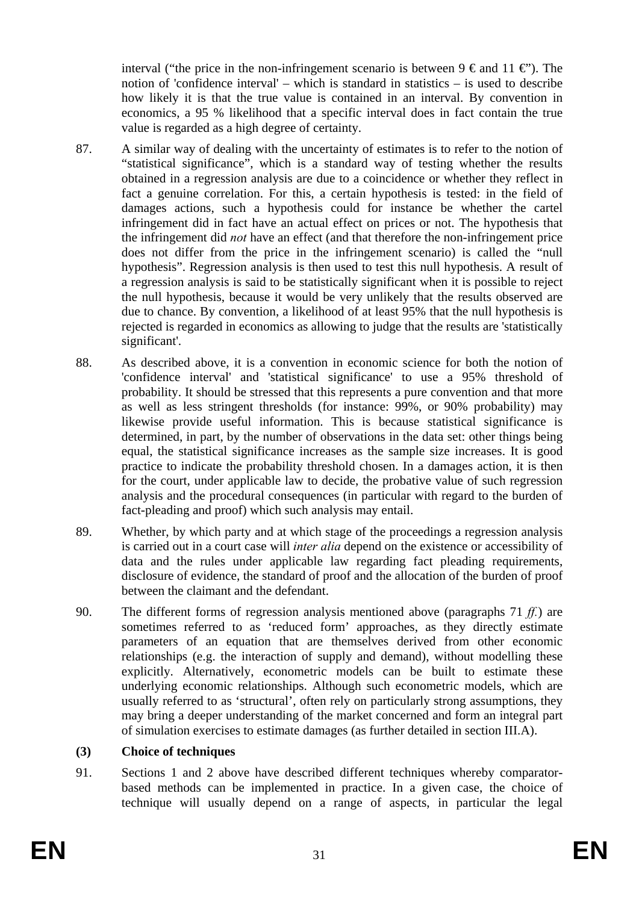interval ("the price in the non-infringement scenario is between  $9 \in \text{and } 11 \in \mathcal{C}$ ). The notion of 'confidence interval' – which is standard in statistics – is used to describe how likely it is that the true value is contained in an interval. By convention in economics, a 95 % likelihood that a specific interval does in fact contain the true value is regarded as a high degree of certainty.

- <span id="page-30-1"></span>87. A similar way of dealing with the uncertainty of estimates is to refer to the notion of "statistical significance", which is a standard way of testing whether the results obtained in a regression analysis are due to a coincidence or whether they reflect in fact a genuine correlation. For this, a certain hypothesis is tested: in the field of damages actions, such a hypothesis could for instance be whether the cartel infringement did in fact have an actual effect on prices or not. The hypothesis that the infringement did *not* have an effect (and that therefore the non-infringement price does not differ from the price in the infringement scenario) is called the "null hypothesis". Regression analysis is then used to test this null hypothesis. A result of a regression analysis is said to be statistically significant when it is possible to reject the null hypothesis, because it would be very unlikely that the results observed are due to chance. By convention, a likelihood of at least 95% that the null hypothesis is rejected is regarded in economics as allowing to judge that the results are 'statistically significant'.
- <span id="page-30-2"></span>88. As described above, it is a convention in economic science for both the notion of 'confidence interval' and 'statistical significance' to use a 95% threshold of probability. It should be stressed that this represents a pure convention and that more as well as less stringent thresholds (for instance: 99%, or 90% probability) may likewise provide useful information. This is because statistical significance is determined, in part, by the number of observations in the data set: other things being equal, the statistical significance increases as the sample size increases. It is good practice to indicate the probability threshold chosen. In a damages action, it is then for the court, under applicable law to decide, the probative value of such regression analysis and the procedural consequences (in particular with regard to the burden of fact-pleading and proof) which such analysis may entail.
- 89. Whether, by which party and at which stage of the proceedings a regression analysis is carried out in a court case will *inter alia* depend on the existence or accessibility of data and the rules under applicable law regarding fact pleading requirements, disclosure of evidence, the standard of proof and the allocation of the burden of proof between the claimant and the defendant.
- <span id="page-30-3"></span>90. The different forms of regression analysis mentioned above (paragraphs [71](#page-25-1) *ff.*) are sometimes referred to as 'reduced form' approaches, as they directly estimate parameters of an equation that are themselves derived from other economic relationships (e.g. the interaction of supply and demand), without modelling these explicitly. Alternatively, econometric models can be built to estimate these underlying economic relationships. Although such econometric models, which are usually referred to as 'structural', often rely on particularly strong assumptions, they may bring a deeper understanding of the market concerned and form an integral part of simulation exercises to estimate damages (as further detailed in section III.A).

### <span id="page-30-0"></span>**(3) Choice of techniques**

91. Sections 1 and 2 above have described different techniques whereby comparatorbased methods can be implemented in practice. In a given case, the choice of technique will usually depend on a range of aspects, in particular the legal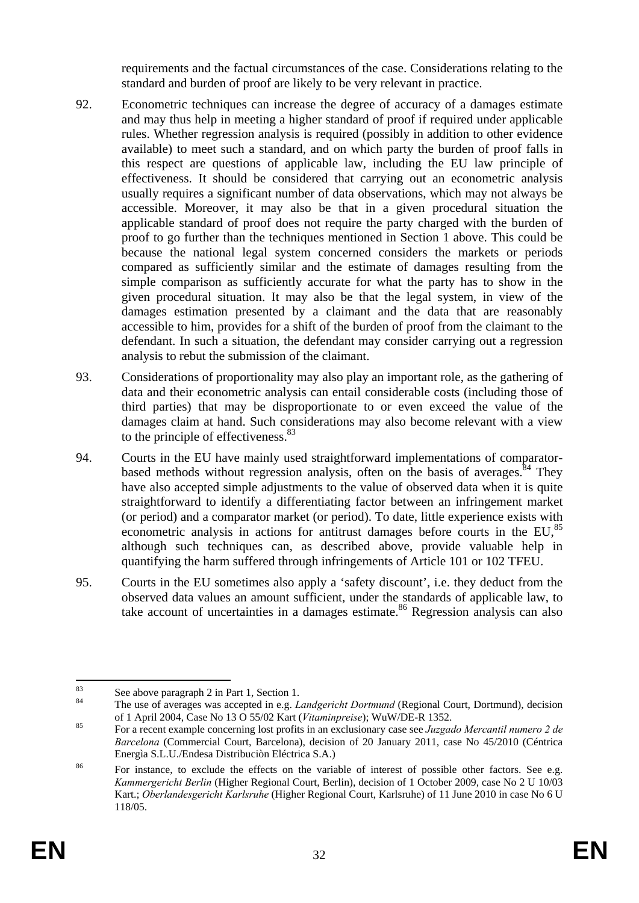requirements and the factual circumstances of the case. Considerations relating to the standard and burden of proof are likely to be very relevant in practice.

- <span id="page-31-0"></span>92. Econometric techniques can increase the degree of accuracy of a damages estimate and may thus help in meeting a higher standard of proof if required under applicable rules. Whether regression analysis is required (possibly in addition to other evidence available) to meet such a standard, and on which party the burden of proof falls in this respect are questions of applicable law, including the EU law principle of effectiveness. It should be considered that carrying out an econometric analysis usually requires a significant number of data observations, which may not always be accessible. Moreover, it may also be that in a given procedural situation the applicable standard of proof does not require the party charged with the burden of proof to go further than the techniques mentioned in Section 1 above. This could be because the national legal system concerned considers the markets or periods compared as sufficiently similar and the estimate of damages resulting from the simple comparison as sufficiently accurate for what the party has to show in the given procedural situation. It may also be that the legal system, in view of the damages estimation presented by a claimant and the data that are reasonably accessible to him, provides for a shift of the burden of proof from the claimant to the defendant. In such a situation, the defendant may consider carrying out a regression analysis to rebut the submission of the claimant.
- <span id="page-31-1"></span>93. Considerations of proportionality may also play an important role, as the gathering of data and their econometric analysis can entail considerable costs (including those of third parties) that may be disproportionate to or even exceed the value of the damages claim at hand. Such considerations may also become relevant with a view to the principle of effectiveness. $83$
- <span id="page-31-3"></span>94. Courts in the EU have mainly used straightforward implementations of comparatorbased methods without regression analysis, often on the basis of averages. $84$  They have also accepted simple adjustments to the value of observed data when it is quite straightforward to identify a differentiating factor between an infringement market (or period) and a comparator market (or period). To date, little experience exists with econometric analysis in actions for antitrust damages before courts in the EU,<sup>85</sup> although such techniques can, as described above, provide valuable help in quantifying the harm suffered through infringements of Article 101 or 102 TFEU.
- <span id="page-31-4"></span>95. Courts in the EU sometimes also apply a 'safety discount', i.e. they deduct from the observed data values an amount sufficient, under the standards of applicable law, to take account of uncertainties in a damages estimate.<sup>86</sup> Regression analysis can also

<sup>83</sup> <sup>83</sup> See above paragrap[h 2 i](#page-6-5)n Part 1, Section 1.

<sup>84</sup> The use of averages was accepted in e.g. *Landgericht Dortmund* (Regional Court, Dortmund), decision of 1 April 2004, Case No 13 O 55/02 Kart (*Vitaminpreise*); WuW/DE-R 1352. 85 For a recent example concerning lost profits in an exclusionary case see *Juzgado Mercantil numero 2 de* 

*Barcelona* (Commercial Court, Barcelona), decision of 20 January 2011, case No 45/2010 (Céntrica Energìa S.L.U./Endesa Distribuciòn Eléctrica S.A.)

<span id="page-31-2"></span><sup>&</sup>lt;sup>86</sup> For instance, to exclude the effects on the variable of interest of possible other factors. See e.g. *Kammergericht Berlin* (Higher Regional Court, Berlin), decision of 1 October 2009, case No 2 U 10/03 Kart.; *Oberlandesgericht Karlsruhe* (Higher Regional Court, Karlsruhe) of 11 June 2010 in case No 6 U 118/05.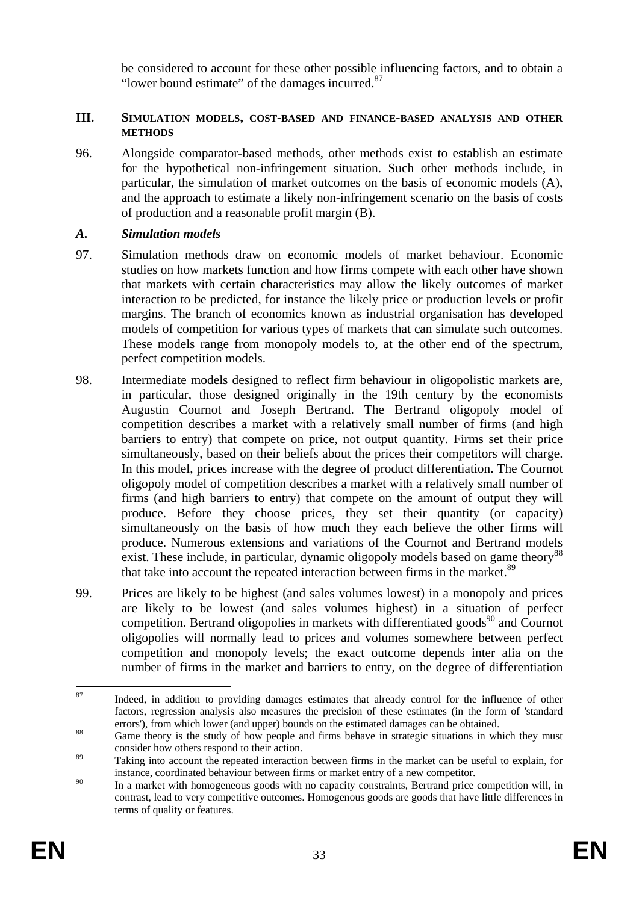be considered to account for these other possible influencing factors, and to obtain a "lower bound estimate" of the damages incurred. $87$ 

#### <span id="page-32-0"></span>**III. SIMULATION MODELS, COST-BASED AND FINANCE-BASED ANALYSIS AND OTHER METHODS**

<span id="page-32-4"></span>96. Alongside comparator-based methods, other methods exist to establish an estimate for the hypothetical non-infringement situation. Such other methods include, in particular, the simulation of market outcomes on the basis of economic models (A), and the approach to estimate a likely non-infringement scenario on the basis of costs of production and a reasonable profit margin (B).

#### <span id="page-32-1"></span>*A. Simulation models*

- <span id="page-32-5"></span>97. Simulation methods draw on economic models of market behaviour. Economic studies on how markets function and how firms compete with each other have shown that markets with certain characteristics may allow the likely outcomes of market interaction to be predicted, for instance the likely price or production levels or profit margins. The branch of economics known as industrial organisation has developed models of competition for various types of markets that can simulate such outcomes. These models range from monopoly models to, at the other end of the spectrum, perfect competition models.
- <span id="page-32-3"></span>98. Intermediate models designed to reflect firm behaviour in oligopolistic markets are, in particular, those designed originally in the 19th century by the economists Augustin Cournot and Joseph Bertrand. The Bertrand oligopoly model of competition describes a market with a relatively small number of firms (and high barriers to entry) that compete on price, not output quantity. Firms set their price simultaneously, based on their beliefs about the prices their competitors will charge. In this model, prices increase with the degree of product differentiation. The Cournot oligopoly model of competition describes a market with a relatively small number of firms (and high barriers to entry) that compete on the amount of output they will produce. Before they choose prices, they set their quantity (or capacity) simultaneously on the basis of how much they each believe the other firms will produce. Numerous extensions and variations of the Cournot and Bertrand models exist. These include, in particular, dynamic oligopoly models based on game theory<sup>88</sup> that take into account the repeated interaction between firms in the market.<sup>89</sup>
- <span id="page-32-2"></span>99. Prices are likely to be highest (and sales volumes lowest) in a monopoly and prices are likely to be lowest (and sales volumes highest) in a situation of perfect competition. Bertrand oligopolies in markets with differentiated goods<sup>90</sup> and Cournot oligopolies will normally lead to prices and volumes somewhere between perfect competition and monopoly levels; the exact outcome depends inter alia on the number of firms in the market and barriers to entry, on the degree of differentiation

<sup>87</sup> Indeed, in addition to providing damages estimates that already control for the influence of other factors, regression analysis also measures the precision of these estimates (in the form of 'standard errors'), from which lower (and upper) bounds on the estimated damages can be obtained.<br><sup>88</sup> Game theory is the study of how people and firms behave in strategic situations in which they must

consider how others respond to their action.

<sup>&</sup>lt;sup>89</sup> Taking into account the repeated interaction between firms in the market can be useful to explain, for instance, coordinated behaviour between firms or market entry of a new competitor.

<sup>&</sup>lt;sup>90</sup> In a market with homogeneous goods with no capacity constraints, Bertrand price competition will, in contrast, lead to very competitive outcomes. Homogenous goods are goods that have little differences in terms of quality or features.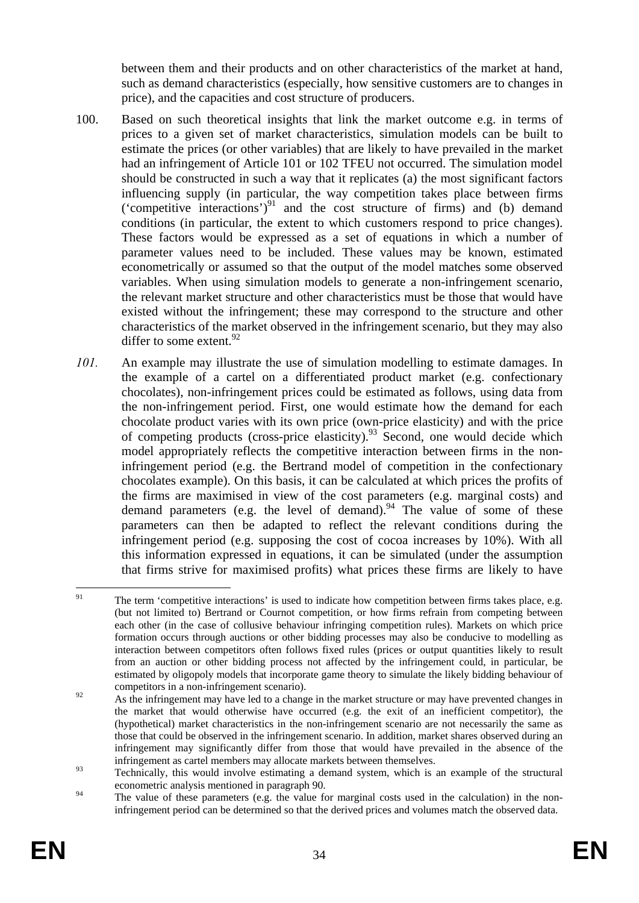between them and their products and on other characteristics of the market at hand, such as demand characteristics (especially, how sensitive customers are to changes in price), and the capacities and cost structure of producers.

- <span id="page-33-0"></span>100. Based on such theoretical insights that link the market outcome e.g. in terms of prices to a given set of market characteristics, simulation models can be built to estimate the prices (or other variables) that are likely to have prevailed in the market had an infringement of Article 101 or 102 TFEU not occurred. The simulation model should be constructed in such a way that it replicates (a) the most significant factors influencing supply (in particular, the way competition takes place between firms ('competitive interactions') $91$  and the cost structure of firms) and (b) demand conditions (in particular, the extent to which customers respond to price changes). These factors would be expressed as a set of equations in which a number of parameter values need to be included. These values may be known, estimated econometrically or assumed so that the output of the model matches some observed variables. When using simulation models to generate a non-infringement scenario, the relevant market structure and other characteristics must be those that would have existed without the infringement; these may correspond to the structure and other characteristics of the market observed in the infringement scenario, but they may also differ to some extent.<sup>92</sup>
- *101.* An example may illustrate the use of simulation modelling to estimate damages. In the example of a cartel on a differentiated product market (e.g. confectionary chocolates), non-infringement prices could be estimated as follows, using data from the non-infringement period. First, one would estimate how the demand for each chocolate product varies with its own price (own-price elasticity) and with the price of competing products (cross-price elasticity).<sup>93</sup> Second, one would decide which model appropriately reflects the competitive interaction between firms in the noninfringement period (e.g. the Bertrand model of competition in the confectionary chocolates example). On this basis, it can be calculated at which prices the profits of the firms are maximised in view of the cost parameters (e.g. marginal costs) and demand parameters (e.g. the level of demand). <sup>94</sup> The value of some of these parameters can then be adapted to reflect the relevant conditions during the infringement period (e.g. supposing the cost of cocoa increases by 10%). With all this information expressed in equations, it can be simulated (under the assumption that firms strive for maximised profits) what prices these firms are likely to have

 $Q1$ The term 'competitive interactions' is used to indicate how competition between firms takes place, e.g. (but not limited to) Bertrand or Cournot competition, or how firms refrain from competing between each other (in the case of collusive behaviour infringing competition rules). Markets on which price formation occurs through auctions or other bidding processes may also be conducive to modelling as interaction between competitors often follows fixed rules (prices or output quantities likely to result from an auction or other bidding process not affected by the infringement could, in particular, be estimated by oligopoly models that incorporate game theory to simulate the likely bidding behaviour of competitors in a non-infringement scenario).

 $^{92}$  As the infringement may have led to a change in the market structure or may have prevented changes in the market that would otherwise have occurred (e.g. the exit of an inefficient competitor), the (hypothetical) market characteristics in the non-infringement scenario are not necessarily the same as those that could be observed in the infringement scenario. In addition, market shares observed during an infringement may significantly differ from those that would have prevailed in the absence of the infringement as cartel members may allocate markets between themselves.

<sup>&</sup>lt;sup>93</sup> Technically, this would involve estimating a demand system, which is an example of the structural econometric analysis mentioned in paragrap[h 90.](#page-30-3) 

<sup>&</sup>lt;sup>94</sup> The value of these parameters (e.g. the value for marginal costs used in the calculation) in the noninfringement period can be determined so that the derived prices and volumes match the observed data.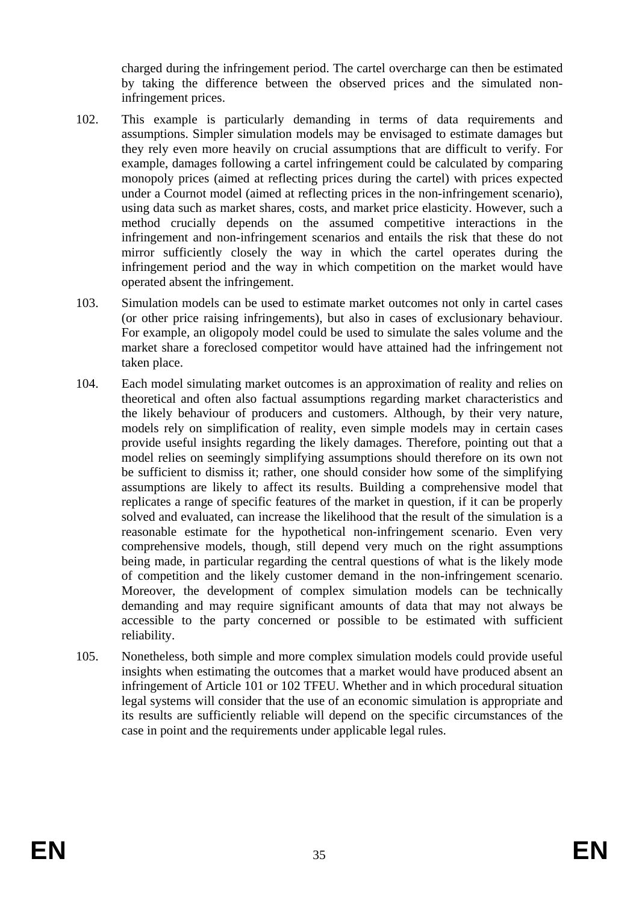charged during the infringement period. The cartel overcharge can then be estimated by taking the difference between the observed prices and the simulated noninfringement prices.

- <span id="page-34-1"></span>102. This example is particularly demanding in terms of data requirements and assumptions. Simpler simulation models may be envisaged to estimate damages but they rely even more heavily on crucial assumptions that are difficult to verify. For example, damages following a cartel infringement could be calculated by comparing monopoly prices (aimed at reflecting prices during the cartel) with prices expected under a Cournot model (aimed at reflecting prices in the non-infringement scenario), using data such as market shares, costs, and market price elasticity. However, such a method crucially depends on the assumed competitive interactions in the infringement and non-infringement scenarios and entails the risk that these do not mirror sufficiently closely the way in which the cartel operates during the infringement period and the way in which competition on the market would have operated absent the infringement.
- <span id="page-34-2"></span>103. Simulation models can be used to estimate market outcomes not only in cartel cases (or other price raising infringements), but also in cases of exclusionary behaviour. For example, an oligopoly model could be used to simulate the sales volume and the market share a foreclosed competitor would have attained had the infringement not taken place.
- <span id="page-34-0"></span>104. Each model simulating market outcomes is an approximation of reality and relies on theoretical and often also factual assumptions regarding market characteristics and the likely behaviour of producers and customers. Although, by their very nature, models rely on simplification of reality, even simple models may in certain cases provide useful insights regarding the likely damages. Therefore, pointing out that a model relies on seemingly simplifying assumptions should therefore on its own not be sufficient to dismiss it; rather, one should consider how some of the simplifying assumptions are likely to affect its results. Building a comprehensive model that replicates a range of specific features of the market in question, if it can be properly solved and evaluated, can increase the likelihood that the result of the simulation is a reasonable estimate for the hypothetical non-infringement scenario. Even very comprehensive models, though, still depend very much on the right assumptions being made, in particular regarding the central questions of what is the likely mode of competition and the likely customer demand in the non-infringement scenario. Moreover, the development of complex simulation models can be technically demanding and may require significant amounts of data that may not always be accessible to the party concerned or possible to be estimated with sufficient reliability.
- <span id="page-34-3"></span>105. Nonetheless, both simple and more complex simulation models could provide useful insights when estimating the outcomes that a market would have produced absent an infringement of Article 101 or 102 TFEU. Whether and in which procedural situation legal systems will consider that the use of an economic simulation is appropriate and its results are sufficiently reliable will depend on the specific circumstances of the case in point and the requirements under applicable legal rules.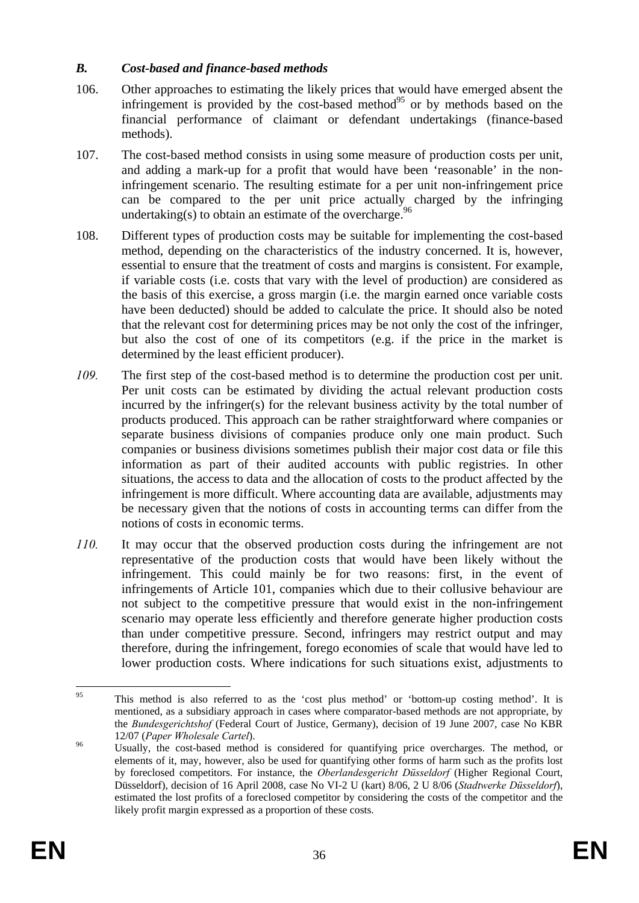### <span id="page-35-3"></span><span id="page-35-0"></span>*B. Cost-based and finance-based methods*

- 106. Other approaches to estimating the likely prices that would have emerged absent the infringement is provided by the cost-based method<sup>95</sup> or by methods based on the financial performance of claimant or defendant undertakings (finance-based methods).
- <span id="page-35-1"></span>107. The cost-based method consists in using some measure of production costs per unit, and adding a mark-up for a profit that would have been 'reasonable' in the noninfringement scenario. The resulting estimate for a per unit non-infringement price can be compared to the per unit price actually charged by the infringing undertaking(s) to obtain an estimate of the overcharge.<sup>96</sup>
- 108. Different types of production costs may be suitable for implementing the cost-based method, depending on the characteristics of the industry concerned. It is, however, essential to ensure that the treatment of costs and margins is consistent. For example, if variable costs (i.e. costs that vary with the level of production) are considered as the basis of this exercise, a gross margin (i.e. the margin earned once variable costs have been deducted) should be added to calculate the price. It should also be noted that the relevant cost for determining prices may be not only the cost of the infringer, but also the cost of one of its competitors (e.g. if the price in the market is determined by the least efficient producer).
- <span id="page-35-2"></span>*109.* The first step of the cost-based method is to determine the production cost per unit. Per unit costs can be estimated by dividing the actual relevant production costs incurred by the infringer(s) for the relevant business activity by the total number of products produced. This approach can be rather straightforward where companies or separate business divisions of companies produce only one main product. Such companies or business divisions sometimes publish their major cost data or file this information as part of their audited accounts with public registries. In other situations, the access to data and the allocation of costs to the product affected by the infringement is more difficult. Where accounting data are available, adjustments may be necessary given that the notions of costs in accounting terms can differ from the notions of costs in economic terms.
- *110.* It may occur that the observed production costs during the infringement are not representative of the production costs that would have been likely without the infringement. This could mainly be for two reasons: first, in the event of infringements of Article 101, companies which due to their collusive behaviour are not subject to the competitive pressure that would exist in the non-infringement scenario may operate less efficiently and therefore generate higher production costs than under competitive pressure. Second, infringers may restrict output and may therefore, during the infringement, forego economies of scale that would have led to lower production costs. Where indications for such situations exist, adjustments to

<sup>95</sup> This method is also referred to as the 'cost plus method' or 'bottom-up costing method'. It is mentioned, as a subsidiary approach in cases where comparator-based methods are not appropriate, by the *Bundesgerichtshof* (Federal Court of Justice, Germany), decision of 19 June 2007, case No KBR

<sup>12/07 (</sup>*Paper Wholesale Cartel*). 96 Usually, the cost-based method is considered for quantifying price overcharges. The method, or elements of it, may, however, also be used for quantifying other forms of harm such as the profits lost by foreclosed competitors. For instance, the *Oberlandesgericht Düsseldorf* (Higher Regional Court, Düsseldorf), decision of 16 April 2008, case No VI-2 U (kart) 8/06, 2 U 8/06 (*Stadtwerke Düsseldorf*), estimated the lost profits of a foreclosed competitor by considering the costs of the competitor and the likely profit margin expressed as a proportion of these costs.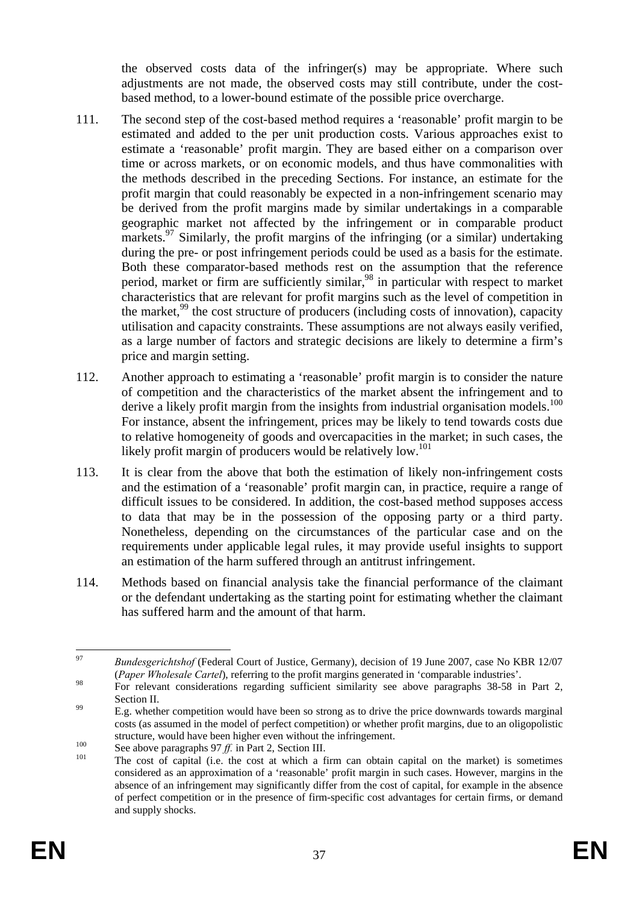the observed costs data of the infringer(s) may be appropriate. Where such adjustments are not made, the observed costs may still contribute, under the costbased method, to a lower-bound estimate of the possible price overcharge.

- <span id="page-36-0"></span>111. The second step of the cost-based method requires a 'reasonable' profit margin to be estimated and added to the per unit production costs. Various approaches exist to estimate a 'reasonable' profit margin. They are based either on a comparison over time or across markets, or on economic models, and thus have commonalities with the methods described in the preceding Sections. For instance, an estimate for the profit margin that could reasonably be expected in a non-infringement scenario may be derived from the profit margins made by similar undertakings in a comparable geographic market not affected by the infringement or in comparable product markets.<sup>97</sup> Similarly, the profit margins of the infringing (or a similar) undertaking during the pre- or post infringement periods could be used as a basis for the estimate. Both these comparator-based methods rest on the assumption that the reference period, market or firm are sufficiently similar,<sup>98</sup> in particular with respect to market characteristics that are relevant for profit margins such as the level of competition in the market, $99$  the cost structure of producers (including costs of innovation), capacity utilisation and capacity constraints. These assumptions are not always easily verified, as a large number of factors and strategic decisions are likely to determine a firm's price and margin setting.
- 112. Another approach to estimating a 'reasonable' profit margin is to consider the nature of competition and the characteristics of the market absent the infringement and to derive a likely profit margin from the insights from industrial organisation models.<sup>100</sup> For instance, absent the infringement, prices may be likely to tend towards costs due to relative homogeneity of goods and overcapacities in the market; in such cases, the likely profit margin of producers would be relatively  $low$ .<sup>101</sup>
- 113. It is clear from the above that both the estimation of likely non-infringement costs and the estimation of a 'reasonable' profit margin can, in practice, require a range of difficult issues to be considered. In addition, the cost-based method supposes access to data that may be in the possession of the opposing party or a third party. Nonetheless, depending on the circumstances of the particular case and on the requirements under applicable legal rules, it may provide useful insights to support an estimation of the harm suffered through an antitrust infringement.
- <span id="page-36-1"></span>114. Methods based on financial analysis take the financial performance of the claimant or the defendant undertaking as the starting point for estimating whether the claimant has suffered harm and the amount of that harm.

<sup>97</sup> <sup>97</sup> *Bundesgerichtshof* (Federal Court of Justice, Germany), decision of 19 June 2007, case No KBR 12/07 (*Paper Wholesale Cartel*), referring to the profit margins generated in 'comparable industries'.

<sup>&</sup>lt;sup>98</sup> For relevant considerations regarding sufficient similarity see above paragraphs [38-](#page-16-2)[58](#page-20-1) in Part 2, Section II.<br><sup>99</sup> E.g. whether competition would have been so strong as to drive the price downwards towards marginal

costs (as assumed in the model of perfect competition) or whether profit margins, due to an oligopolistic

<sup>&</sup>lt;sup>100</sup><br>See above paragraph[s 97](#page-32-5) ff. in Part 2, Section III.<br><sup>101</sup> The cost of capital (i.e. the cost at which a firm can obtain capital on the market) is sometimes considered as an approximation of a 'reasonable' profit margin in such cases. However, margins in the absence of an infringement may significantly differ from the cost of capital, for example in the absence of perfect competition or in the presence of firm-specific cost advantages for certain firms, or demand and supply shocks.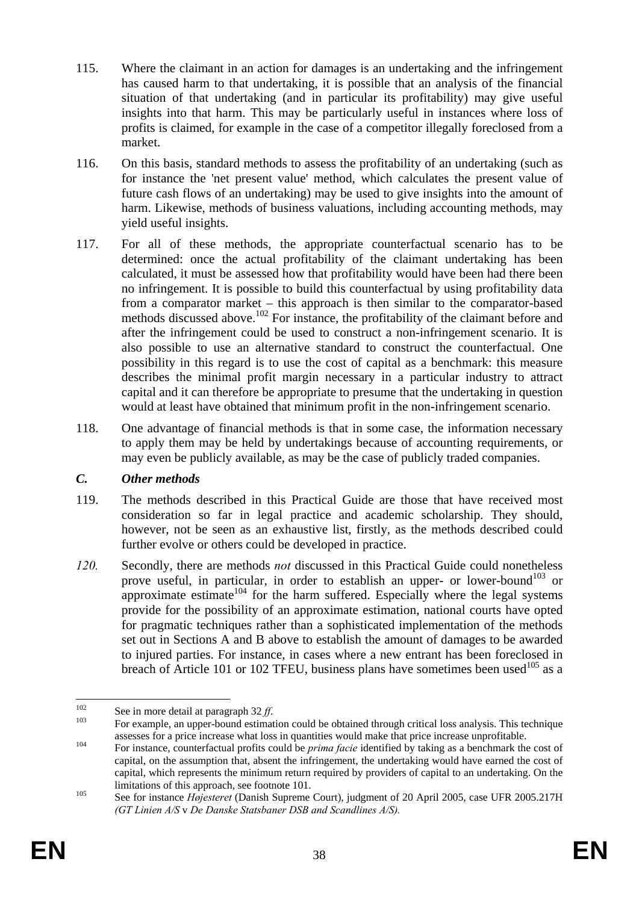- 115. Where the claimant in an action for damages is an undertaking and the infringement has caused harm to that undertaking, it is possible that an analysis of the financial situation of that undertaking (and in particular its profitability) may give useful insights into that harm. This may be particularly useful in instances where loss of profits is claimed, for example in the case of a competitor illegally foreclosed from a market.
- 116. On this basis, standard methods to assess the profitability of an undertaking (such as for instance the 'net present value' method, which calculates the present value of future cash flows of an undertaking) may be used to give insights into the amount of harm. Likewise, methods of business valuations, including accounting methods, may yield useful insights.
- 117. For all of these methods, the appropriate counterfactual scenario has to be determined: once the actual profitability of the claimant undertaking has been calculated, it must be assessed how that profitability would have been had there been no infringement. It is possible to build this counterfactual by using profitability data from a comparator market – this approach is then similar to the comparator-based methods discussed above.<sup>102</sup> For instance, the profitability of the claimant before and after the infringement could be used to construct a non-infringement scenario. It is also possible to use an alternative standard to construct the counterfactual. One possibility in this regard is to use the cost of capital as a benchmark: this measure describes the minimal profit margin necessary in a particular industry to attract capital and it can therefore be appropriate to presume that the undertaking in question would at least have obtained that minimum profit in the non-infringement scenario.
- <span id="page-37-1"></span>118. One advantage of financial methods is that in some case, the information necessary to apply them may be held by undertakings because of accounting requirements, or may even be publicly available, as may be the case of publicly traded companies.

#### <span id="page-37-0"></span>*C. Other methods*

- <span id="page-37-2"></span>119. The methods described in this Practical Guide are those that have received most consideration so far in legal practice and academic scholarship. They should, however, not be seen as an exhaustive list, firstly, as the methods described could further evolve or others could be developed in practice.
- *120.* Secondly, there are methods *not* discussed in this Practical Guide could nonetheless prove useful, in particular, in order to establish an upper- or lower-bound<sup>103</sup> or approximate estimate<sup>104</sup> for the harm suffered. Especially where the legal systems provide for the possibility of an approximate estimation, national courts have opted for pragmatic techniques rather than a sophisticated implementation of the methods set out in Sections A and B above to establish the amount of damages to be awarded to injured parties. For instance, in cases where a new entrant has been foreclosed in breach of Article 101 or 102 TFEU, business plans have sometimes been used<sup>105</sup> as a

<sup>102</sup> 

<sup>&</sup>lt;sup>102</sup> See in more detail at paragraph  $32 \text{ f}$ .<br>
For example, an upper-bound [estim](#page-14-1)ation could be obtained through critical loss analysis. This technique assesses for a price increase what loss in quantities would make th

assesses for a price increase what loss in quantities would make that price increase unprofitable. 104 For instance, counterfactual profits could be *prima facie* identified by taking as a benchmark the cost of capital, on the assumption that, absent the infringement, the undertaking would have earned the cost of capital, which represents the minimum return required by providers of capital to an undertaking. On the limitations of this approach, see footnote 101.<br><sup>105</sup> See for instance *Højesteret* (Danish Supreme Court), judgment of 20 April 2005, case UFR 2005.217H

*<sup>(</sup>GT Linien A/S* v *De Danske Statsbaner DSB and Scandlines A/S).*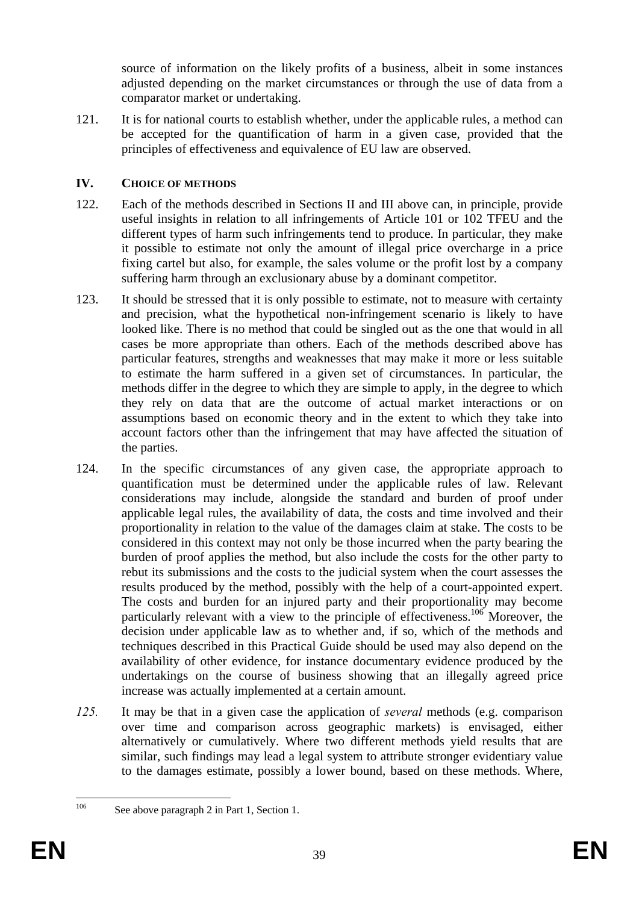source of information on the likely profits of a business, albeit in some instances adjusted depending on the market circumstances or through the use of data from a comparator market or undertaking.

<span id="page-38-1"></span>121. It is for national courts to establish whether, under the applicable rules, a method can be accepted for the quantification of harm in a given case, provided that the principles of effectiveness and equivalence of EU law are observed.

### <span id="page-38-2"></span><span id="page-38-0"></span>**IV. CHOICE OF METHODS**

- 122. Each of the methods described in Sections II and III above can, in principle, provide useful insights in relation to all infringements of Article 101 or 102 TFEU and the different types of harm such infringements tend to produce. In particular, they make it possible to estimate not only the amount of illegal price overcharge in a price fixing cartel but also, for example, the sales volume or the profit lost by a company suffering harm through an exclusionary abuse by a dominant competitor.
- 123. It should be stressed that it is only possible to estimate, not to measure with certainty and precision, what the hypothetical non-infringement scenario is likely to have looked like. There is no method that could be singled out as the one that would in all cases be more appropriate than others. Each of the methods described above has particular features, strengths and weaknesses that may make it more or less suitable to estimate the harm suffered in a given set of circumstances. In particular, the methods differ in the degree to which they are simple to apply, in the degree to which they rely on data that are the outcome of actual market interactions or on assumptions based on economic theory and in the extent to which they take into account factors other than the infringement that may have affected the situation of the parties.
- 124. In the specific circumstances of any given case, the appropriate approach to quantification must be determined under the applicable rules of law. Relevant considerations may include, alongside the standard and burden of proof under applicable legal rules, the availability of data, the costs and time involved and their proportionality in relation to the value of the damages claim at stake. The costs to be considered in this context may not only be those incurred when the party bearing the burden of proof applies the method, but also include the costs for the other party to rebut its submissions and the costs to the judicial system when the court assesses the results produced by the method, possibly with the help of a court-appointed expert. The costs and burden for an injured party and their proportionality may become particularly relevant with a view to the principle of effectiveness.<sup>106</sup> Moreover, the decision under applicable law as to whether and, if so, which of the methods and techniques described in this Practical Guide should be used may also depend on the availability of other evidence, for instance documentary evidence produced by the undertakings on the course of business showing that an illegally agreed price increase was actually implemented at a certain amount.
- *125.* It may be that in a given case the application of *several* methods (e.g. comparison over time and comparison across geographic markets) is envisaged, either alternatively or cumulatively. Where two different methods yield results that are similar, such findings may lead a legal system to attribute stronger evidentiary value to the damages estimate, possibly a lower bound, based on these methods. Where,

<sup>106</sup> See above paragraph 2 in Part 1, Section 1.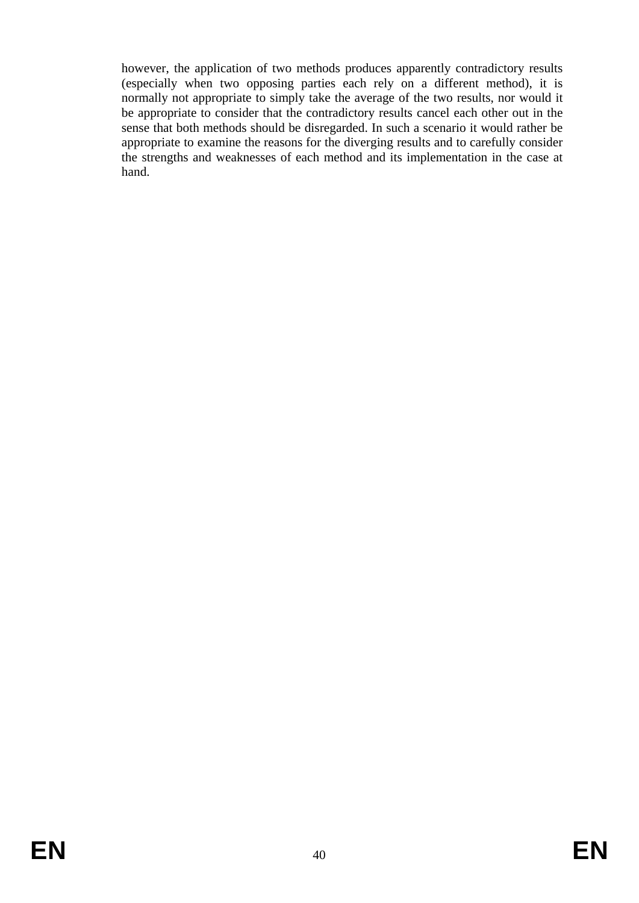<span id="page-39-0"></span>however, the application of two methods produces apparently contradictory results (especially when two opposing parties each rely on a different method), it is normally not appropriate to simply take the average of the two results, nor would it be appropriate to consider that the contradictory results cancel each other out in the sense that both methods should be disregarded. In such a scenario it would rather be appropriate to examine the reasons for the diverging results and to carefully consider the strengths and weaknesses of each method and its implementation in the case at hand.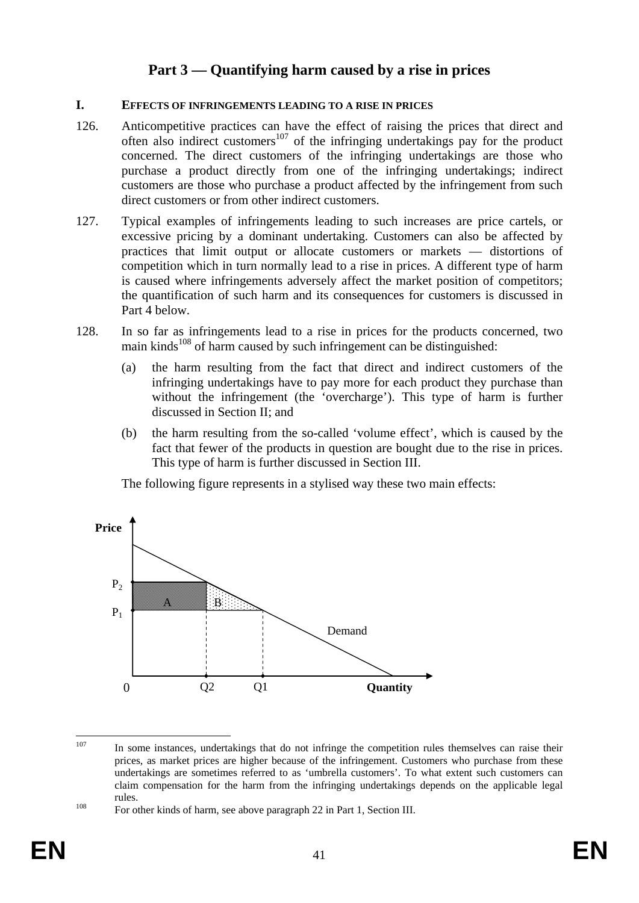## **Part 3 — Quantifying harm caused by a rise in prices**

#### <span id="page-40-2"></span><span id="page-40-1"></span><span id="page-40-0"></span>**I. EFFECTS OF INFRINGEMENTS LEADING TO A RISE IN PRICES**

- 126. Anticompetitive practices can have the effect of raising the prices that direct and often also indirect customers<sup>107</sup> of the infringing undertakings pay for the product concerned. The direct customers of the infringing undertakings are those who purchase a product directly from one of the infringing undertakings; indirect customers are those who purchase a product affected by the infringement from such direct customers or from other indirect customers.
- <span id="page-40-3"></span>127. Typical examples of infringements leading to such increases are price cartels, or excessive pricing by a dominant undertaking. Customers can also be affected by practices that limit output or allocate customers or markets — distortions of competition which in turn normally lead to a rise in prices. A different type of harm is caused where infringements adversely affect the market position of competitors; the quantification of such harm and its consequences for customers is discussed in Part 4 below.
- <span id="page-40-4"></span>128. In so far as infringements lead to a rise in prices for the products concerned, two main kinds<sup>108</sup> of harm caused by such infringement can be distinguished:
	- (a) the harm resulting from the fact that direct and indirect customers of the infringing undertakings have to pay more for each product they purchase than without the infringement (the 'overcharge'). This type of harm is further discussed in Section II; and
	- (b) the harm resulting from the so-called 'volume effect', which is caused by the fact that fewer of the products in question are bought due to the rise in prices. This type of harm is further discussed in Section III.

The following figure represents in a stylised way these two main effects:



<sup>107</sup> In some instances, undertakings that do not infringe the competition rules themselves can raise their prices, as market prices are higher because of the infringement. Customers who purchase from these undertakings are sometimes referred to as 'umbrella customers'. To what extent such customers can claim compensation for the harm from the infringing undertakings depends on the applicable legal

[rules. 108 For other kinds of harm, see above paragraph 22 in Part 1, Section III.](#page-11-1)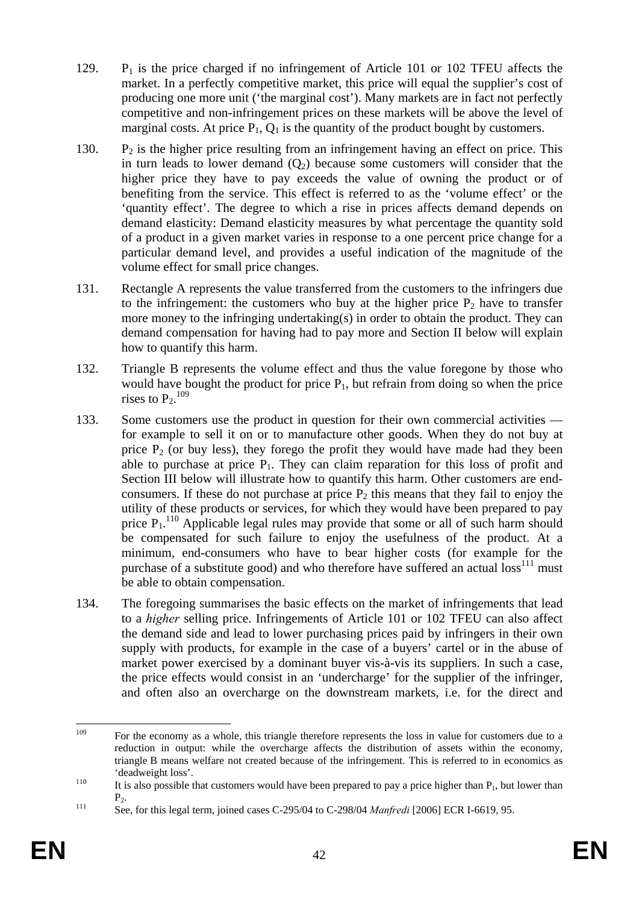- 129. P<sub>1</sub> is the price charged if no infringement of Article 101 or 102 TFEU affects the market. In a perfectly competitive market, this price will equal the supplier's cost of producing one more unit ('the marginal cost'). Many markets are in fact not perfectly competitive and non-infringement prices on these markets will be above the level of marginal costs. At price  $P_1$ ,  $Q_1$  is the quantity of the product bought by customers.
- 130. P<sub>2</sub> is the higher price resulting from an infringement having an effect on price. This in turn leads to lower demand  $(O<sub>2</sub>)$  because some customers will consider that the higher price they have to pay exceeds the value of owning the product or of benefiting from the service. This effect is referred to as the 'volume effect' or the 'quantity effect'. The degree to which a rise in prices affects demand depends on demand elasticity: Demand elasticity measures by what percentage the quantity sold of a product in a given market varies in response to a one percent price change for a particular demand level, and provides a useful indication of the magnitude of the volume effect for small price changes.
- 131. Rectangle A represents the value transferred from the customers to the infringers due to the infringement: the customers who buy at the higher price  $P_2$  have to transfer more money to the infringing undertaking(s) in order to obtain the product. They can demand compensation for having had to pay more and Section II below will explain how to quantify this harm.
- 132. Triangle B represents the volume effect and thus the value foregone by those who would have bought the product for price  $P_1$ , but refrain from doing so when the price rises to  $P_2$ .<sup>109</sup>
- 133. Some customers use the product in question for their own commercial activities for example to sell it on or to manufacture other goods. When they do not buy at price  $P_2$  (or buy less), they forego the profit they would have made had they been able to purchase at price  $P_1$ . They can claim reparation for this loss of profit and Section III below will illustrate how to quantify this harm. Other customers are endconsumers. If these do not purchase at price  $P_2$  this means that they fail to enjoy the utility of these products or services, for which they would have been prepared to pay price P<sub>1</sub>.<sup>110</sup> Applicable legal rules may provide that some or all of such harm should be compensated for such failure to enjoy the usefulness of the product. At a minimum, end-consumers who have to bear higher costs (for example for the purchase of a substitute good) and who therefore have suffered an actual  $loss<sup>11</sup>$  must be able to obtain compensation.
- 134. The foregoing summarises the basic effects on the market of infringements that lead to a *higher* selling price. Infringements of Article 101 or 102 TFEU can also affect the demand side and lead to lower purchasing prices paid by infringers in their own supply with products, for example in the case of a buyers' cartel or in the abuse of market power exercised by a dominant buyer vis-à-vis its suppliers. In such a case, the price effects would consist in an 'undercharge' for the supplier of the infringer, and often also an overcharge on the downstream markets, i.e. for the direct and

<sup>109</sup> For the economy as a whole, this triangle therefore represents the loss in value for customers due to a reduction in output: while the overcharge affects the distribution of assets within the economy, triangle B means welfare not created because of the infringement. This is referred to in economics as 'deadweight loss'.<br><sup>110</sup> It is also possible that customers would have been prepared to pay a price higher than P<sub>1</sub>, but lower than

P2. 111 See, for this legal term, joined cases C-295/04 to C-298/04 *Manfredi* [2006] ECR I-6619, 95.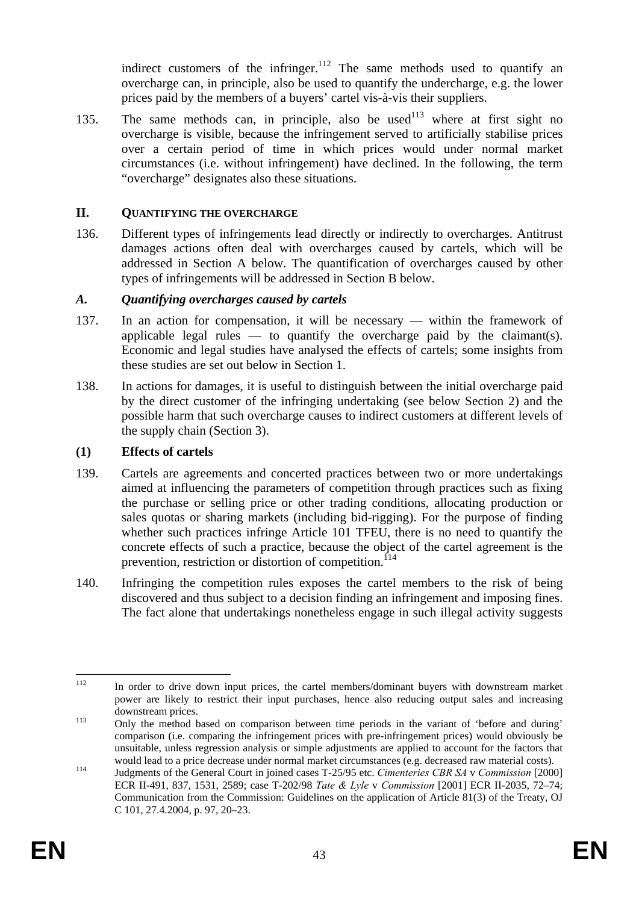indirect customers of the infringer.<sup>112</sup> The same methods used to quantify an overcharge can, in principle, also be used to quantify the undercharge, e.g. the lower prices paid by the members of a buyers' cartel vis-à-vis their suppliers.

<span id="page-42-4"></span>135. The same methods can, in principle, also be used<sup>113</sup> where at first sight no overcharge is visible, because the infringement served to artificially stabilise prices over a certain period of time in which prices would under normal market circumstances (i.e. without infringement) have declined. In the following, the term "overcharge" designates also these situations.

### <span id="page-42-5"></span><span id="page-42-0"></span>**II. QUANTIFYING THE OVERCHARGE**

136. Different types of infringements lead directly or indirectly to overcharges. Antitrust damages actions often deal with overcharges caused by cartels, which will be addressed in Section A below. The quantification of overcharges caused by other types of infringements will be addressed in Section B below.

### <span id="page-42-6"></span><span id="page-42-1"></span>*A. Quantifying overcharges caused by cartels*

- 137. In an action for compensation, it will be necessary within the framework of applicable legal rules — to quantify the overcharge paid by the claimant(s). Economic and legal studies have analysed the effects of cartels; some insights from these studies are set out below in Section 1.
- 138. In actions for damages, it is useful to distinguish between the initial overcharge paid by the direct customer of the infringing undertaking (see below Section 2) and the possible harm that such overcharge causes to indirect customers at different levels of the supply chain (Section 3).

### <span id="page-42-2"></span>**(1) Effects of cartels**

- <span id="page-42-3"></span>139. Cartels are agreements and concerted practices between two or more undertakings aimed at influencing the parameters of competition through practices such as fixing the purchase or selling price or other trading conditions, allocating production or sales quotas or sharing markets (including bid-rigging). For the purpose of finding whether such practices infringe Article 101 TFEU, there is no need to quantify the concrete effects of such a practice, because the object of the cartel agreement is the prevention, restriction or distortion of competition.<sup>114</sup>
- <span id="page-42-7"></span>140. Infringing the competition rules exposes the cartel members to the risk of being discovered and thus subject to a decision finding an infringement and imposing fines. The fact alone that undertakings nonetheless engage in such illegal activity suggests

 $112$ In order to drive down input prices, the cartel members/dominant buyers with downstream market power are likely to restrict their input purchases, hence also reducing output sales and increasing downstream prices.<br>
Only the method based on comparison between time periods in the variant of 'before and during'

comparison (i.e. comparing the infringement prices with pre-infringement prices) would obviously be unsuitable, unless regression analysis or simple adjustments are applied to account for the factors that would lead to a price decrease under normal market circumstances (e.g. decreased raw material costs). 114 Judgments of the General Court in joined cases T-25/95 etc. *Cimenteries CBR SA* v *Commission* [2000]

ECR II-491, 837, 1531, 2589; case T-202/98 *Tate & Lyle* v *Commission* [2001] ECR II-2035, 72–74; Communication from the Commission: Guidelines on the application of Article 81(3) of the Treaty, OJ C 101, 27.4.2004, p. 97, 20–23.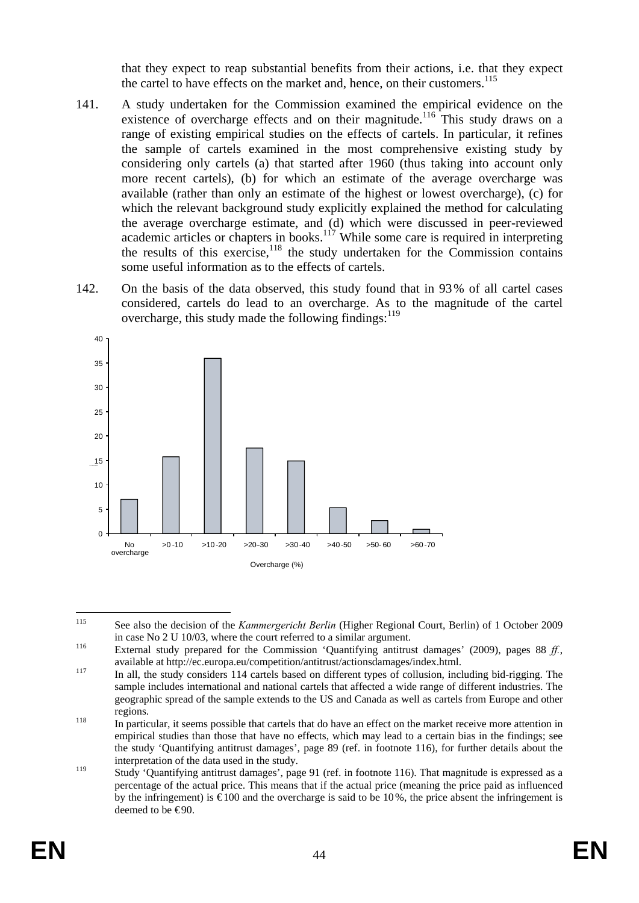that they expect to reap substantial benefits from their actions, i.e. that they expect the cartel to have effects on the market and, hence, on their customers.<sup>115</sup>

- <span id="page-43-0"></span>141. A study undertaken for the Commission examined the empirical evidence on the existence of overcharge effects and on their magnitude.<sup>116</sup> This study draws on a range of existing empirical studies on the effects of cartels. In particular, it refines the sample of cartels examined in the most comprehensive existing study by considering only cartels (a) that started after 1960 (thus taking into account only more recent cartels), (b) for which an estimate of the average overcharge was available (rather than only an estimate of the highest or lowest overcharge), (c) for which the relevant background study explicitly explained the method for calculating the average overcharge estimate, and (d) which were discussed in peer-reviewed academic articles or chapters in books.<sup>117</sup> While some care is required in interpreting the results of this exercise,<sup>118</sup> the study undertaken for the Commission contains some useful information as to the effects of cartels.
- 142. On the basis of the data observed, this study found that in 93% of all cartel cases considered, cartels do lead to an overcharge. As to the magnitude of the cartel overcharge, this study made the following findings:<sup>119</sup>



<sup>115</sup> 115 See also the decision of the *Kammergericht Berlin* (Higher Regional Court, Berlin) of 1 October 2009 in case No 2 U 10/03, where the court referred to a similar argument.<br><sup>116</sup> External study prepared for the Commission 'Quantifying antitrust damages' (2009), pages 88 *ff.*,

available at http://ec.europa.eu/competition/antitrust/actionsdamages/index.html.<br><sup>117</sup> In all, the study considers 114 cartels based on different types of collusion, including bid-rigging. The

sample includes international and national cartels that affected a wide range of different industries. The geographic spread of the sample extends to the US and Canada as well as cartels from Europe and other regions. 118 In particular, it seems possible that cartels that do have an effect on the market receive more attention in

empirical studies than those that have no effects, which may lead to a certain bias in the findings; see the study 'Quantifying antitrust damages', page 89 (ref. in footnote 116), for further details about the interpretation of the data used in the study.

<sup>119&</sup>lt;br>Study 'Quantifying antitrust damages', page 91 (ref. in footnote 116). That magnitude is expressed as a percentage of the actual price. This means that if the actual price (meaning the price paid as influenced by the infringement) is  $\epsilon$ 100 and the overcharge is said to be 10%, the price absent the infringement is deemed to be €90.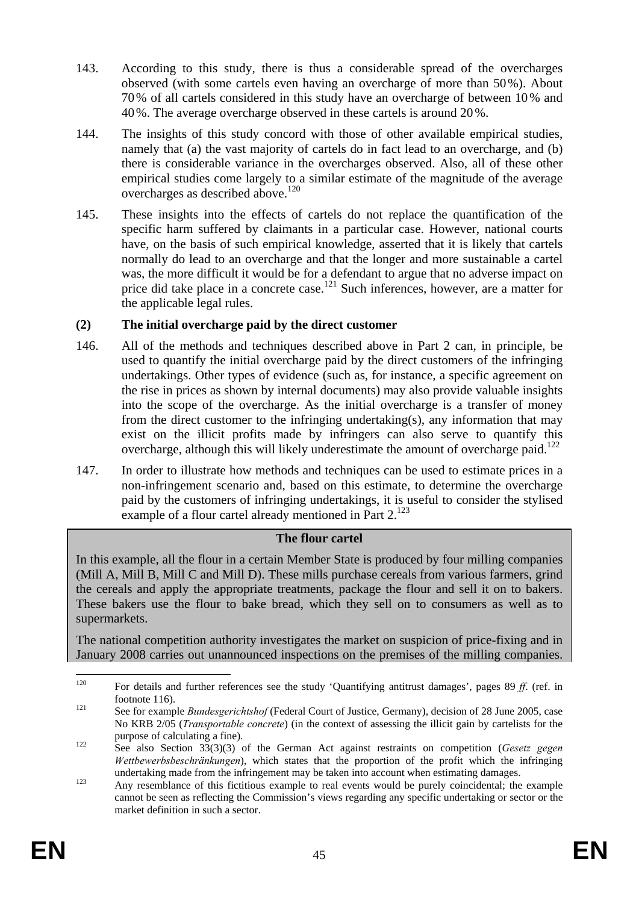- 143. According to this study, there is thus a considerable spread of the overcharges observed (with some cartels even having an overcharge of more than 50%). About 70% of all cartels considered in this study have an overcharge of between 10% and 40%. The average overcharge observed in these cartels is around 20%.
- 144. The insights of this study concord with those of other available empirical studies, namely that (a) the vast majority of cartels do in fact lead to an overcharge, and (b) there is considerable variance in the overcharges observed. Also, all of these other empirical studies come largely to a similar estimate of the magnitude of the average overcharges as described above.<sup>120</sup>
- <span id="page-44-1"></span>145. These insights into the effects of cartels do not replace the quantification of the specific harm suffered by claimants in a particular case. However, national courts have, on the basis of such empirical knowledge, asserted that it is likely that cartels normally do lead to an overcharge and that the longer and more sustainable a cartel was, the more difficult it would be for a defendant to argue that no adverse impact on price did take place in a concrete case.<sup>121</sup> Such inferences, however, are a matter for the applicable legal rules.

### <span id="page-44-3"></span><span id="page-44-0"></span>**(2) The initial overcharge paid by the direct customer**

- 146. All of the methods and techniques described above in Part 2 can, in principle, be used to quantify the initial overcharge paid by the direct customers of the infringing undertakings. Other types of evidence (such as, for instance, a specific agreement on the rise in prices as shown by internal documents) may also provide valuable insights into the scope of the overcharge. As the initial overcharge is a transfer of money from the direct customer to the infringing undertaking(s), any information that may exist on the illicit profits made by infringers can also serve to quantify this overcharge, although this will likely underestimate the amount of overcharge paid.<sup>122</sup>
- <span id="page-44-2"></span>147. In order to illustrate how methods and techniques can be used to estimate prices in a non-infringement scenario and, based on this estimate, to determine the overcharge paid by the customers of infringing undertakings, it is useful to consider the stylised example of a flour cartel already mentioned in Part 2.<sup>123</sup>

### **The flour cartel**

In this example, all the flour in a certain Member State is produced by four milling companies (Mill A, Mill B, Mill C and Mill D). These mills purchase cereals from various farmers, grind the cereals and apply the appropriate treatments, package the flour and sell it on to bakers. These bakers use the flour to bake bread, which they sell on to consumers as well as to supermarkets.

The national competition authority investigates the market on suspicion of price-fixing and in January 2008 carries out unannounced inspections on the premises of the milling companies.

 $120$ 120 For details and further references see the study 'Quantifying antitrust damages', pages 89 *ff*. (ref. in footnote 116). 121 See for example *Bundesgerichtshof* (Federal Court of Justice, Germany), decision of 28 June 2005, case

No KRB 2/05 (*Transportable concrete*) (in the context of assessing the illicit gain by cartelists for the purpose of calculating a fine).<br><sup>122</sup> See also Section 33(3)(3) of the German Act against restraints on competition (*Gesetz gegen*)

*Wettbewerbsbeschränkungen*), which states that the proportion of the profit which the infringing

undertaking made from the infringement may be taken into account when estimating damages.<br>Any resemblance of this fictitious example to real events would be purely coincidental; the example cannot be seen as reflecting the Commission's views regarding any specific undertaking or sector or the market definition in such a sector.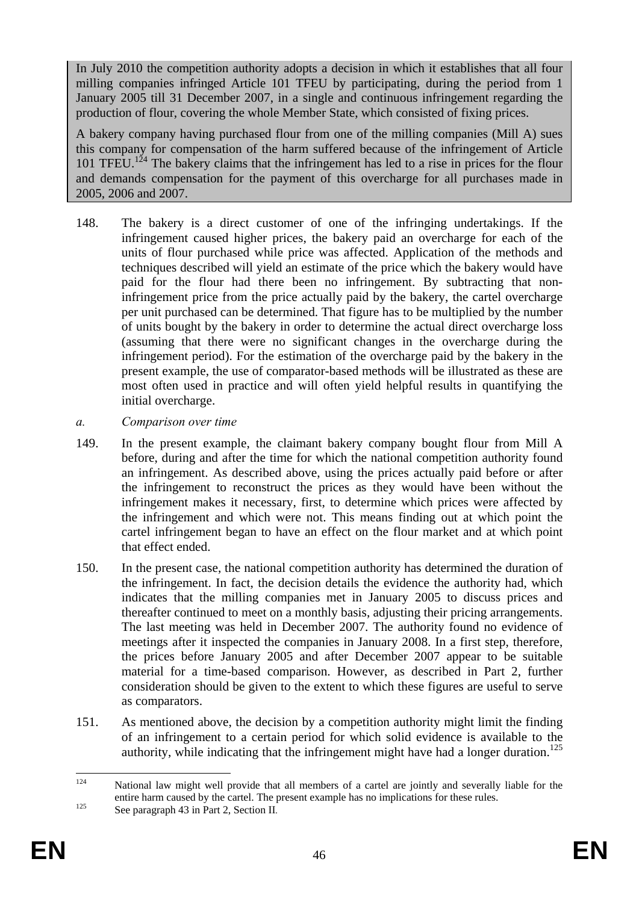In July 2010 the competition authority adopts a decision in which it establishes that all four milling companies infringed Article 101 TFEU by participating, during the period from 1 January 2005 till 31 December 2007, in a single and continuous infringement regarding the production of flour, covering the whole Member State, which consisted of fixing prices.

A bakery company having purchased flour from one of the milling companies (Mill A) sues this company for compensation of the harm suffered because of the infringement of Article 101 TFEU.<sup>124</sup> The bakery claims that the infringement has led to a rise in prices for the flour and demands compensation for the payment of this overcharge for all purchases made in 2005, 2006 and 2007.

- 148. The bakery is a direct customer of one of the infringing undertakings. If the infringement caused higher prices, the bakery paid an overcharge for each of the units of flour purchased while price was affected. Application of the methods and techniques described will yield an estimate of the price which the bakery would have paid for the flour had there been no infringement. By subtracting that noninfringement price from the price actually paid by the bakery, the cartel overcharge per unit purchased can be determined. That figure has to be multiplied by the number of units bought by the bakery in order to determine the actual direct overcharge loss (assuming that there were no significant changes in the overcharge during the infringement period). For the estimation of the overcharge paid by the bakery in the present example, the use of comparator-based methods will be illustrated as these are most often used in practice and will often yield helpful results in quantifying the initial overcharge.
- <span id="page-45-0"></span>*a. Comparison over time*
- <span id="page-45-1"></span>149. In the present example, the claimant bakery company bought flour from Mill A before, during and after the time for which the national competition authority found an infringement. As described above, using the prices actually paid before or after the infringement to reconstruct the prices as they would have been without the infringement makes it necessary, first, to determine which prices were affected by the infringement and which were not. This means finding out at which point the cartel infringement began to have an effect on the flour market and at which point that effect ended.
- 150. In the present case, the national competition authority has determined the duration of the infringement. In fact, the decision details the evidence the authority had, which indicates that the milling companies met in January 2005 to discuss prices and thereafter continued to meet on a monthly basis, adjusting their pricing arrangements. The last meeting was held in December 2007. The authority found no evidence of meetings after it inspected the companies in January 2008. In a first step, therefore, the prices before January 2005 and after December 2007 appear to be suitable material for a time-based comparison. However, as described in Part 2, further consideration should be given to the extent to which these figures are useful to serve as comparators.
- 151. As mentioned above, the decision by a competition authority might limit the finding of an infringement to a certain period for which solid evidence is available to the authority, while indicating that the infringement might have had a longer duration.<sup>125</sup>

 $124$ National law might well provide that all members of a cartel are jointly and severally liable for the [entire harm caused by the cartel. The pr](#page-17-0)esent example has no implications for these rules.<br>See paragraph 43 in Part 2, Section II.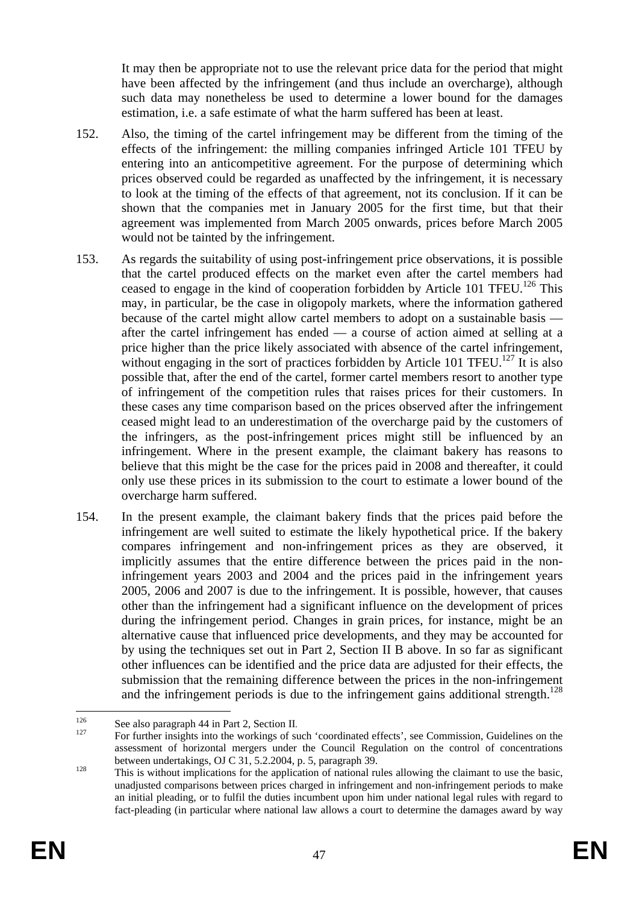It may then be appropriate not to use the relevant price data for the period that might have been affected by the infringement (and thus include an overcharge), although such data may nonetheless be used to determine a lower bound for the damages estimation, i.e. a safe estimate of what the harm suffered has been at least.

- 152. Also, the timing of the cartel infringement may be different from the timing of the effects of the infringement: the milling companies infringed Article 101 TFEU by entering into an anticompetitive agreement. For the purpose of determining which prices observed could be regarded as unaffected by the infringement, it is necessary to look at the timing of the effects of that agreement, not its conclusion. If it can be shown that the companies met in January 2005 for the first time, but that their agreement was implemented from March 2005 onwards, prices before March 2005 would not be tainted by the infringement.
- <span id="page-46-0"></span>153. As regards the suitability of using post-infringement price observations, it is possible that the cartel produced effects on the market even after the cartel members had ceased to engage in the kind of cooperation forbidden by Article 101 TFEU.<sup>126</sup> This may, in particular, be the case in oligopoly markets, where the information gathered because of the cartel might allow cartel members to adopt on a sustainable basis after the cartel infringement has ended — a course of action aimed at selling at a price higher than the price likely associated with absence of the cartel infringement, without engaging in the sort of practices forbidden by Article 101 TFEU.<sup>127</sup> It is also possible that, after the end of the cartel, former cartel members resort to another type of infringement of the competition rules that raises prices for their customers. In these cases any time comparison based on the prices observed after the infringement ceased might lead to an underestimation of the overcharge paid by the customers of the infringers, as the post-infringement prices might still be influenced by an infringement. Where in the present example, the claimant bakery has reasons to believe that this might be the case for the prices paid in 2008 and thereafter, it could only use these prices in its submission to the court to estimate a lower bound of the overcharge harm suffered.
- 154. In the present example, the claimant bakery finds that the prices paid before the infringement are well suited to estimate the likely hypothetical price. If the bakery compares infringement and non-infringement prices as they are observed, it implicitly assumes that the entire difference between the prices paid in the noninfringement years 2003 and 2004 and the prices paid in the infringement years 2005, 2006 and 2007 is due to the infringement. It is possible, however, that causes other than the infringement had a significant influence on the development of prices during the infringement period. Changes in grain prices, for instance, might be an alternative cause that influenced price developments, and they may be accounted for by using the techniques set out in Part 2, Section II B above. In so far as significant other influences can be identified and the price data are adjusted for their effects, the submission that the remaining difference between the prices in the non-infringement and the infringement periods is due to the infringement gains additional strength.<sup>128</sup>

<sup>126</sup> 

<sup>&</sup>lt;sup>126</sup> See also paragrap[h 44 i](#page-17-1)n Part 2, Section II.<br><sup>127</sup> For further insights into the workings of such 'coordinated effects', see Commission, Guidelines on the assessment of horizontal mergers under the Council Regulation on the control of concentrations between undertakings, OJ C 31, 5.2.2004, p. 5, paragraph 39.<br>This is without implications for the application of national rules allowing the claimant to use the basic,

unadjusted comparisons between prices charged in infringement and non-infringement periods to make an initial pleading, or to fulfil the duties incumbent upon him under national legal rules with regard to fact-pleading (in particular where national law allows a court to determine the damages award by way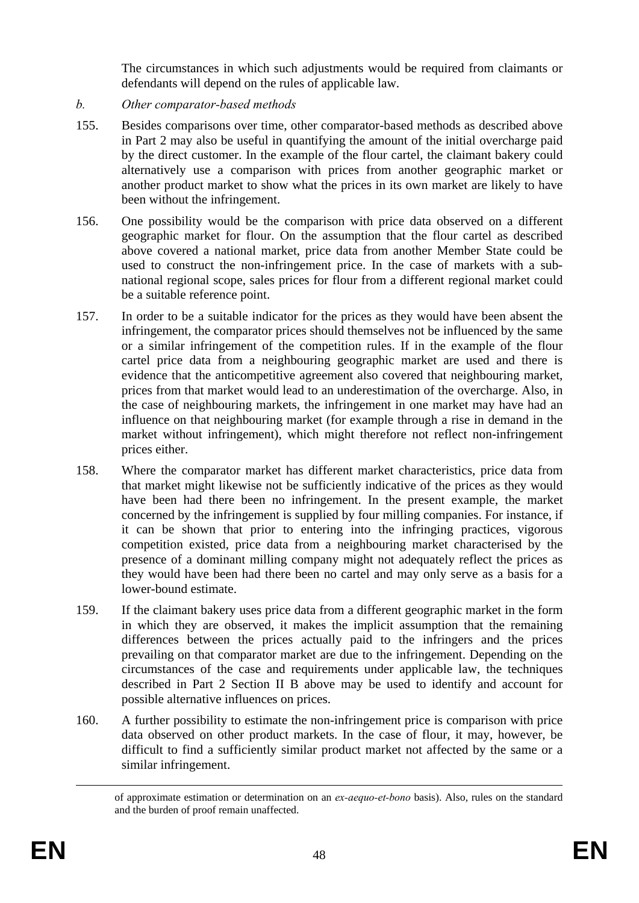The circumstances in which such adjustments would be required from claimants or defendants will depend on the rules of applicable law.

- <span id="page-47-0"></span>*b. Other comparator-based methods*
- <span id="page-47-3"></span>155. Besides comparisons over time, other comparator-based methods as described above in Part 2 may also be useful in quantifying the amount of the initial overcharge paid by the direct customer. In the example of the flour cartel, the claimant bakery could alternatively use a comparison with prices from another geographic market or another product market to show what the prices in its own market are likely to have been without the infringement.
- 156. One possibility would be the comparison with price data observed on a different geographic market for flour. On the assumption that the flour cartel as described above covered a national market, price data from another Member State could be used to construct the non-infringement price. In the case of markets with a subnational regional scope, sales prices for flour from a different regional market could be a suitable reference point.
- 157. In order to be a suitable indicator for the prices as they would have been absent the infringement, the comparator prices should themselves not be influenced by the same or a similar infringement of the competition rules. If in the example of the flour cartel price data from a neighbouring geographic market are used and there is evidence that the anticompetitive agreement also covered that neighbouring market, prices from that market would lead to an underestimation of the overcharge. Also, in the case of neighbouring markets, the infringement in one market may have had an influence on that neighbouring market (for example through a rise in demand in the market without infringement), which might therefore not reflect non-infringement prices either.
- <span id="page-47-2"></span>158. Where the comparator market has different market characteristics, price data from that market might likewise not be sufficiently indicative of the prices as they would have been had there been no infringement. In the present example, the market concerned by the infringement is supplied by four milling companies. For instance, if it can be shown that prior to entering into the infringing practices, vigorous competition existed, price data from a neighbouring market characterised by the presence of a dominant milling company might not adequately reflect the prices as they would have been had there been no cartel and may only serve as a basis for a lower-bound estimate.
- 159. If the claimant bakery uses price data from a different geographic market in the form in which they are observed, it makes the implicit assumption that the remaining differences between the prices actually paid to the infringers and the prices prevailing on that comparator market are due to the infringement. Depending on the circumstances of the case and requirements under applicable law, the techniques described in Part 2 Section II B above may be used to identify and account for possible alternative influences on prices.
- <span id="page-47-1"></span>160. A further possibility to estimate the non-infringement price is comparison with price data observed on other product markets. In the case of flour, it may, however, be difficult to find a sufficiently similar product market not affected by the same or a similar infringement.

of approximate estimation or determination on an *ex-aequo-et-bono* basis). Also, rules on the standard and the burden of proof remain unaffected.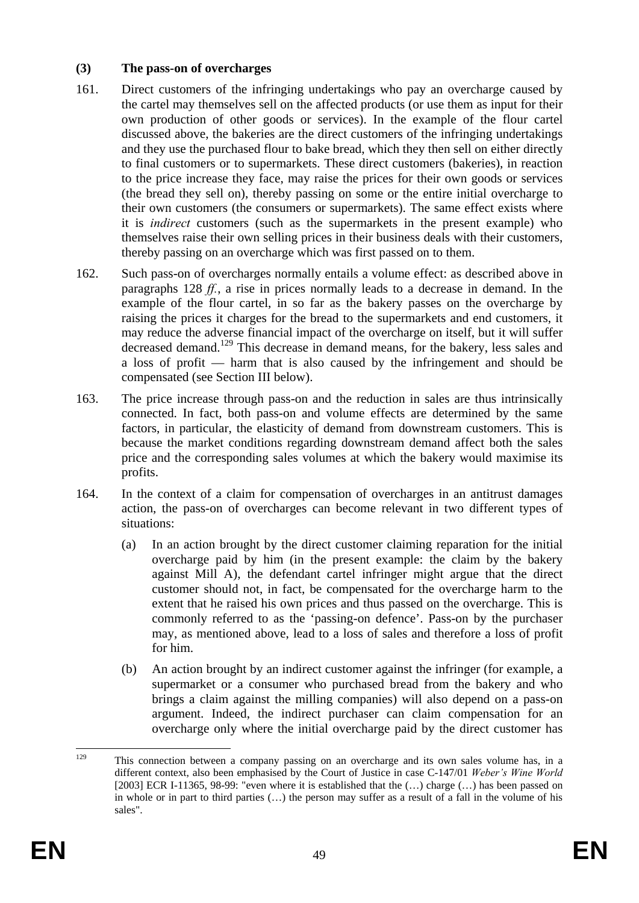### <span id="page-48-0"></span>**(3) The pass-on of overcharges**

- <span id="page-48-3"></span>161. Direct customers of the infringing undertakings who pay an overcharge caused by the cartel may themselves sell on the affected products (or use them as input for their own production of other goods or services). In the example of the flour cartel discussed above, the bakeries are the direct customers of the infringing undertakings and they use the purchased flour to bake bread, which they then sell on either directly to final customers or to supermarkets. These direct customers (bakeries), in reaction to the price increase they face, may raise the prices for their own goods or services (the bread they sell on), thereby passing on some or the entire initial overcharge to their own customers (the consumers or supermarkets). The same effect exists where it is *indirect* customers (such as the supermarkets in the present example) who themselves raise their own selling prices in their business deals with their customers, thereby passing on an overcharge which was first passed on to them.
- <span id="page-48-1"></span>162. Such pass-on of overcharges normally entails a volume effect: as described above in paragraphs [128](#page-40-4) *ff.*, a rise in prices normally leads to a decrease in demand. In the example of the flour cartel, in so far as the bakery passes on the overcharge by raising the prices it charges for the bread to the supermarkets and end customers, it may reduce the adverse financial impact of the overcharge on itself, but it will suffer decreased demand.<sup>129</sup> This decrease in demand means, for the bakery, less sales and a loss of profit — harm that is also caused by the infringement and should be compensated (see Section III below).
- 163. The price increase through pass-on and the reduction in sales are thus intrinsically connected. In fact, both pass-on and volume effects are determined by the same factors, in particular, the elasticity of demand from downstream customers. This is because the market conditions regarding downstream demand affect both the sales price and the corresponding sales volumes at which the bakery would maximise its profits.
- <span id="page-48-2"></span>164. In the context of a claim for compensation of overcharges in an antitrust damages action, the pass-on of overcharges can become relevant in two different types of situations:
	- (a) In an action brought by the direct customer claiming reparation for the initial overcharge paid by him (in the present example: the claim by the bakery against Mill A), the defendant cartel infringer might argue that the direct customer should not, in fact, be compensated for the overcharge harm to the extent that he raised his own prices and thus passed on the overcharge. This is commonly referred to as the 'passing-on defence'. Pass-on by the purchaser may, as mentioned above, lead to a loss of sales and therefore a loss of profit for him.
	- (b) An action brought by an indirect customer against the infringer (for example, a supermarket or a consumer who purchased bread from the bakery and who brings a claim against the milling companies) will also depend on a pass-on argument. Indeed, the indirect purchaser can claim compensation for an overcharge only where the initial overcharge paid by the direct customer has

<sup>129</sup> This connection between a company passing on an overcharge and its own sales volume has, in a different context, also been emphasised by the Court of Justice in case C-147/01 *Weber's Wine World*   $[2003]$  ECR I-11365, 98-99: "even where it is established that the  $(\ldots)$  charge  $(\ldots)$  has been passed on in whole or in part to third parties  $(...)$  the person may suffer as a result of a fall in the volume of his sales".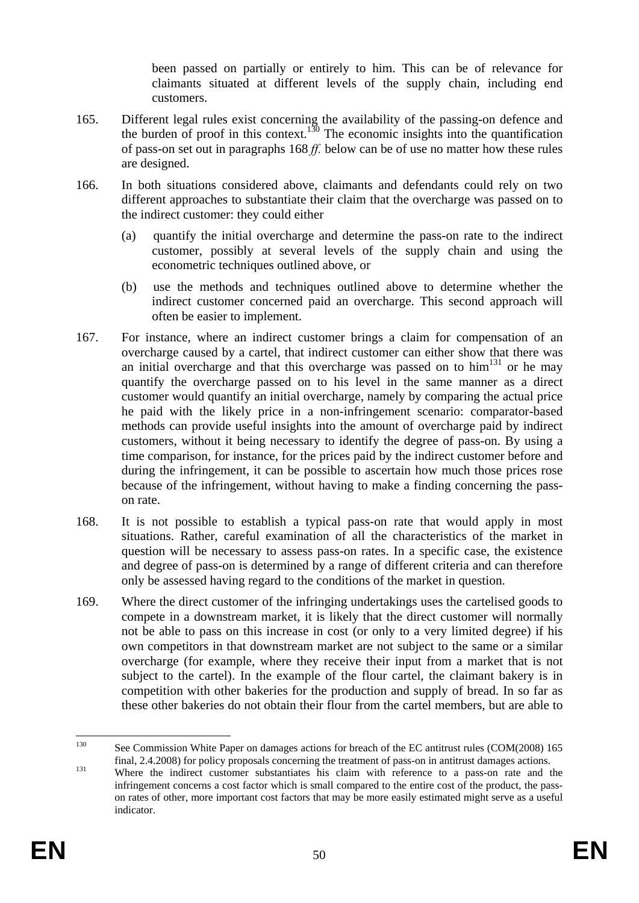been passed on partially or entirely to him. This can be of relevance for claimants situated at different levels of the supply chain, including end customers.

- 165. Different legal rules exist concerning the availability of the passing-on defence and the burden of proof in this context. $130$  The economic insights into the quantification of pass-on set out in paragraphs [168](#page-49-2) *ff.* below can be of use no matter how these rules are designed.
- <span id="page-49-0"></span>166. In both situations considered above, claimants and defendants could rely on two different approaches to substantiate their claim that the overcharge was passed on to the indirect customer: they could either
	- (a) quantify the initial overcharge and determine the pass-on rate to the indirect customer, possibly at several levels of the supply chain and using the econometric techniques outlined above, or
	- (b) use the methods and techniques outlined above to determine whether the indirect customer concerned paid an overcharge. This second approach will often be easier to implement.
- <span id="page-49-1"></span>167. For instance, where an indirect customer brings a claim for compensation of an overcharge caused by a cartel, that indirect customer can either show that there was an initial overcharge and that this overcharge was passed on to  $\text{him}^{131}$  or he may quantify the overcharge passed on to his level in the same manner as a direct customer would quantify an initial overcharge, namely by comparing the actual price he paid with the likely price in a non-infringement scenario: comparator-based methods can provide useful insights into the amount of overcharge paid by indirect customers, without it being necessary to identify the degree of pass-on. By using a time comparison, for instance, for the prices paid by the indirect customer before and during the infringement, it can be possible to ascertain how much those prices rose because of the infringement, without having to make a finding concerning the passon rate.
- <span id="page-49-2"></span>168. It is not possible to establish a typical pass-on rate that would apply in most situations. Rather, careful examination of all the characteristics of the market in question will be necessary to assess pass-on rates. In a specific case, the existence and degree of pass-on is determined by a range of different criteria and can therefore only be assessed having regard to the conditions of the market in question.
- 169. Where the direct customer of the infringing undertakings uses the cartelised goods to compete in a downstream market, it is likely that the direct customer will normally not be able to pass on this increase in cost (or only to a very limited degree) if his own competitors in that downstream market are not subject to the same or a similar overcharge (for example, where they receive their input from a market that is not subject to the cartel). In the example of the flour cartel, the claimant bakery is in competition with other bakeries for the production and supply of bread. In so far as these other bakeries do not obtain their flour from the cartel members, but are able to

<sup>130</sup> See Commission White Paper on damages actions for breach of the EC antitrust rules (COM(2008) 165

final, 2.4.2008) for policy proposals concerning the treatment of pass-on in antitrust damages actions.<br><sup>131</sup> Where the indirect customer substantiates his claim with reference to a pass-on rate and the infringement concerns a cost factor which is small compared to the entire cost of the product, the passon rates of other, more important cost factors that may be more easily estimated might serve as a useful indicator.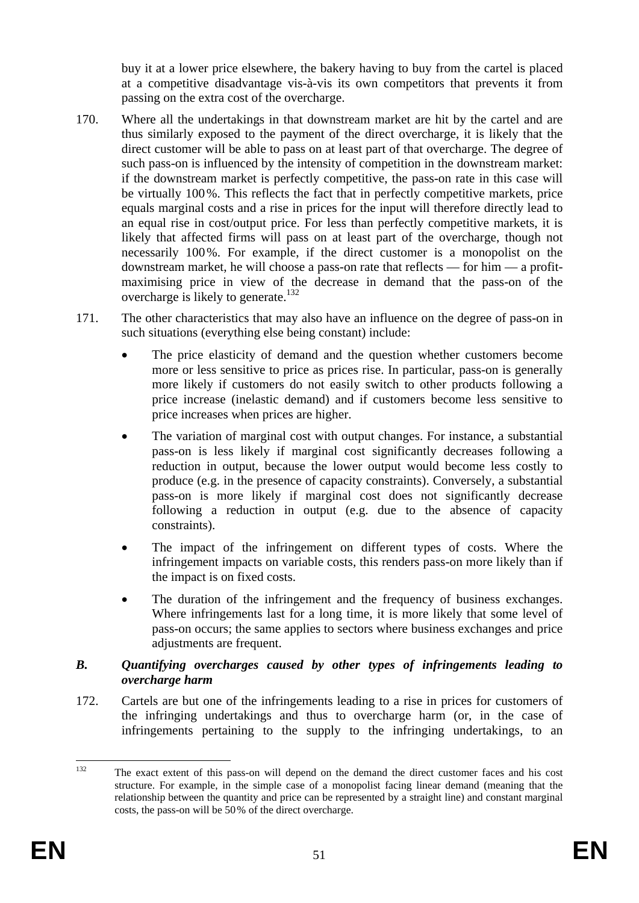buy it at a lower price elsewhere, the bakery having to buy from the cartel is placed at a competitive disadvantage vis-à-vis its own competitors that prevents it from passing on the extra cost of the overcharge.

- 170. Where all the undertakings in that downstream market are hit by the cartel and are thus similarly exposed to the payment of the direct overcharge, it is likely that the direct customer will be able to pass on at least part of that overcharge. The degree of such pass-on is influenced by the intensity of competition in the downstream market: if the downstream market is perfectly competitive, the pass-on rate in this case will be virtually 100%. This reflects the fact that in perfectly competitive markets, price equals marginal costs and a rise in prices for the input will therefore directly lead to an equal rise in cost/output price. For less than perfectly competitive markets, it is likely that affected firms will pass on at least part of the overcharge, though not necessarily 100%. For example, if the direct customer is a monopolist on the downstream market, he will choose a pass-on rate that reflects — for him — a profitmaximising price in view of the decrease in demand that the pass-on of the overcharge is likely to generate.<sup>132</sup>
- <span id="page-50-1"></span>171. The other characteristics that may also have an influence on the degree of pass-on in such situations (everything else being constant) include:
	- The price elasticity of demand and the question whether customers become more or less sensitive to price as prices rise. In particular, pass-on is generally more likely if customers do not easily switch to other products following a price increase (inelastic demand) and if customers become less sensitive to price increases when prices are higher.
	- The variation of marginal cost with output changes. For instance, a substantial pass-on is less likely if marginal cost significantly decreases following a reduction in output, because the lower output would become less costly to produce (e.g. in the presence of capacity constraints). Conversely, a substantial pass-on is more likely if marginal cost does not significantly decrease following a reduction in output (e.g. due to the absence of capacity constraints).
	- The impact of the infringement on different types of costs. Where the infringement impacts on variable costs, this renders pass-on more likely than if the impact is on fixed costs.
	- The duration of the infringement and the frequency of business exchanges. Where infringements last for a long time, it is more likely that some level of pass-on occurs; the same applies to sectors where business exchanges and price adjustments are frequent.

### <span id="page-50-0"></span>*B. Quantifying overcharges caused by other types of infringements leading to overcharge harm*

172. Cartels are but one of the infringements leading to a rise in prices for customers of the infringing undertakings and thus to overcharge harm (or, in the case of infringements pertaining to the supply to the infringing undertakings, to an

<sup>132</sup> The exact extent of this pass-on will depend on the demand the direct customer faces and his cost structure. For example, in the simple case of a monopolist facing linear demand (meaning that the relationship between the quantity and price can be represented by a straight line) and constant marginal costs, the pass-on will be 50% of the direct overcharge.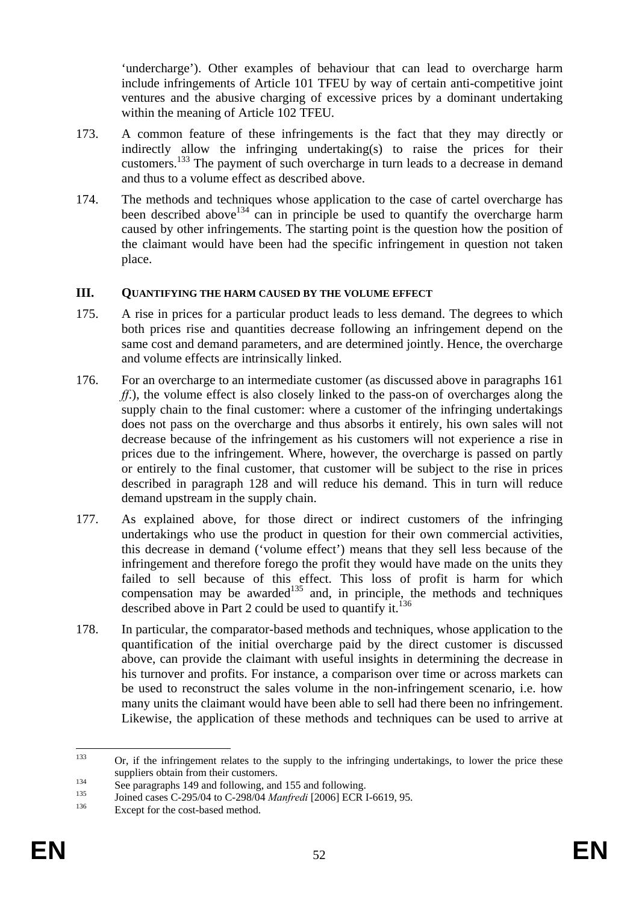'undercharge'). Other examples of behaviour that can lead to overcharge harm include infringements of Article 101 TFEU by way of certain anti-competitive joint ventures and the abusive charging of excessive prices by a dominant undertaking within the meaning of Article 102 TFEU.

- 173. A common feature of these infringements is the fact that they may directly or indirectly allow the infringing undertaking(s) to raise the prices for their customers.<sup>133</sup> The payment of such overcharge in turn leads to a decrease in demand and thus to a volume effect as described above.
- <span id="page-51-1"></span>174. The methods and techniques whose application to the case of cartel overcharge has been described above<sup>134</sup> can in principle be used to quantify the overcharge harm caused by other infringements. The starting point is the question how the position of the claimant would have been had the specific infringement in question not taken place.

### <span id="page-51-3"></span><span id="page-51-0"></span>**III. QUANTIFYING THE HARM CAUSED BY THE VOLUME EFFECT**

- 175. A rise in prices for a particular product leads to less demand. The degrees to which both prices rise and quantities decrease following an infringement depend on the same cost and demand parameters, and are determined jointly. Hence, the overcharge and volume effects are intrinsically linked.
- 176. For an overcharge to an intermediate customer (as discussed above in paragraphs [161](#page-48-3)  *ff*.), the volume effect is also closely linked to the pass-on of overcharges along the supply chain to the final customer: where a customer of the infringing undertakings does not pass on the overcharge and thus absorbs it entirely, his own sales will not decrease because of the infringement as his customers will not experience a rise in prices due to the infringement. Where, however, the overcharge is passed on partly or entirely to the final customer, that customer will be subject to the rise in prices described in paragraph [128](#page-40-4) and will reduce his demand. This in turn will reduce demand upstream in the supply chain.
- 177. As explained above, for those direct or indirect customers of the infringing undertakings who use the product in question for their own commercial activities, this decrease in demand ('volume effect') means that they sell less because of the infringement and therefore forego the profit they would have made on the units they failed to sell because of this effect. This loss of profit is harm for which compensation may be awarded<sup>135</sup> and, in principle, the methods and techniques described above in Part 2 could be used to quantify it.<sup>136</sup>
- 178. In particular, the comparator-based methods and techniques, whose application to the quantification of the initial overcharge paid by the direct customer is discussed above, can provide the claimant with useful insights in determining the decrease in his turnover and profits. For instance, a comparison over time or across markets can be used to reconstruct the sales volume in the non-infringement scenario, i.e. how many units the claimant would have been able to sell had there been no infringement. Likewise, the application of these methods and techniques can be used to arrive at

<span id="page-51-2"></span> $133$ 133 Or, if the infringement relates to the supply to the infringing undertakings, to lower the price these

suppliers obtai[n from](#page-45-1) their customers.<br>
See paragraphs [149 a](#page-45-1)nd following, an[d 155 a](#page-47-3)nd following.<br>
Joined cases C[-295/0](#page-45-1)4 to C-298/04 *Manfredi* [2006] ECR I-6619, 95.<br>
Except for the cost-based method.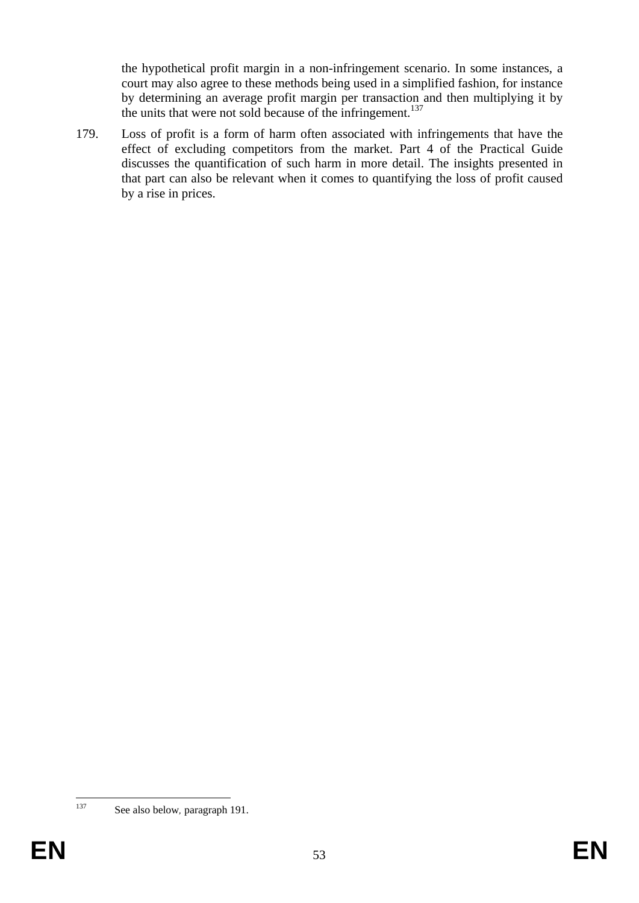the hypothetical profit margin in a non-infringement scenario. In some instances, a court may also agree to these methods being used in a simplified fashion, for instance by determining an average profit margin per transaction and then multiplying it by the units that were not sold because of the infringement.<sup>137</sup>

<span id="page-52-0"></span>179. Loss of profit is a form of harm often associated with infringements that have the effect of excluding competitors from the market. Part 4 of the Practical Guide discusses the quantification of such harm in more detail. The insights presented in that part can also be relevant when it comes to quantifying the loss of profit caused by a rise in prices.

<sup>137</sup> 

See also below, paragraph 191.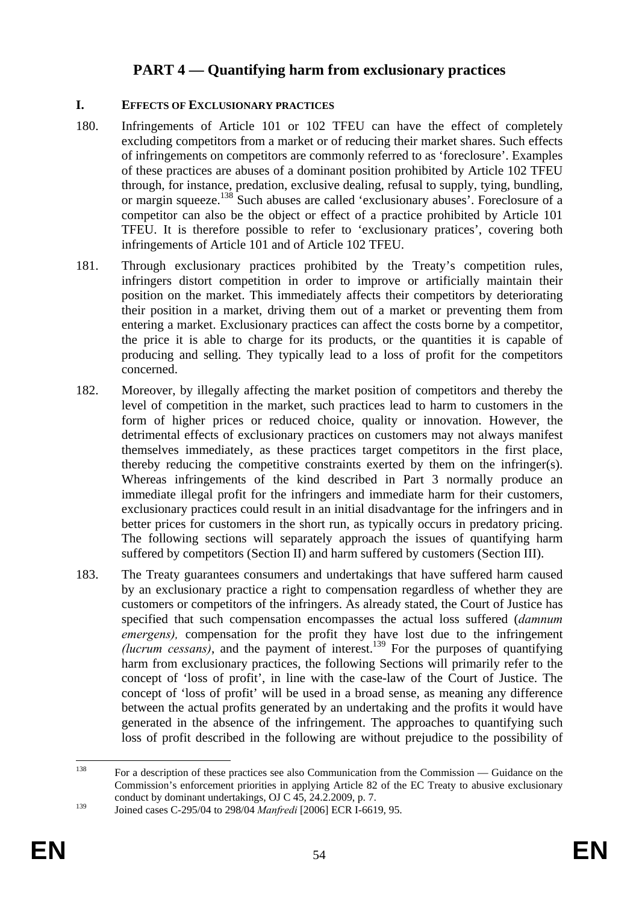## **PART 4 — Quantifying harm from exclusionary practices**

### <span id="page-53-2"></span><span id="page-53-1"></span><span id="page-53-0"></span>**I. EFFECTS OF EXCLUSIONARY PRACTICES**

- 180. Infringements of Article 101 or 102 TFEU can have the effect of completely excluding competitors from a market or of reducing their market shares. Such effects of infringements on competitors are commonly referred to as 'foreclosure'. Examples of these practices are abuses of a dominant position prohibited by Article 102 TFEU through, for instance, predation, exclusive dealing, refusal to supply, tying, bundling, or margin squeeze.138 Such abuses are called 'exclusionary abuses'. Foreclosure of a competitor can also be the object or effect of a practice prohibited by Article 101 TFEU. It is therefore possible to refer to 'exclusionary pratices', covering both infringements of Article 101 and of Article 102 TFEU.
- <span id="page-53-3"></span>181. Through exclusionary practices prohibited by the Treaty's competition rules, infringers distort competition in order to improve or artificially maintain their position on the market. This immediately affects their competitors by deteriorating their position in a market, driving them out of a market or preventing them from entering a market. Exclusionary practices can affect the costs borne by a competitor, the price it is able to charge for its products, or the quantities it is capable of producing and selling. They typically lead to a loss of profit for the competitors concerned.
- <span id="page-53-4"></span>182. Moreover, by illegally affecting the market position of competitors and thereby the level of competition in the market, such practices lead to harm to customers in the form of higher prices or reduced choice, quality or innovation. However, the detrimental effects of exclusionary practices on customers may not always manifest themselves immediately, as these practices target competitors in the first place, thereby reducing the competitive constraints exerted by them on the infringer(s). Whereas infringements of the kind described in Part 3 normally produce an immediate illegal profit for the infringers and immediate harm for their customers, exclusionary practices could result in an initial disadvantage for the infringers and in better prices for customers in the short run, as typically occurs in predatory pricing. The following sections will separately approach the issues of quantifying harm suffered by competitors (Section II) and harm suffered by customers (Section III).
- 183. The Treaty guarantees consumers and undertakings that have suffered harm caused by an exclusionary practice a right to compensation regardless of whether they are customers or competitors of the infringers. As already stated, the Court of Justice has specified that such compensation encompasses the actual loss suffered (*damnum emergens),* compensation for the profit they have lost due to the infringement *(lucrum cessans)*, and the payment of interest.<sup>139</sup> For the purposes of quantifying harm from exclusionary practices, the following Sections will primarily refer to the concept of 'loss of profit', in line with the case-law of the Court of Justice. The concept of 'loss of profit' will be used in a broad sense, as meaning any difference between the actual profits generated by an undertaking and the profits it would have generated in the absence of the infringement. The approaches to quantifying such loss of profit described in the following are without prejudice to the possibility of

<sup>138</sup> 138 For a description of these practices see also Communication from the Commission — Guidance on the Commission's enforcement priorities in applying Article 82 of the EC Treaty to abusive exclusionary conduct by dominant undertakings, OJ C 45, 24.2.2009, p. 7.

<sup>139</sup> Joined cases C-295/04 to 298/04 *Manfredi* [2006] ECR I-6619, 95.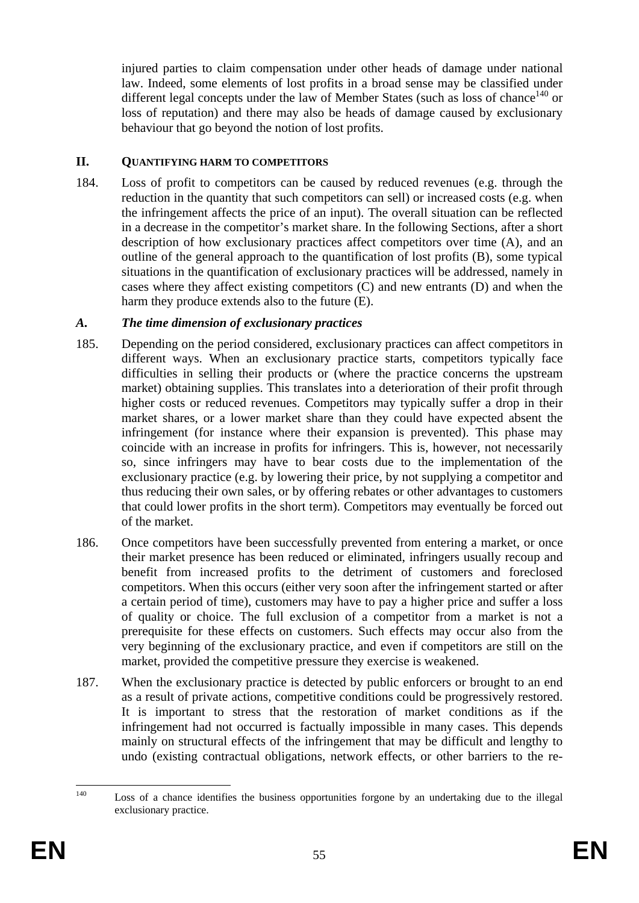injured parties to claim compensation under other heads of damage under national law. Indeed, some elements of lost profits in a broad sense may be classified under different legal concepts under the law of Member States (such as loss of chance<sup>140</sup> or loss of reputation) and there may also be heads of damage caused by exclusionary behaviour that go beyond the notion of lost profits.

#### <span id="page-54-0"></span>**II. QUANTIFYING HARM TO COMPETITORS**

<span id="page-54-3"></span>184. Loss of profit to competitors can be caused by reduced revenues (e.g. through the reduction in the quantity that such competitors can sell) or increased costs (e.g. when the infringement affects the price of an input). The overall situation can be reflected in a decrease in the competitor's market share. In the following Sections, after a short description of how exclusionary practices affect competitors over time (A), and an outline of the general approach to the quantification of lost profits (B), some typical situations in the quantification of exclusionary practices will be addressed, namely in cases where they affect existing competitors (C) and new entrants (D) and when the harm they produce extends also to the future (E).

### <span id="page-54-4"></span><span id="page-54-1"></span>*A. The time dimension of exclusionary practices*

- 185. Depending on the period considered, exclusionary practices can affect competitors in different ways. When an exclusionary practice starts, competitors typically face difficulties in selling their products or (where the practice concerns the upstream market) obtaining supplies. This translates into a deterioration of their profit through higher costs or reduced revenues. Competitors may typically suffer a drop in their market shares, or a lower market share than they could have expected absent the infringement (for instance where their expansion is prevented). This phase may coincide with an increase in profits for infringers. This is, however, not necessarily so, since infringers may have to bear costs due to the implementation of the exclusionary practice (e.g. by lowering their price, by not supplying a competitor and thus reducing their own sales, or by offering rebates or other advantages to customers that could lower profits in the short term). Competitors may eventually be forced out of the market.
- <span id="page-54-2"></span>186. Once competitors have been successfully prevented from entering a market, or once their market presence has been reduced or eliminated, infringers usually recoup and benefit from increased profits to the detriment of customers and foreclosed competitors. When this occurs (either very soon after the infringement started or after a certain period of time), customers may have to pay a higher price and suffer a loss of quality or choice. The full exclusion of a competitor from a market is not a prerequisite for these effects on customers. Such effects may occur also from the very beginning of the exclusionary practice, and even if competitors are still on the market, provided the competitive pressure they exercise is weakened.
- 187. When the exclusionary practice is detected by public enforcers or brought to an end as a result of private actions, competitive conditions could be progressively restored. It is important to stress that the restoration of market conditions as if the infringement had not occurred is factually impossible in many cases. This depends mainly on structural effects of the infringement that may be difficult and lengthy to undo (existing contractual obligations, network effects, or other barriers to the re-

 $140$ Loss of a chance identifies the business opportunities forgone by an undertaking due to the illegal exclusionary practice.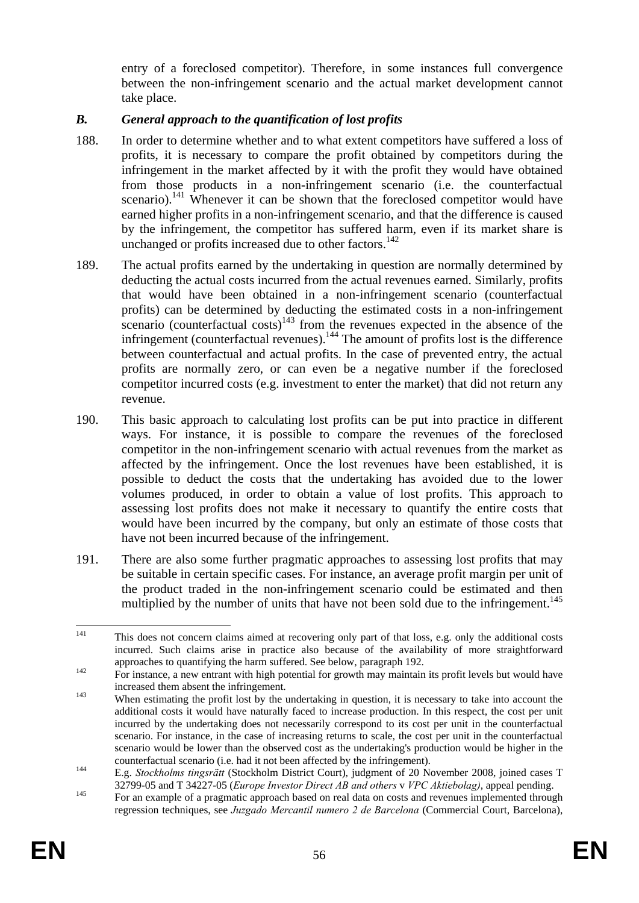entry of a foreclosed competitor). Therefore, in some instances full convergence between the non-infringement scenario and the actual market development cannot take place.

### <span id="page-55-1"></span><span id="page-55-0"></span>*B. General approach to the quantification of lost profits*

- 188. In order to determine whether and to what extent competitors have suffered a loss of profits, it is necessary to compare the profit obtained by competitors during the infringement in the market affected by it with the profit they would have obtained from those products in a non-infringement scenario (i.e. the counterfactual scenario).<sup>141</sup> Whenever it can be shown that the foreclosed competitor would have earned higher profits in a non-infringement scenario, and that the difference is caused by the infringement, the competitor has suffered harm, even if its market share is unchanged or profits increased due to other factors.<sup>142</sup>
- <span id="page-55-2"></span>189. The actual profits earned by the undertaking in question are normally determined by deducting the actual costs incurred from the actual revenues earned. Similarly, profits that would have been obtained in a non-infringement scenario (counterfactual profits) can be determined by deducting the estimated costs in a non-infringement scenario (counterfactual costs)<sup>143</sup> from the revenues expected in the absence of the infringement (counterfactual revenues).<sup>144</sup> The amount of profits lost is the difference between counterfactual and actual profits. In the case of prevented entry, the actual profits are normally zero, or can even be a negative number if the foreclosed competitor incurred costs (e.g. investment to enter the market) that did not return any revenue.
- <span id="page-55-3"></span>190. This basic approach to calculating lost profits can be put into practice in different ways. For instance, it is possible to compare the revenues of the foreclosed competitor in the non-infringement scenario with actual revenues from the market as affected by the infringement. Once the lost revenues have been established, it is possible to deduct the costs that the undertaking has avoided due to the lower volumes produced, in order to obtain a value of lost profits. This approach to assessing lost profits does not make it necessary to quantify the entire costs that would have been incurred by the company, but only an estimate of those costs that have not been incurred because of the infringement.
- 191. There are also some further pragmatic approaches to assessing lost profits that may be suitable in certain specific cases. For instance, an average profit margin per unit of the product traded in the non-infringement scenario could be estimated and then multiplied by the number of units that have not been sold due to the infringement.<sup>145</sup>

 $141$ This does not concern claims aimed at recovering only part of that loss, e.g. only the additional costs incurred. Such claims arise in practice also because of the availability of more straightforward approaches to quantifying the harm suffered. See below, paragraph 192.<br>For instance, a new entrant with high potential for growth may maintain its profit levels but would have

<span id="page-55-4"></span>increased them absent the infringement.<br>When estimating the profit lost by the undertaking in question, it is necessary to take into account the

additional costs it would have naturally faced to increase production. In this respect, the cost per unit incurred by the undertaking does not necessarily correspond to its cost per unit in the counterfactual scenario. For instance, in the case of increasing returns to scale, the cost per unit in the counterfactual scenario would be lower than the observed cost as the undertaking's production would be higher in the counterfactual scenario (i.e. had it not been affected by the infringement). 144 E.g. *Stockholms tingsrätt* (Stockholm District Court), judgment of 20 November 2008, joined cases T

<sup>32799-05</sup> and T 34227-05 (*Europe Investor Direct AB and others v VPC Aktiebolag*), appeal pending.<br><sup>145</sup> For an example of a pragmatic approach based on real data on costs and revenues implemented through

regression techniques, see *Juzgado Mercantil numero 2 de Barcelona* (Commercial Court, Barcelona),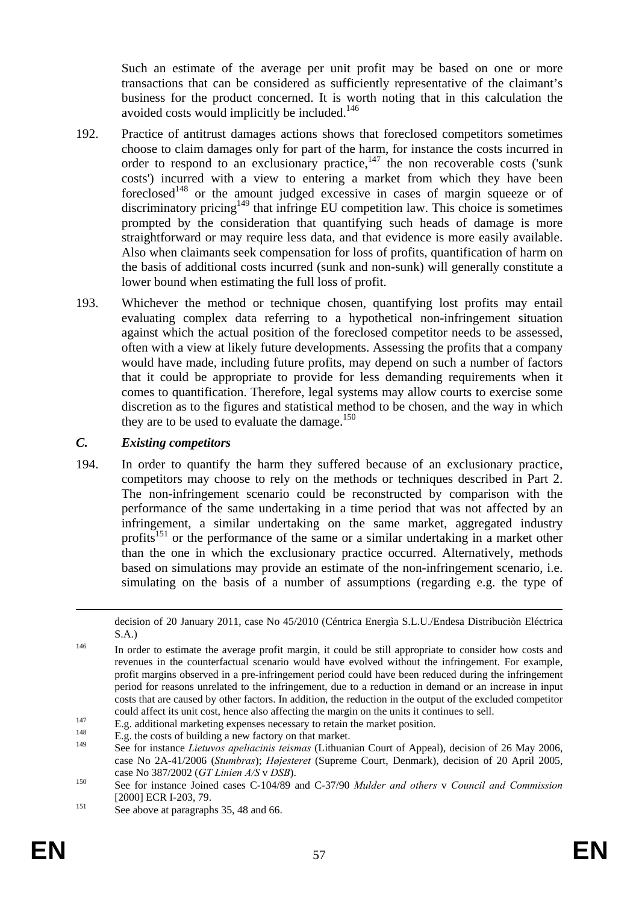Such an estimate of the average per unit profit may be based on one or more transactions that can be considered as sufficiently representative of the claimant's business for the product concerned. It is worth noting that in this calculation the avoided costs would implicitly be included.<sup>146</sup>

- <span id="page-56-3"></span>192. Practice of antitrust damages actions shows that foreclosed competitors sometimes choose to claim damages only for part of the harm, for instance the costs incurred in order to respond to an exclusionary practice, $147$  the non recoverable costs ('sunk costs') incurred with a view to entering a market from which they have been  $fored<sup>148</sup>$  or the amount judged excessive in cases of margin squeeze or of discriminatory pricing149 that infringe EU competition law. This choice is sometimes prompted by the consideration that quantifying such heads of damage is more straightforward or may require less data, and that evidence is more easily available. Also when claimants seek compensation for loss of profits, quantification of harm on the basis of additional costs incurred (sunk and non-sunk) will generally constitute a lower bound when estimating the full loss of profit.
- <span id="page-56-2"></span>193. Whichever the method or technique chosen, quantifying lost profits may entail evaluating complex data referring to a hypothetical non-infringement situation against which the actual position of the foreclosed competitor needs to be assessed, often with a view at likely future developments. Assessing the profits that a company would have made, including future profits, may depend on such a number of factors that it could be appropriate to provide for less demanding requirements when it comes to quantification. Therefore, legal systems may allow courts to exercise some discretion as to the figures and statistical method to be chosen, and the way in which they are to be used to evaluate the damage.<sup>150</sup>

### <span id="page-56-0"></span>*C. Existing competitors*

194. In order to quantify the harm they suffered because of an exclusionary practice, competitors may choose to rely on the methods or techniques described in Part 2. The non-infringement scenario could be reconstructed by comparison with the performance of the same undertaking in a time period that was not affected by an infringement, a similar undertaking on the same market, aggregated industry profits<sup>151</sup> or the performance of the same or a similar undertaking in a market other than the one in which the exclusionary practice occurred. Alternatively, methods based on simulations may provide an estimate of the non-infringement scenario, i.e. simulating on the basis of a number of assumptions (regarding e.g. the type of

decision of 20 January 2011, case No 45/2010 (Céntrica Energìa S.L.U./Endesa Distribuciòn Eléctrica

<span id="page-56-1"></span>S.A.)<br>
In order to estimate the average profit margin, it could be still appropriate to consider how costs and revenues in the counterfactual scenario would have evolved without the infringement. For example, profit margins observed in a pre-infringement period could have been reduced during the infringement period for reasons unrelated to the infringement, due to a reduction in demand or an increase in input costs that are caused by other factors. In addition, the reduction in the output of the excluded competitor

could affect its unit cost, hence also affecting the margin on the units it continues to sell.<br>E.g. additional marketing expenses necessary to retain the market position.<br>E.g. the costs of building a new factory on that ma

<sup>149</sup> See for instance *Lietuvos apeliacinis teismas* (Lithuanian Court of Appeal), decision of 26 May 2006, case No 2A-41/2006 (*Stumbras*); *Højesteret* (Supreme Court, Denmark), decision of 20 April 2005, case No 387/2002 (*GT Linien A/S* v *DSB*). 150 See for instance Joined cases C-104/89 and C-37/90 *Mulder and others* v *Council and Commission* 

<sup>[2000]</sup> ECR I-203, 79.<br>See above at paragraphs 35, 48 and 66.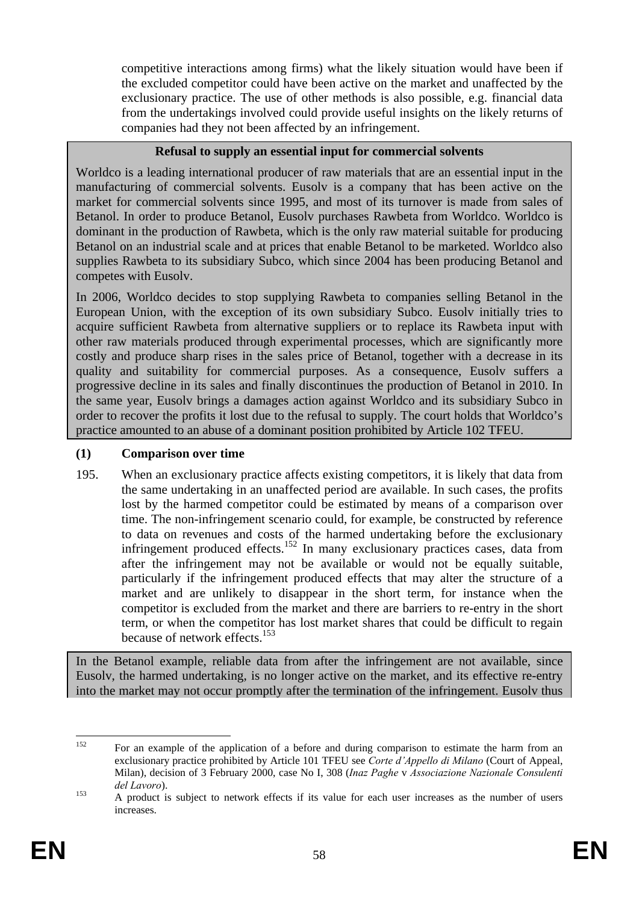competitive interactions among firms) what the likely situation would have been if the excluded competitor could have been active on the market and unaffected by the exclusionary practice. The use of other methods is also possible, e.g. financial data from the undertakings involved could provide useful insights on the likely returns of companies had they not been affected by an infringement.

### **Refusal to supply an essential input for commercial solvents**

Worldco is a leading international producer of raw materials that are an essential input in the manufacturing of commercial solvents. Eusolv is a company that has been active on the market for commercial solvents since 1995, and most of its turnover is made from sales of Betanol. In order to produce Betanol, Eusolv purchases Rawbeta from Worldco. Worldco is dominant in the production of Rawbeta, which is the only raw material suitable for producing Betanol on an industrial scale and at prices that enable Betanol to be marketed. Worldco also supplies Rawbeta to its subsidiary Subco, which since 2004 has been producing Betanol and competes with Eusolv.

In 2006, Worldco decides to stop supplying Rawbeta to companies selling Betanol in the European Union, with the exception of its own subsidiary Subco. Eusolv initially tries to acquire sufficient Rawbeta from alternative suppliers or to replace its Rawbeta input with other raw materials produced through experimental processes, which are significantly more costly and produce sharp rises in the sales price of Betanol, together with a decrease in its quality and suitability for commercial purposes. As a consequence, Eusolv suffers a progressive decline in its sales and finally discontinues the production of Betanol in 2010. In the same year, Eusolv brings a damages action against Worldco and its subsidiary Subco in order to recover the profits it lost due to the refusal to supply. The court holds that Worldco's practice amounted to an abuse of a dominant position prohibited by Article 102 TFEU.

#### <span id="page-57-2"></span><span id="page-57-0"></span>**(1) Comparison over time**

<span id="page-57-1"></span>195. When an exclusionary practice affects existing competitors, it is likely that data from the same undertaking in an unaffected period are available. In such cases, the profits lost by the harmed competitor could be estimated by means of a comparison over time. The non-infringement scenario could, for example, be constructed by reference to data on revenues and costs of the harmed undertaking before the exclusionary infringement produced effects.<sup>152</sup> In many exclusionary practices cases, data from after the infringement may not be available or would not be equally suitable, particularly if the infringement produced effects that may alter the structure of a market and are unlikely to disappear in the short term, for instance when the competitor is excluded from the market and there are barriers to re-entry in the short term, or when the competitor has lost market shares that could be difficult to regain because of network effects.<sup>153</sup>

In the Betanol example, reliable data from after the infringement are not available, since Eusolv, the harmed undertaking, is no longer active on the market, and its effective re-entry into the market may not occur promptly after the termination of the infringement. Eusolv thus

<sup>152</sup> 152 For an example of the application of a before and during comparison to estimate the harm from an exclusionary practice prohibited by Article 101 TFEU see *Corte d'Appello di Milano* (Court of Appeal, Milan), decision of 3 February 2000, case No I, 308 (*Inaz Paghe* v *Associazione Nazionale Consulenti del Lavoro*).<br><sup>153</sup> A product is subject to network effects if its value for each user increases as the number of users

increases.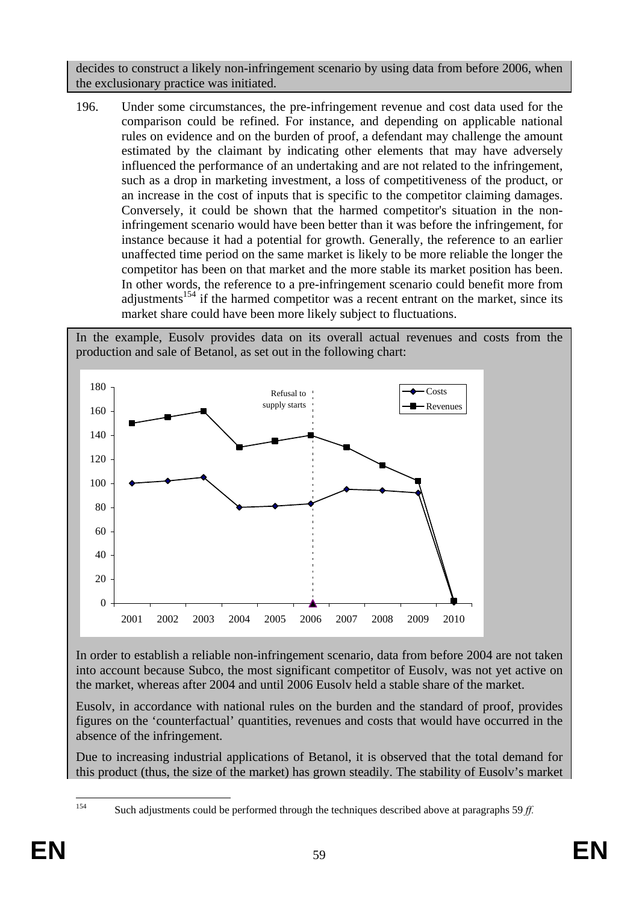decides to construct a likely non-infringement scenario by using data from before 2006, when the exclusionary practice was initiated.

<span id="page-58-0"></span>196. Under some circumstances, the pre-infringement revenue and cost data used for the comparison could be refined. For instance, and depending on applicable national rules on evidence and on the burden of proof, a defendant may challenge the amount estimated by the claimant by indicating other elements that may have adversely influenced the performance of an undertaking and are not related to the infringement, such as a drop in marketing investment, a loss of competitiveness of the product, or an increase in the cost of inputs that is specific to the competitor claiming damages. Conversely, it could be shown that the harmed competitor's situation in the noninfringement scenario would have been better than it was before the infringement, for instance because it had a potential for growth. Generally, the reference to an earlier unaffected time period on the same market is likely to be more reliable the longer the competitor has been on that market and the more stable its market position has been. In other words, the reference to a pre-infringement scenario could benefit more from adjustments<sup>154</sup> if the harmed competitor was a recent entrant on the market, since its market share could have been more likely subject to fluctuations.

In the example, Eusolv provides data on its overall actual revenues and costs from the production and sale of Betanol, as set out in the following chart:



In order to establish a reliable non-infringement scenario, data from before 2004 are not taken into account because Subco, the most significant competitor of Eusolv, was not yet active on the market, whereas after 2004 and until 2006 Eusolv held a stable share of the market.

Eusolv, in accordance with national rules on the burden and the standard of proof, provides figures on the 'counterfactual' quantities, revenues and costs that would have occurred in the absence of the infringement.

Due to increasing industrial applications of Betanol, it is observed that the total demand for this product (thus, the size of the market) has grown steadily. The stability of Eusolv's market

154

Such adjustments could be performed through the techniques described above at paragraphs 59 *ff*.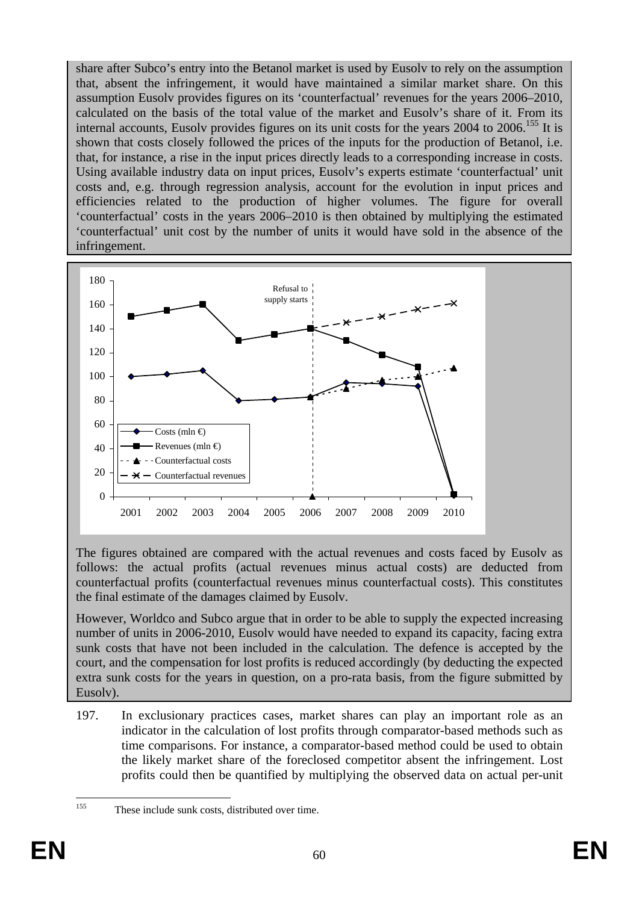share after Subco's entry into the Betanol market is used by Eusolv to rely on the assumption that, absent the infringement, it would have maintained a similar market share. On this assumption Eusolv provides figures on its 'counterfactual' revenues for the years 2006–2010, calculated on the basis of the total value of the market and Eusolv's share of it. From its internal accounts, Eusoly provides figures on its unit costs for the years 2004 to 2006.<sup>155</sup> It is shown that costs closely followed the prices of the inputs for the production of Betanol, i.e. that, for instance, a rise in the input prices directly leads to a corresponding increase in costs. Using available industry data on input prices, Eusolv's experts estimate 'counterfactual' unit costs and, e.g. through regression analysis, account for the evolution in input prices and efficiencies related to the production of higher volumes. The figure for overall 'counterfactual' costs in the years 2006–2010 is then obtained by multiplying the estimated 'counterfactual' unit cost by the number of units it would have sold in the absence of the infringement.



The figures obtained are compared with the actual revenues and costs faced by Eusolv as follows: the actual profits (actual revenues minus actual costs) are deducted from counterfactual profits (counterfactual revenues minus counterfactual costs). This constitutes the final estimate of the damages claimed by Eusolv.

However, Worldco and Subco argue that in order to be able to supply the expected increasing number of units in 2006-2010, Eusolv would have needed to expand its capacity, facing extra sunk costs that have not been included in the calculation. The defence is accepted by the court, and the compensation for lost profits is reduced accordingly (by deducting the expected extra sunk costs for the years in question, on a pro-rata basis, from the figure submitted by Eusolv).

197. In exclusionary practices cases, market shares can play an important role as an indicator in the calculation of lost profits through comparator-based methods such as time comparisons. For instance, a comparator-based method could be used to obtain the likely market share of the foreclosed competitor absent the infringement. Lost profits could then be quantified by multiplying the observed data on actual per-unit

<sup>155</sup> These include sunk costs, distributed over time.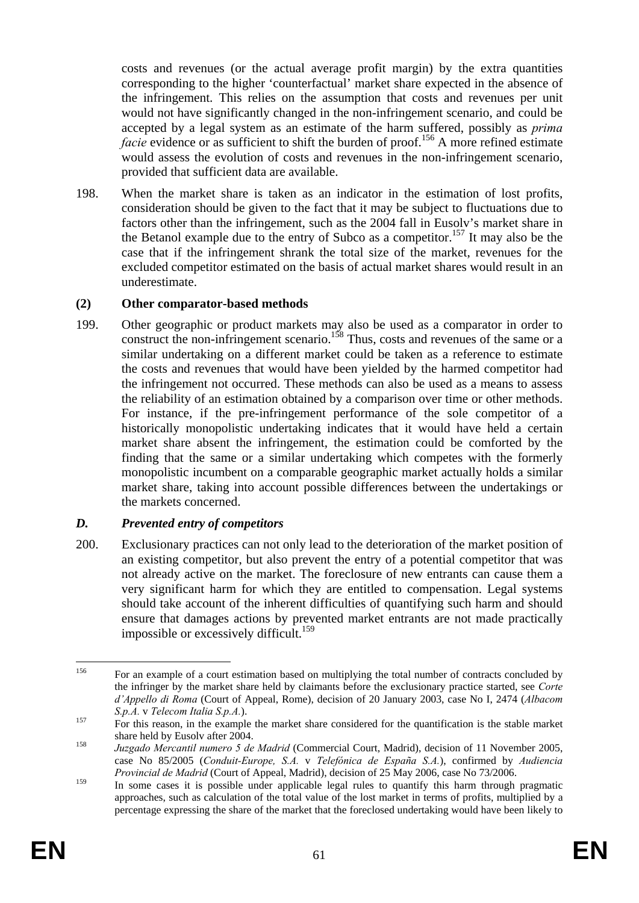costs and revenues (or the actual average profit margin) by the extra quantities corresponding to the higher 'counterfactual' market share expected in the absence of the infringement. This relies on the assumption that costs and revenues per unit would not have significantly changed in the non-infringement scenario, and could be accepted by a legal system as an estimate of the harm suffered, possibly as *prima facie* evidence or as sufficient to shift the burden of proof.<sup>156</sup> A more refined estimate would assess the evolution of costs and revenues in the non-infringement scenario, provided that sufficient data are available.

<span id="page-60-5"></span>198. When the market share is taken as an indicator in the estimation of lost profits, consideration should be given to the fact that it may be subject to fluctuations due to factors other than the infringement, such as the 2004 fall in Eusolv's market share in the Betanol example due to the entry of Subco as a competitor.<sup>157</sup> It may also be the case that if the infringement shrank the total size of the market, revenues for the excluded competitor estimated on the basis of actual market shares would result in an underestimate.

### <span id="page-60-0"></span>**(2) Other comparator-based methods**

<span id="page-60-4"></span>199. Other geographic or product markets may also be used as a comparator in order to construct the non-infringement scenario.<sup>158</sup> Thus, costs and revenues of the same or a similar undertaking on a different market could be taken as a reference to estimate the costs and revenues that would have been yielded by the harmed competitor had the infringement not occurred. These methods can also be used as a means to assess the reliability of an estimation obtained by a comparison over time or other methods. For instance, if the pre-infringement performance of the sole competitor of a historically monopolistic undertaking indicates that it would have held a certain market share absent the infringement, the estimation could be comforted by the finding that the same or a similar undertaking which competes with the formerly monopolistic incumbent on a comparable geographic market actually holds a similar market share, taking into account possible differences between the undertakings or the markets concerned.

### <span id="page-60-3"></span><span id="page-60-1"></span>*D. Prevented entry of competitors*

200. Exclusionary practices can not only lead to the deterioration of the market position of an existing competitor, but also prevent the entry of a potential competitor that was not already active on the market. The foreclosure of new entrants can cause them a very significant harm for which they are entitled to compensation. Legal systems should take account of the inherent difficulties of quantifying such harm and should ensure that damages actions by prevented market entrants are not made practically impossible or excessively difficult.<sup>159</sup>

<sup>156</sup> 156 For an example of a court estimation based on multiplying the total number of contracts concluded by the infringer by the market share held by claimants before the exclusionary practice started, see *Corte d'Appello di Roma* (Court of Appeal, Rome), decision of 20 January 2003, case No I, 2474 (*Albacom S.p.A. v Telecom Italia S.p.A.*). <br><sup>157</sup> For this reason, in the example the market share considered for the quantification is the stable market

<span id="page-60-2"></span>

share held by Eusolv after 2004. 158 *Juzgado Mercantil numero 5 de Madrid* (Commercial Court, Madrid), decision of 11 November 2005, case No 85/2005 (*Conduit-Europe, S.A.* v *Telefónica de España S.A.*), confirmed by *Audiencia Provincial de Madrid* (Court of Appeal, Madrid), decision of 25 May 2006, case No 73/2006.

<sup>&</sup>lt;sup>159</sup> In some cases it is possible under applicable legal rules to quantify this harm through pragmatic approaches, such as calculation of the total value of the lost market in terms of profits, multiplied by a percentage expressing the share of the market that the foreclosed undertaking would have been likely to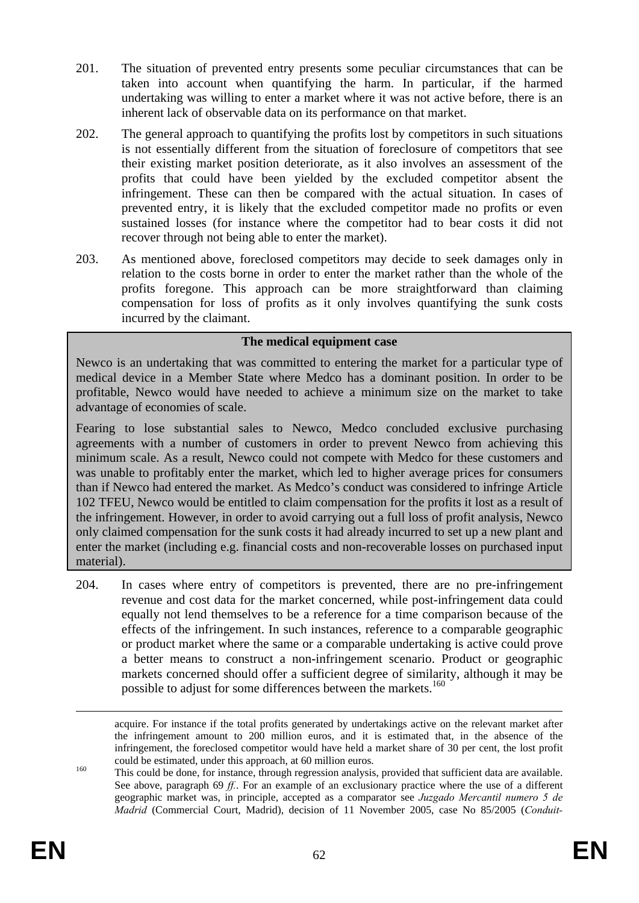- 201. The situation of prevented entry presents some peculiar circumstances that can be taken into account when quantifying the harm. In particular, if the harmed undertaking was willing to enter a market where it was not active before, there is an inherent lack of observable data on its performance on that market.
- <span id="page-61-0"></span>202. The general approach to quantifying the profits lost by competitors in such situations is not essentially different from the situation of foreclosure of competitors that see their existing market position deteriorate, as it also involves an assessment of the profits that could have been yielded by the excluded competitor absent the infringement. These can then be compared with the actual situation. In cases of prevented entry, it is likely that the excluded competitor made no profits or even sustained losses (for instance where the competitor had to bear costs it did not recover through not being able to enter the market).
- <span id="page-61-2"></span>203. As mentioned above, foreclosed competitors may decide to seek damages only in relation to the costs borne in order to enter the market rather than the whole of the profits foregone. This approach can be more straightforward than claiming compensation for loss of profits as it only involves quantifying the sunk costs incurred by the claimant.

### **The medical equipment case**

Newco is an undertaking that was committed to entering the market for a particular type of medical device in a Member State where Medco has a dominant position. In order to be profitable, Newco would have needed to achieve a minimum size on the market to take advantage of economies of scale.

Fearing to lose substantial sales to Newco, Medco concluded exclusive purchasing agreements with a number of customers in order to prevent Newco from achieving this minimum scale. As a result, Newco could not compete with Medco for these customers and was unable to profitably enter the market, which led to higher average prices for consumers than if Newco had entered the market. As Medco's conduct was considered to infringe Article 102 TFEU, Newco would be entitled to claim compensation for the profits it lost as a result of the infringement. However, in order to avoid carrying out a full loss of profit analysis, Newco only claimed compensation for the sunk costs it had already incurred to set up a new plant and enter the market (including e.g. financial costs and non-recoverable losses on purchased input material).

<span id="page-61-1"></span>204. In cases where entry of competitors is prevented, there are no pre-infringement revenue and cost data for the market concerned, while post-infringement data could equally not lend themselves to be a reference for a time comparison because of the effects of the infringement. In such instances, reference to a comparable geographic or product market where the same or a comparable undertaking is active could prove a better means to construct a non-infringement scenario. Product or geographic markets concerned should offer a sufficient degree of similarity, although it may be possible to adjust for some differences between the markets.<sup>160</sup>

acquire. For instance if the total profits generated by undertakings active on the relevant market after the infringement amount to 200 million euros, and it is estimated that, in the absence of the infringement, the foreclosed competitor would have held a market share of 30 per cent, the lost profit

could be estimated, under this approach, at 60 million euros.<br><sup>160</sup> This could be done, for instance, through regression analysis, provided that sufficient data are available. See above, paragraph [69](#page-24-0) *ff.*. For an example of an exclusionary practice where the use of a different geographic market was, in principle, accepted as a comparator see *Juzgado Mercantil numero 5 de Madrid* (Commercial Court, Madrid), decision of 11 November 2005, case No 85/2005 (*Conduit-*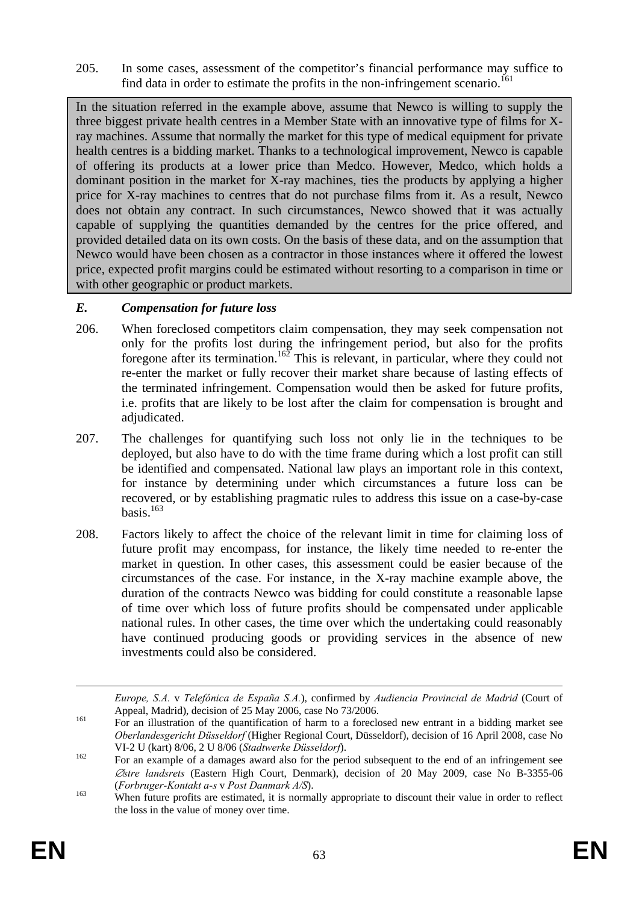<span id="page-62-2"></span>205. In some cases, assessment of the competitor's financial performance may suffice to find data in order to estimate the profits in the non-infringement scenario.<sup>161</sup>

In the situation referred in the example above, assume that Newco is willing to supply the three biggest private health centres in a Member State with an innovative type of films for Xray machines. Assume that normally the market for this type of medical equipment for private health centres is a bidding market. Thanks to a technological improvement, Newco is capable of offering its products at a lower price than Medco. However, Medco, which holds a dominant position in the market for X-ray machines, ties the products by applying a higher price for X-ray machines to centres that do not purchase films from it. As a result, Newco does not obtain any contract. In such circumstances, Newco showed that it was actually capable of supplying the quantities demanded by the centres for the price offered, and provided detailed data on its own costs. On the basis of these data, and on the assumption that Newco would have been chosen as a contractor in those instances where it offered the lowest price, expected profit margins could be estimated without resorting to a comparison in time or with other geographic or product markets.

### <span id="page-62-0"></span>*E. Compensation for future loss*

- <span id="page-62-3"></span>206. When foreclosed competitors claim compensation, they may seek compensation not only for the profits lost during the infringement period, but also for the profits foregone after its termination.<sup>162</sup> This is relevant, in particular, where they could not re-enter the market or fully recover their market share because of lasting effects of the terminated infringement. Compensation would then be asked for future profits, i.e. profits that are likely to be lost after the claim for compensation is brought and adjudicated.
- 207. The challenges for quantifying such loss not only lie in the techniques to be deployed, but also have to do with the time frame during which a lost profit can still be identified and compensated. National law plays an important role in this context, for instance by determining under which circumstances a future loss can be recovered, or by establishing pragmatic rules to address this issue on a case-by-case basis.<sup>163</sup>
- <span id="page-62-1"></span>208. Factors likely to affect the choice of the relevant limit in time for claiming loss of future profit may encompass, for instance, the likely time needed to re-enter the market in question. In other cases, this assessment could be easier because of the circumstances of the case. For instance, in the X-ray machine example above, the duration of the contracts Newco was bidding for could constitute a reasonable lapse of time over which loss of future profits should be compensated under applicable national rules. In other cases, the time over which the undertaking could reasonably have continued producing goods or providing services in the absence of new investments could also be considered.

1

*Europe, S.A.* v *Telefónica de España S.A.*), confirmed by *Audiencia Provincial de Madrid* (Court of

Appeal, Madrid), decision of 25 May 2006, case No  $73/2006$ .<br><sup>161</sup> For an illustration of the quantification of harm to a foreclosed new entrant in a bidding market see *Oberlandesgericht Düsseldorf* (Higher Regional Court, Düsseldorf), decision of 16 April 2008, case No VI-2 U (kart) 8/06, 2 U 8/06 (*Stadtwerke Düsseldorf*).<br>
For an example of a damages award also for the period subsequent to the end of an infringement see

<sup>∅</sup>*stre landsrets* (Eastern High Court, Denmark), decision of 20 May 2009, case No B-3355-06 (*Forbruger-Kontakt a-s* v *Post Danmark A/S*). 163 When future profits are estimated, it is normally appropriate to discount their value in order to reflect

the loss in the value of money over time.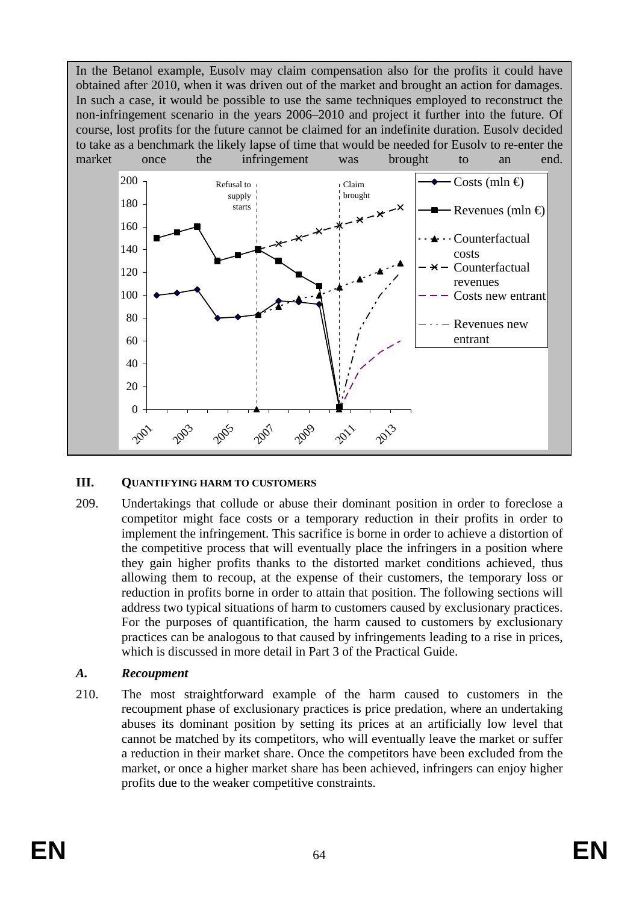In the Betanol example, Eusolv may claim compensation also for the profits it could have obtained after 2010, when it was driven out of the market and brought an action for damages. In such a case, it would be possible to use the same techniques employed to reconstruct the non-infringement scenario in the years 2006–2010 and project it further into the future. Of course, lost profits for the future cannot be claimed for an indefinite duration. Eusolv decided to take as a benchmark the likely lapse of time that would be needed for Eusolv to re-enter the market once the infringement was brought to an end.



#### <span id="page-63-3"></span><span id="page-63-0"></span>**III. QUANTIFYING HARM TO CUSTOMERS**

209. Undertakings that collude or abuse their dominant position in order to foreclose a competitor might face costs or a temporary reduction in their profits in order to implement the infringement. This sacrifice is borne in order to achieve a distortion of the competitive process that will eventually place the infringers in a position where they gain higher profits thanks to the distorted market conditions achieved, thus allowing them to recoup, at the expense of their customers, the temporary loss or reduction in profits borne in order to attain that position. The following sections will address two typical situations of harm to customers caused by exclusionary practices. For the purposes of quantification, the harm caused to customers by exclusionary practices can be analogous to that caused by infringements leading to a rise in prices, which is discussed in more detail in Part 3 of the Practical Guide.

#### <span id="page-63-1"></span>*A. Recoupment*

<span id="page-63-2"></span>210. The most straightforward example of the harm caused to customers in the recoupment phase of exclusionary practices is price predation, where an undertaking abuses its dominant position by setting its prices at an artificially low level that cannot be matched by its competitors, who will eventually leave the market or suffer a reduction in their market share. Once the competitors have been excluded from the market, or once a higher market share has been achieved, infringers can enjoy higher profits due to the weaker competitive constraints.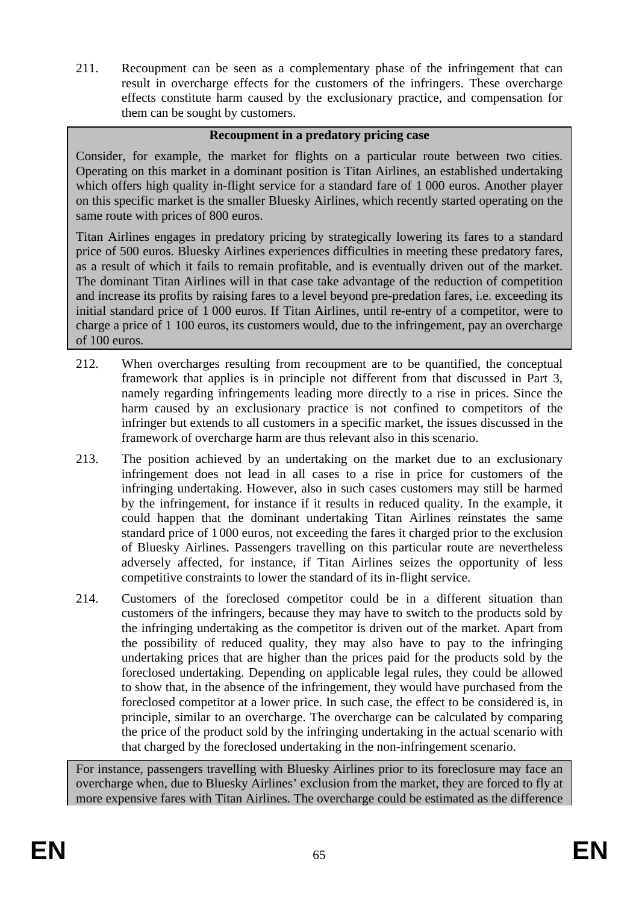<span id="page-64-3"></span>211. Recoupment can be seen as a complementary phase of the infringement that can result in overcharge effects for the customers of the infringers. These overcharge effects constitute harm caused by the exclusionary practice, and compensation for them can be sought by customers.

### **Recoupment in a predatory pricing case**

Consider, for example, the market for flights on a particular route between two cities. Operating on this market in a dominant position is Titan Airlines, an established undertaking which offers high quality in-flight service for a standard fare of 1 000 euros. Another player on this specific market is the smaller Bluesky Airlines, which recently started operating on the same route with prices of 800 euros.

Titan Airlines engages in predatory pricing by strategically lowering its fares to a standard price of 500 euros. Bluesky Airlines experiences difficulties in meeting these predatory fares, as a result of which it fails to remain profitable, and is eventually driven out of the market. The dominant Titan Airlines will in that case take advantage of the reduction of competition and increase its profits by raising fares to a level beyond pre-predation fares, i.e. exceeding its initial standard price of 1 000 euros. If Titan Airlines, until re-entry of a competitor, were to charge a price of 1 100 euros, its customers would, due to the infringement, pay an overcharge of 100 euros.

- <span id="page-64-0"></span>212. When overcharges resulting from recoupment are to be quantified, the conceptual framework that applies is in principle not different from that discussed in Part 3, namely regarding infringements leading more directly to a rise in prices. Since the harm caused by an exclusionary practice is not confined to competitors of the infringer but extends to all customers in a specific market, the issues discussed in the framework of overcharge harm are thus relevant also in this scenario.
- <span id="page-64-1"></span>213. The position achieved by an undertaking on the market due to an exclusionary infringement does not lead in all cases to a rise in price for customers of the infringing undertaking. However, also in such cases customers may still be harmed by the infringement, for instance if it results in reduced quality. In the example, it could happen that the dominant undertaking Titan Airlines reinstates the same standard price of 1000 euros, not exceeding the fares it charged prior to the exclusion of Bluesky Airlines. Passengers travelling on this particular route are nevertheless adversely affected, for instance, if Titan Airlines seizes the opportunity of less competitive constraints to lower the standard of its in-flight service.
- <span id="page-64-2"></span>214. Customers of the foreclosed competitor could be in a different situation than customers of the infringers, because they may have to switch to the products sold by the infringing undertaking as the competitor is driven out of the market. Apart from the possibility of reduced quality, they may also have to pay to the infringing undertaking prices that are higher than the prices paid for the products sold by the foreclosed undertaking. Depending on applicable legal rules, they could be allowed to show that, in the absence of the infringement, they would have purchased from the foreclosed competitor at a lower price. In such case, the effect to be considered is, in principle, similar to an overcharge. The overcharge can be calculated by comparing the price of the product sold by the infringing undertaking in the actual scenario with that charged by the foreclosed undertaking in the non-infringement scenario.

For instance, passengers travelling with Bluesky Airlines prior to its foreclosure may face an overcharge when, due to Bluesky Airlines' exclusion from the market, they are forced to fly at more expensive fares with Titan Airlines. The overcharge could be estimated as the difference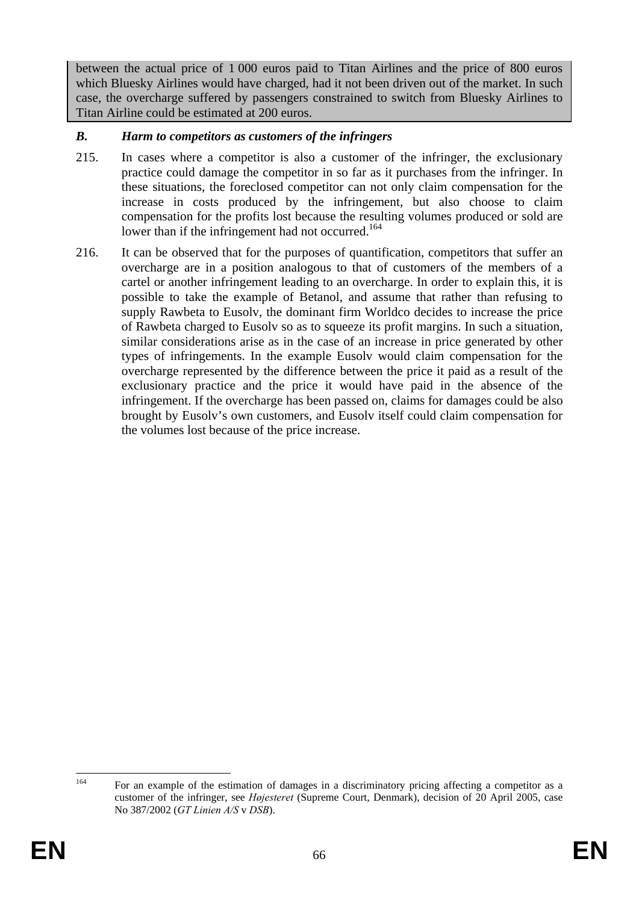between the actual price of 1 000 euros paid to Titan Airlines and the price of 800 euros which Bluesky Airlines would have charged, had it not been driven out of the market. In such case, the overcharge suffered by passengers constrained to switch from Bluesky Airlines to Titan Airline could be estimated at 200 euros.

### <span id="page-65-2"></span><span id="page-65-0"></span>*B. Harm to competitors as customers of the infringers*

- 215. In cases where a competitor is also a customer of the infringer, the exclusionary practice could damage the competitor in so far as it purchases from the infringer. In these situations, the foreclosed competitor can not only claim compensation for the increase in costs produced by the infringement, but also choose to claim compensation for the profits lost because the resulting volumes produced or sold are lower than if the infringement had not occurred.<sup>164</sup>
- <span id="page-65-1"></span>216. It can be observed that for the purposes of quantification, competitors that suffer an overcharge are in a position analogous to that of customers of the members of a cartel or another infringement leading to an overcharge. In order to explain this, it is possible to take the example of Betanol, and assume that rather than refusing to supply Rawbeta to Eusolv, the dominant firm Worldco decides to increase the price of Rawbeta charged to Eusolv so as to squeeze its profit margins. In such a situation, similar considerations arise as in the case of an increase in price generated by other types of infringements. In the example Eusolv would claim compensation for the overcharge represented by the difference between the price it paid as a result of the exclusionary practice and the price it would have paid in the absence of the infringement. If the overcharge has been passed on, claims for damages could be also brought by Eusolv's own customers, and Eusolv itself could claim compensation for the volumes lost because of the price increase.

 $164$ 164 For an example of the estimation of damages in a discriminatory pricing affecting a competitor as a customer of the infringer, see *Højesteret* (Supreme Court, Denmark), decision of 20 April 2005, case No 387/2002 (*GT Linien A/S* v *DSB*).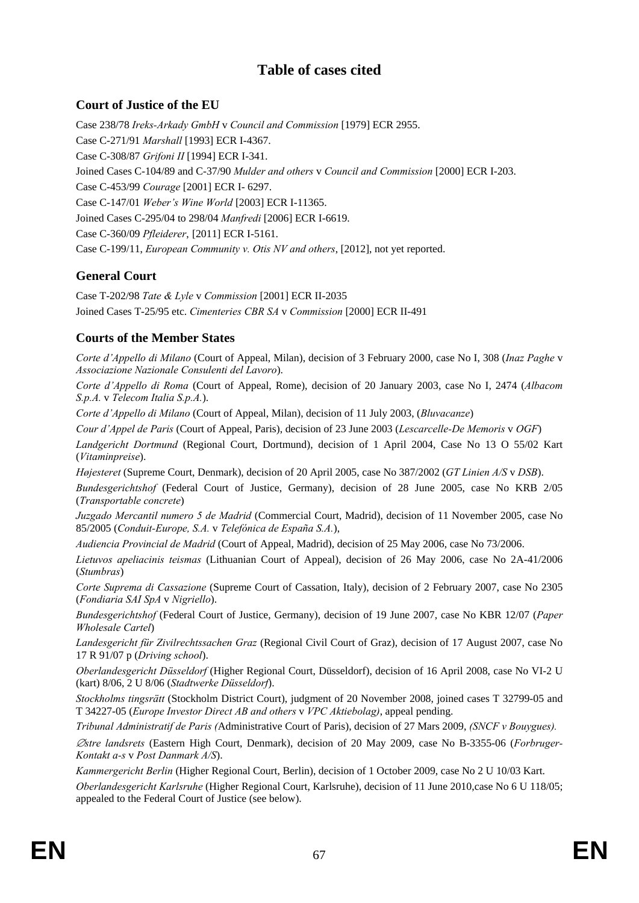## **Table of cases cited**

### <span id="page-66-0"></span>**Court of Justice of the EU**

Case 238/78 *Ireks-Arkady GmbH* v *Council and Commission* [1979] ECR 2955. Case C-271/91 *Marshall* [1993] ECR I-4367. Case C-308/87 *Grifoni II* [1994] ECR I-341. Joined Cases C-104/89 and C-37/90 *Mulder and others* v *Council and Commission* [2000] ECR I-203. Case C-453/99 *Courage* [2001] ECR I- 6297. Case C-147/01 *Weber's Wine World* [2003] ECR I-11365. Joined Cases C-295/04 to 298/04 *Manfredi* [2006] ECR I-6619. Case C-360/09 *Pfleiderer*, [2011] ECR I-5161. Case C-199/11, *European Community v. Otis NV and others*, [2012], not yet reported.

### **General Court**

Case T-202/98 *Tate & Lyle* v *Commission* [2001] ECR II-2035 Joined Cases T-25/95 etc. *Cimenteries CBR SA* v *Commission* [2000] ECR II-491

### **Courts of the Member States**

*Corte d'Appello di Milano* (Court of Appeal, Milan), decision of 3 February 2000, case No I, 308 (*Inaz Paghe* v *Associazione Nazionale Consulenti del Lavoro*).

*Corte d'Appello di Roma* (Court of Appeal, Rome), decision of 20 January 2003, case No I, 2474 (*Albacom S.p.A.* v *Telecom Italia S.p.A.*).

*Corte d'Appello di Milano* (Court of Appeal, Milan), decision of 11 July 2003, (*Bluvacanze*)

*Cour d'Appel de Paris* (Court of Appeal, Paris), decision of 23 June 2003 (*Lescarcelle-De Memoris* v *OGF*)

*Landgericht Dortmund* (Regional Court, Dortmund), decision of 1 April 2004, Case No 13 O 55/02 Kart (*Vitaminpreise*).

*Højesteret* (Supreme Court, Denmark), decision of 20 April 2005, case No 387/2002 (*GT Linien A/S* v *DSB*).

*Bundesgerichtshof* (Federal Court of Justice, Germany), decision of 28 June 2005, case No KRB 2/05 (*Transportable concrete*)

*Juzgado Mercantil numero 5 de Madrid* (Commercial Court, Madrid), decision of 11 November 2005, case No 85/2005 (*Conduit-Europe, S.A.* v *Telefónica de España S.A.*),

*Audiencia Provincial de Madrid* (Court of Appeal, Madrid), decision of 25 May 2006, case No 73/2006.

*Lietuvos apeliacinis teismas* (Lithuanian Court of Appeal), decision of 26 May 2006, case No 2A-41/2006 (*Stumbras*)

*Corte Suprema di Cassazione* (Supreme Court of Cassation, Italy), decision of 2 February 2007, case No 2305 (*Fondiaria SAI SpA* v *Nigriello*).

*Bundesgerichtshof* (Federal Court of Justice, Germany), decision of 19 June 2007, case No KBR 12/07 (*Paper Wholesale Cartel*)

*Landesgericht für Zivilrechtssachen Graz* (Regional Civil Court of Graz), decision of 17 August 2007, case No 17 R 91/07 p (*Driving school*).

*Oberlandesgericht Düsseldorf* (Higher Regional Court, Düsseldorf), decision of 16 April 2008, case No VI-2 U (kart) 8/06, 2 U 8/06 (*Stadtwerke Düsseldorf*).

*Stockholms tingsrätt* (Stockholm District Court), judgment of 20 November 2008, joined cases T 32799-05 and T 34227-05 (*Europe Investor Direct AB and others* v *VPC Aktiebolag)*, appeal pending.

*Tribunal Administratif de Paris (*Administrative Court of Paris), decision of 27 Mars 2009, *(SNCF v Bouygues).* 

∅*stre landsrets* (Eastern High Court, Denmark), decision of 20 May 2009, case No B-3355-06 (*Forbruger-Kontakt a-s* v *Post Danmark A/S*).

*Kammergericht Berlin* (Higher Regional Court, Berlin), decision of 1 October 2009, case No 2 U 10/03 Kart. *Oberlandesgericht Karlsruhe* (Higher Regional Court, Karlsruhe), decision of 11 June 2010,case No 6 U 118/05; appealed to the Federal Court of Justice (see below).